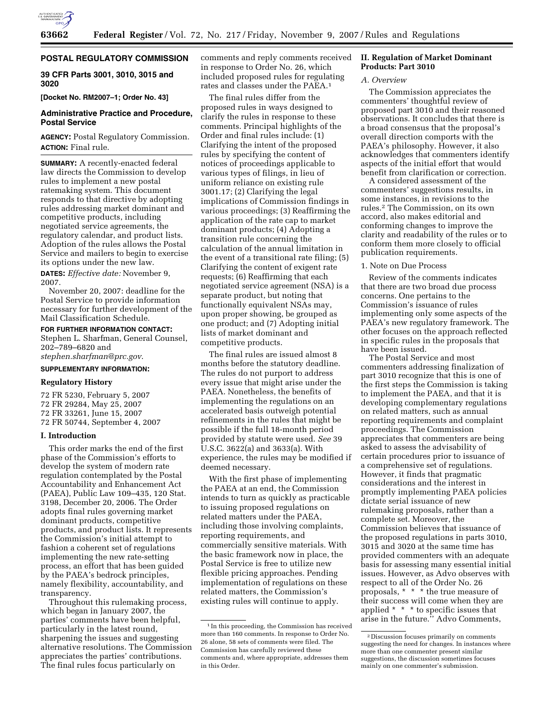

# **POSTAL REGULATORY COMMISSION**

**39 CFR Parts 3001, 3010, 3015 and 3020** 

**[Docket No. RM2007–1; Order No. 43]** 

# **Administrative Practice and Procedure, Postal Service**

**AGENCY:** Postal Regulatory Commission. **ACTION:** Final rule.

**SUMMARY:** A recently-enacted federal law directs the Commission to develop rules to implement a new postal ratemaking system. This document responds to that directive by adopting rules addressing market dominant and competitive products, including negotiated service agreements, the regulatory calendar, and product lists. Adoption of the rules allows the Postal Service and mailers to begin to exercise its options under the new law.

**DATES:** *Effective date:* November 9, 2007.

November 20, 2007: deadline for the Postal Service to provide information necessary for further development of the Mail Classification Schedule.

# **FOR FURTHER INFORMATION CONTACT:**

Stephen L. Sharfman, General Counsel, 202–789–6820 and *stephen.sharfman@prc.gov*.

# **SUPPLEMENTARY INFORMATION:**

# **Regulatory History**

72 FR 5230, February 5, 2007 72 FR 29284, May 25, 2007 72 FR 33261, June 15, 2007 72 FR 50744, September 4, 2007

### **I. Introduction**

This order marks the end of the first phase of the Commission's efforts to develop the system of modern rate regulation contemplated by the Postal Accountability and Enhancement Act (PAEA), Public Law 109–435, 120 Stat. 3198, December 20, 2006. The Order adopts final rules governing market dominant products, competitive products, and product lists. It represents the Commission's initial attempt to fashion a coherent set of regulations implementing the new rate-setting process, an effort that has been guided by the PAEA's bedrock principles, namely flexibility, accountability, and transparency.

Throughout this rulemaking process, which began in January 2007, the parties' comments have been helpful, particularly in the latest round, sharpening the issues and suggesting alternative resolutions. The Commission appreciates the parties' contributions. The final rules focus particularly on

comments and reply comments received in response to Order No. 26, which included proposed rules for regulating rates and classes under the PAEA.1

The final rules differ from the proposed rules in ways designed to clarify the rules in response to these comments. Principal highlights of the Order and final rules include: (1) Clarifying the intent of the proposed rules by specifying the content of notices of proceedings applicable to various types of filings, in lieu of uniform reliance on existing rule 3001.17; (2) Clarifying the legal implications of Commission findings in various proceedings; (3) Reaffirming the application of the rate cap to market dominant products; (4) Adopting a transition rule concerning the calculation of the annual limitation in the event of a transitional rate filing; (5) Clarifying the content of exigent rate requests; (6) Reaffirming that each negotiated service agreement (NSA) is a separate product, but noting that functionally equivalent NSAs may, upon proper showing, be grouped as one product; and (7) Adopting initial lists of market dominant and competitive products.

The final rules are issued almost 8 months before the statutory deadline. The rules do not purport to address every issue that might arise under the PAEA. Nonetheless, the benefits of implementing the regulations on an accelerated basis outweigh potential refinements in the rules that might be possible if the full 18-month period provided by statute were used. *See* 39 U.S.C. 3622(a) and 3633(a). With experience, the rules may be modified if deemed necessary.

With the first phase of implementing the PAEA at an end, the Commission intends to turn as quickly as practicable to issuing proposed regulations on related matters under the PAEA, including those involving complaints, reporting requirements, and commercially sensitive materials. With the basic framework now in place, the Postal Service is free to utilize new flexible pricing approaches. Pending implementation of regulations on these related matters, the Commission's existing rules will continue to apply.

# **II. Regulation of Market Dominant Products: Part 3010**

#### *A. Overview*

The Commission appreciates the commenters' thoughtful review of proposed part 3010 and their reasoned observations. It concludes that there is a broad consensus that the proposal's overall direction comports with the PAEA's philosophy. However, it also acknowledges that commenters identify aspects of the initial effort that would benefit from clarification or correction.

A considered assessment of the commenters' suggestions results, in some instances, in revisions to the rules.2 The Commission, on its own accord, also makes editorial and conforming changes to improve the clarity and readability of the rules or to conform them more closely to official publication requirements.

#### 1. Note on Due Process

Review of the comments indicates that there are two broad due process concerns. One pertains to the Commission's issuance of rules implementing only some aspects of the PAEA's new regulatory framework. The other focuses on the approach reflected in specific rules in the proposals that have been issued.

The Postal Service and most commenters addressing finalization of part 3010 recognize that this is one of the first steps the Commission is taking to implement the PAEA, and that it is developing complementary regulations on related matters, such as annual reporting requirements and complaint proceedings. The Commission appreciates that commenters are being asked to assess the advisability of certain procedures prior to issuance of a comprehensive set of regulations. However, it finds that pragmatic considerations and the interest in promptly implementing PAEA policies dictate serial issuance of new rulemaking proposals, rather than a complete set. Moreover, the Commission believes that issuance of the proposed regulations in parts 3010, 3015 and 3020 at the same time has provided commenters with an adequate basis for assessing many essential initial issues. However, as Advo observes with respect to all of the Order No. 26 proposals, \* \* \* the true measure of their success will come when they are applied \* \* \* to specific issues that arise in the future.'' Advo Comments,

<sup>1</sup> In this proceeding, the Commission has received more than 160 comments. In response to Order No. 26 alone, 58 sets of comments were filed. The Commission has carefully reviewed these comments and, where appropriate, addresses them in this Order.

<sup>2</sup> Discussion focuses primarily on comments suggesting the need for changes. In instances where more than one commenter present similar suggestions, the discussion sometimes focuses mainly on one commenter's submission.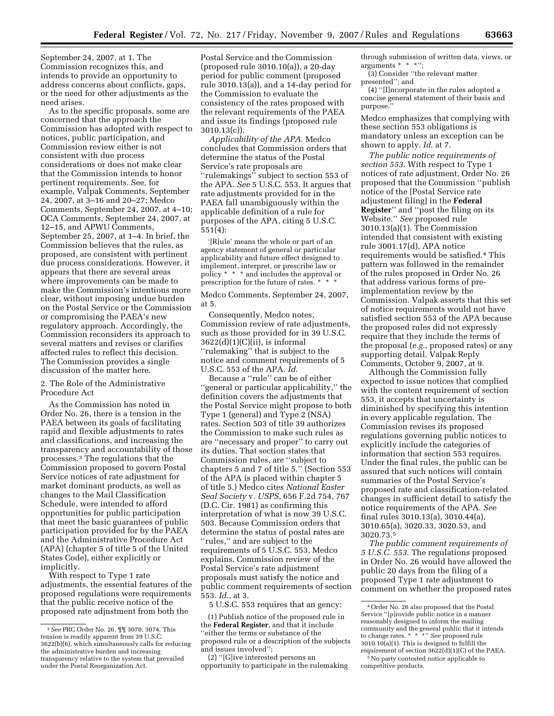September 24, 2007, at 1. The Commission recognizes this, and intends to provide an opportunity to address concerns about conflicts, gaps, or the need for other adjustments as the need arises.

As to the specific proposals, some are concerned that the approach the Commission has adopted with respect to notices, public participation, and Commission review either is not consistent with due process considerations or does not make clear that the Commission intends to honor pertinent requirements. See, for example, Valpak Comments, September 24, 2007, at 3–16 and 20–27; Medco Comments, September 24, 2007, at 4–10; OCA Comments, September 24, 2007, at 12–15, and APWU Comments, September 25, 2007, at 1–4. In brief, the Commission believes that the rules, as proposed, are consistent with pertinent due process considerations. However, it appears that there are several areas where improvements can be made to make the Commission's intentions more clear, without imposing undue burden on the Postal Service or the Commission or compromising the PAEA's new regulatory approach. Accordingly, the Commission reconsiders its approach to several matters and revises or clarifies affected rules to reflect this decision. The Commission provides a single discussion of the matter here.

# 2. The Role of the Administrative Procedure Act

As the Commission has noted in Order No. 26, there is a tension in the PAEA between its goals of facilitating rapid and flexible adjustments to rates and classifications, and increasing the transparency and accountability of those processes.3 The regulations that the Commission proposed to govern Postal Service notices of rate adjustment for market dominant products, as well as changes to the Mail Classification Schedule, were intended to afford opportunities for public participation that meet the basic guarantees of public participation provided for by the PAEA and the Administrative Procedure Act (APA) (chapter 5 of title 5 of the United States Code), either explicitly or implicitly.

With respect to Type 1 rate adjustments, the essential features of the proposed regulations were requirements that the public receive notice of the proposed rate adjustment from both the

Postal Service and the Commission (proposed rule 3010.10(a)), a 20-day period for public comment (proposed rule 3010.13(a)), and a 14-day period for the Commission to evaluate the consistency of the rates proposed with the relevant requirements of the PAEA and issue its findings (proposed rule 3010.13(c)).

*Applicability of the APA*. Medco concludes that Commission orders that determine the status of the Postal Service's rate proposals are ''rulemakings'' subject to section 553 of the APA. *See* 5 U.S.C. 553. It argues that rate adjustments provided for in the PAEA fall unambiguously within the applicable definition of a rule for purposes of the APA, citing 5 U.S.C. 551(4):

'[R]ule' means the whole or part of an agency statement of general or particular applicability and future effect designed to implement, interpret, or prescribe law or policy \* \* \* and includes the approval or prescription for the future of rates. \* \* \*

Medco Comments, September 24, 2007, at 5.

Consequently, Medco notes, Commission review of rate adjustments, such as those provided for in 39 U.S.C.  $3622(d)(1)(C)(ii)$ , is informal ''rulemaking'' that is subject to the notice and comment requirements of 5 U.S.C. 553 of the APA. *Id*.

Because a ''rule'' can be of either ''general or particular applicability,'' the definition covers the adjustments that the Postal Service might propose to both Type 1 (general) and Type 2 (NSA) rates. Section 503 of title 39 authorizes the Commission to make such rules as are ''necessary and proper'' to carry out its duties. That section states that Commission rules, are ''subject to chapters 5 and 7 of title 5.'' (Section 553 of the APA is placed within chapter 5 of title 5.) Medco cites *National Easter Seal Society* v. *USPS*, 656 F.2d 754, 767 (D.C. Cir. 1981) as confirming this interpretation of what is now 39 U.S.C. 503. Because Commission orders that determine the status of postal rates are ''rules,'' and are subject to the requirements of 5 U.S.C. 553, Medco explains, Commission review of the Postal Service's rate adjustment proposals must satisfy the notice and public comment requirements of section 553. *Id*., at 3.

5 U.S.C. 553 requires that an gency:

(2) ''[G]ive interested persons an opportunity to participate in the rulemaking

through submission of written data, views, or arguments \* \* \*'';

(3) Consider ''the relevant matter presented''; and

(4) ''[I]ncorporate in the rules adopted a concise general statement of their basis and purpose.''

Medco emphasizes that complying with these section 553 obligations is mandatory unless an exception can be shown to apply. *Id*. at 7.

*The public notice requirements of section 553*. With respect to Type 1 notices of rate adjustment, Order No. 26 proposed that the Commission ''publish notice of the [Postal Service rate adjustment filing] in the **Federal Register**'' and ''post the filing on its Website.'' *See* proposed rule 3010.13(a)(1). The Commission intended that consistent with existing rule 3001.17(d), APA notice requirements would be satisfied.4 This pattern was followed in the remainder of the rules proposed in Order No. 26 that address various forms of preimplementation review by the Commission. Valpak asserts that this set of notice requirements would not have satisfied section 553 of the APA because the proposed rules did not expressly require that they include the terms of the proposal (*e.g.*, proposed rates) or any supporting detail. Valpak Reply Comments, October 9, 2007, at 9.

Although the Commission fully expected to issue notices that complied with the content requirement of section 553, it accepts that uncertainty is diminished by specifying this intention in every applicable regulation. The Commission revises its proposed regulations governing public notices to explicitly include the categories of information that section 553 requires. Under the final rules, the public can be assured that such notices will contain summaries of the Postal Service's proposed rate and classification-related changes in sufficient detail to satisfy the notice requirements of the APA. *See*  final rules 3010.13(a), 3010.44(a), 3010.65(a), 3020.33, 3020.53, and 3020.73.5

*The public comment requirements of 5 U.S.C. 553*. The regulations proposed in Order No. 26 would have allowed the public 20 days from the filing of a proposed Type 1 rate adjustment to comment on whether the proposed rates

<sup>3</sup>*See* PRC Order No. 26, ¶¶ 3070, 3074. This tension is readily apparent from 39 U.S.C. 3622(b)(6), which simultaneously calls for reducing the administrative burden and increasing transparency relative to the system that prevailed under the Postal Reorganization Act.

<sup>(1)</sup> Publish notice of the proposed rule in the **Federal Register**, and that it include ''either the terms or substance of the proposed rule or a description of the subjects and issues involved'';

<sup>4</sup>Order No. 26 also proposed that the Postal Service ''[p]rovide public notice in a manner reasonably designed to inform the mailing community and the general public that it intends to change rates. \* \* \*'' *See* proposed rule 3010.10(a)(1). This is designed to fulfill the requirement of section 3622(d)(1)(C) of the PAEA. 5No party contested notice applicable to

competitive products.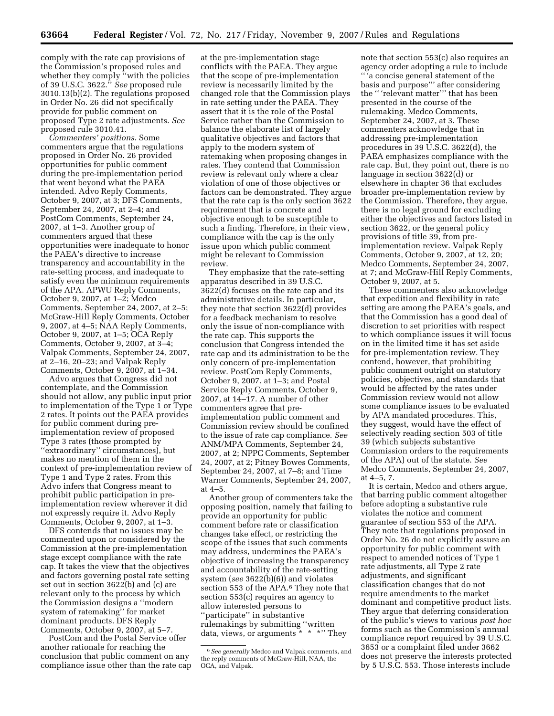comply with the rate cap provisions of the Commission's proposed rules and whether they comply ''with the policies of 39 U.S.C. 3622.'' *See* proposed rule 3010.13(b)(2). The regulations proposed in Order No. 26 did not specifically provide for public comment on proposed Type 2 rate adjustments. *See*  proposed rule 3010.41.

*Commenters' positions*. Some commenters argue that the regulations proposed in Order No. 26 provided opportunities for public comment during the pre-implementation period that went beyond what the PAEA intended. Advo Reply Comments, October 9, 2007, at 3; DFS Comments, September 24, 2007, at 2–4; and PostCom Comments, September 24, 2007, at 1–3. Another group of commenters argued that these opportunities were inadequate to honor the PAEA's directive to increase transparency and accountability in the rate-setting process, and inadequate to satisfy even the minimum requirements of the APA. APWU Reply Comments, October 9, 2007, at 1–2; Medco Comments, September 24, 2007, at 2–5; McGraw-Hill Reply Comments, October 9, 2007, at 4–5; NAA Reply Comments, October 9, 2007, at 1–5; OCA Reply Comments, October 9, 2007, at 3–4; Valpak Comments, September 24, 2007, at 2–16, 20–23; and Valpak Reply Comments, October 9, 2007, at 1–34.

Advo argues that Congress did not contemplate, and the Commission should not allow, any public input prior to implementation of the Type 1 or Type 2 rates. It points out the PAEA provides for public comment during preimplementation review of proposed Type 3 rates (those prompted by ''extraordinary'' circumstances), but makes no mention of them in the context of pre-implementation review of Type 1 and Type 2 rates. From this Advo infers that Congress meant to prohibit public participation in preimplementation review wherever it did not expressly require it. Advo Reply Comments, October 9, 2007, at 1–3.

DFS contends that no issues may be commented upon or considered by the Commission at the pre-implementation stage except compliance with the rate cap. It takes the view that the objectives and factors governing postal rate setting set out in section 3622(b) and (c) are relevant only to the process by which the Commission designs a ''modern system of ratemaking'' for market dominant products. DFS Reply Comments, October 9, 2007, at 5–7.

PostCom and the Postal Service offer another rationale for reaching the conclusion that public comment on any compliance issue other than the rate cap

at the pre-implementation stage conflicts with the PAEA. They argue that the scope of pre-implementation review is necessarily limited by the changed role that the Commission plays in rate setting under the PAEA. They assert that it is the role of the Postal Service rather than the Commission to balance the elaborate list of largely qualitative objectives and factors that apply to the modern system of ratemaking when proposing changes in rates. They contend that Commission review is relevant only where a clear violation of one of those objectives or factors can be demonstrated. They argue that the rate cap is the only section 3622 requirement that is concrete and objective enough to be susceptible to such a finding. Therefore, in their view, compliance with the cap is the only issue upon which public comment might be relevant to Commission review.

They emphasize that the rate-setting apparatus described in 39 U.S.C. 3622(d) focuses on the rate cap and its administrative details. In particular, they note that section 3622(d) provides for a feedback mechanism to resolve only the issue of non-compliance with the rate cap. This supports the conclusion that Congress intended the rate cap and its administration to be the only concern of pre-implementation review. PostCom Reply Comments, October 9, 2007, at 1–3; and Postal Service Reply Comments, October 9, 2007, at 14–17. A number of other commenters agree that preimplementation public comment and Commission review should be confined to the issue of rate cap compliance. *See*  ANM/MPA Comments, September 24, 2007, at 2; NPPC Comments, September 24, 2007, at 2; Pitney Bowes Comments, September 24, 2007, at 7–8; and Time Warner Comments, September 24, 2007, at 4–5.

Another group of commenters take the opposing position, namely that failing to provide an opportunity for public comment before rate or classification changes take effect, or restricting the scope of the issues that such comments may address, undermines the PAEA's objective of increasing the transparency and accountability of the rate-setting system (*see* 3622(b)(6)) and violates section 553 of the APA.6 They note that section 553(c) requires an agency to allow interested persons to ''participate'' in substantive rulemakings by submitting ''written data, views, or arguments \* \* \*'' They

note that section 553(c) also requires an agency order adopting a rule to include 'a concise general statement of the basis and purpose''' after considering the '' 'relevant matter''' that has been presented in the course of the rulemaking. Medco Comments, September 24, 2007, at 3. These commenters acknowledge that in addressing pre-implementation procedures in 39 U.S.C. 3622(d), the PAEA emphasizes compliance with the rate cap. But, they point out, there is no language in section 3622(d) or elsewhere in chapter 36 that excludes broader pre-implementation review by the Commission. Therefore, they argue, there is no legal ground for excluding either the objectives and factors listed in section 3622, or the general policy provisions of title 39, from preimplementation review. Valpak Reply Comments, October 9, 2007, at 12, 20; Medco Comments, September 24, 2007, at 7; and McGraw-Hill Reply Comments, October 9, 2007, at 5.

These commenters also acknowledge that expedition and flexibility in rate setting are among the PAEA's goals, and that the Commission has a good deal of discretion to set priorities with respect to which compliance issues it will focus on in the limited time it has set aside for pre-implementation review. They contend, however, that prohibiting public comment outright on statutory policies, objectives, and standards that would be affected by the rates under Commission review would not allow some compliance issues to be evaluated by APA mandated procedures. This, they suggest, would have the effect of selectively reading section 503 of title 39 (which subjects substantive Commission orders to the requirements of the APA) out of the statute. *See*  Medco Comments, September 24, 2007, at 4–5, 7.

It is certain, Medco and others argue, that barring public comment altogether before adopting a substantive rule violates the notice and comment guarantee of section 553 of the APA. They note that regulations proposed in Order No. 26 do not explicitly assure an opportunity for public comment with respect to amended notices of Type 1 rate adjustments, all Type 2 rate adjustments, and significant classification changes that do not require amendments to the market dominant and competitive product lists. They argue that deferring consideration of the public's views to various *post hoc*  forms such as the Commission's annual compliance report required by 39 U.S.C. 3653 or a complaint filed under 3662 does not preserve the interests protected by 5 U.S.C. 553. Those interests include

<sup>6</sup>*See generally* Medco and Valpak comments, and the reply comments of McGraw-Hill, NAA, the OCA, and Valpak.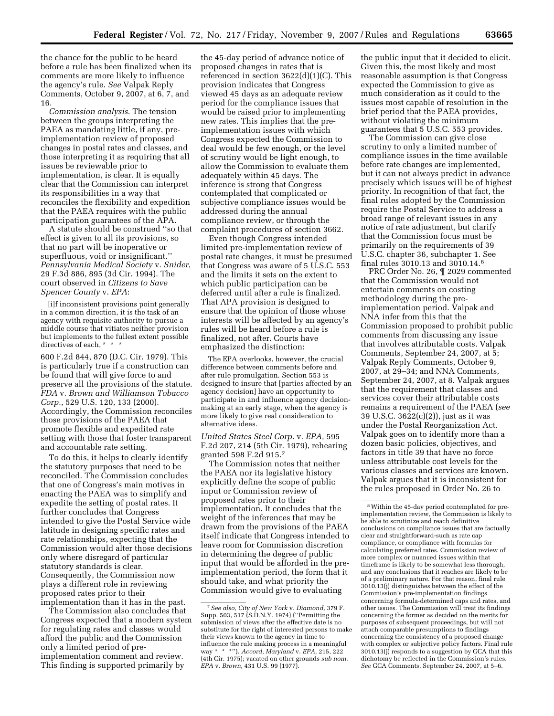the chance for the public to be heard before a rule has been finalized when its comments are more likely to influence the agency's rule. *See* Valpak Reply Comments, October 9, 2007, at 6, 7, and 16.

*Commission analysis*. The tension between the groups interpreting the PAEA as mandating little, if any, preimplementation review of proposed changes in postal rates and classes, and those interpreting it as requiring that all issues be reviewable prior to implementation, is clear. It is equally clear that the Commission can interpret its responsibilities in a way that reconciles the flexibility and expedition that the PAEA requires with the public participation guarantees of the APA.

A statute should be construed ''so that effect is given to all its provisions, so that no part will be inoperative or superfluous, void or insignificant.'' *Pennsylvania Medical Society* v. *Snider*, 29 F.3d 886, 895 (3d Cir. 1994). The court observed in *Citizens to Save Spencer County* v. *EPA*:

[i]f inconsistent provisions point generally in a common direction, it is the task of an agency with requisite authority to pursue a middle course that vitiates neither provision but implements to the fullest extent possible directives of each, \* \* \*

600 F.2d 844, 870 (D.C. Cir. 1979). This is particularly true if a construction can be found that will give force to and preserve all the provisions of the statute. *FDA* v. *Brown and Williamson Tobacco Corp.*, 529 U.S. 120, 133 (2000). Accordingly, the Commission reconciles those provisions of the PAEA that promote flexible and expedited rate setting with those that foster transparent and accountable rate setting.

To do this, it helps to clearly identify the statutory purposes that need to be reconciled. The Commission concludes that one of Congress's main motives in enacting the PAEA was to simplify and expedite the setting of postal rates. It further concludes that Congress intended to give the Postal Service wide latitude in designing specific rates and rate relationships, expecting that the Commission would alter those decisions only where disregard of particular statutory standards is clear. Consequently, the Commission now plays a different role in reviewing proposed rates prior to their implementation than it has in the past.

The Commission also concludes that Congress expected that a modern system for regulating rates and classes would afford the public and the Commission only a limited period of preimplementation comment and review. This finding is supported primarily by

the 45-day period of advance notice of proposed changes in rates that is referenced in section  $3622(d)(1)(C)$ . This provision indicates that Congress viewed 45 days as an adequate review period for the compliance issues that would be raised prior to implementing new rates. This implies that the preimplementation issues with which Congress expected the Commission to deal would be few enough, or the level of scrutiny would be light enough, to allow the Commission to evaluate them adequately within 45 days. The inference is strong that Congress contemplated that complicated or subjective compliance issues would be addressed during the annual compliance review, or through the complaint procedures of section 3662.

Even though Congress intended limited pre-implementation review of postal rate changes, it must be presumed that Congress was aware of 5 U.S.C. 553 and the limits it sets on the extent to which public participation can be deferred until after a rule is finalized. That APA provision is designed to ensure that the opinion of those whose interests will be affected by an agency's rules will be heard before a rule is finalized, not after. Courts have emphasized the distinction:

The EPA overlooks, however, the crucial difference between comments before and after rule promulgation. Section 553 is designed to insure that [parties affected by an agency decision] have an opportunity to participate in and influence agency decisionmaking at an early stage, when the agency is more likely to give real consideration to alternative ideas.

*United States Steel Corp.* v. *EPA,* 595 F.2d 207, 214 (5th Cir. 1979), rehearing granted 598 F.2d 915.7

The Commission notes that neither the PAEA nor its legislative history explicitly define the scope of public input or Commission review of proposed rates prior to their implementation. It concludes that the weight of the inferences that may be drawn from the provisions of the PAEA itself indicate that Congress intended to leave room for Commission discretion in determining the degree of public input that would be afforded in the preimplementation period, the form that it should take, and what priority the Commission would give to evaluating

the public input that it decided to elicit. Given this, the most likely and most reasonable assumption is that Congress expected the Commission to give as much consideration as it could to the issues most capable of resolution in the brief period that the PAEA provides, without violating the minimum guarantees that 5 U.S.C. 553 provides.

The Commission can give close scrutiny to only a limited number of compliance issues in the time available before rate changes are implemented, but it can not always predict in advance precisely which issues will be of highest priority. In recognition of that fact, the final rules adopted by the Commission require the Postal Service to address a broad range of relevant issues in any notice of rate adjustment, but clarify that the Commission focus must be primarily on the requirements of 39 U.S.C. chapter 36, subchapter 1. See final rules 3010.13 and 3010.14.8

PRC Order No. 26, ¶ 2029 commented that the Commission would not entertain comments on costing methodology during the preimplementation period. Valpak and NNA infer from this that the Commission proposed to prohibit public comments from discussing any issue that involves attributable costs. Valpak Comments, September 24, 2007, at 5; Valpak Reply Comments, October 9, 2007, at 29–34; and NNA Comments, September 24, 2007, at 8. Valpak argues that the requirement that classes and services cover their attributable costs remains a requirement of the PAEA (*see*  39 U.S.C. 3622(c)(2)), just as it was under the Postal Reorganization Act. Valpak goes on to identify more than a dozen basic policies, objectives, and factors in title 39 that have no force unless attributable cost levels for the various classes and services are known. Valpak argues that it is inconsistent for the rules proposed in Order No. 26 to

<sup>7</sup>*See also, City of New York* v. *Diamond,* 379 F. Supp. 503, 517 (S.D.N.Y. 1974) (''Permitting the submission of views after the effective date is no substitute for the right of interested persons to make their views known to the agency in time to influence the rule making process in a meaningful way \* \* \*''). *Accord, Maryland* v. *EPA,* 215, 222 (4th Cir. 1975); vacated on other grounds *sub nom. EPA* v. *Brown,* 431 U.S. 99 (1977).

<sup>8</sup>Within the 45-day period contemplated for preimplementation review, the Commission is likely to be able to scrutinize and reach definitive conclusions on compliance issues that are factually clear and straightforward-such as rate cap compliance, or compliance with formulas for calculating preferred rates. Commission review of more complex or nuanced issues within that timeframe is likely to be somewhat less thorough, and any conclusions that it reaches are likely to be of a preliminary nature. For that reason, final rule 3010.13(j) distinguishes between the effect of the Commission's pre-implementation findings concerning formula-determined caps and rates, and other issues. The Commission will treat its findings concerning the former as decided on the merits for purposes of subsequent proceedings, but will not attach comparable presumptions to findings concerning the consistency of a proposed change with complex or subjective policy factors. Final rule 3010.13(j) responds to a suggestion by GCA that this dichotomy be reflected in the Commission's rules. *See* GCA Comments, September 24, 2007, at 5–6.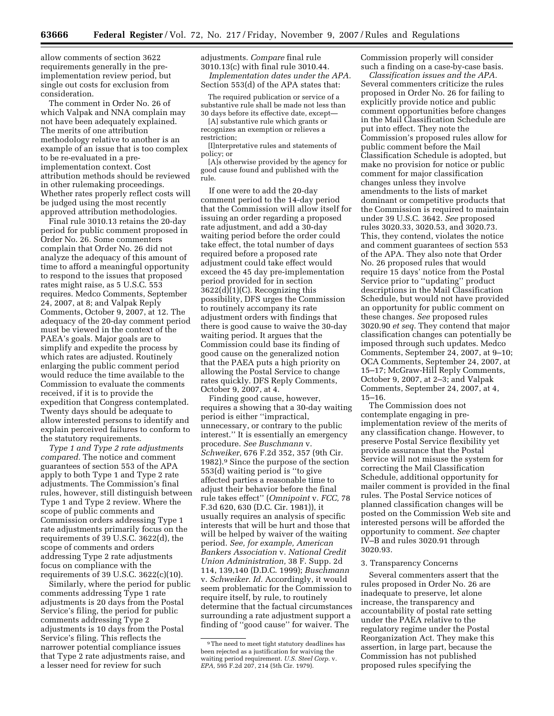allow comments of section 3622 requirements generally in the preimplementation review period, but single out costs for exclusion from consideration.

The comment in Order No. 26 of which Valpak and NNA complain may not have been adequately explained. The merits of one attribution methodology relative to another is an example of an issue that is too complex to be re-evaluated in a preimplementation context. Cost attribution methods should be reviewed in other rulemaking proceedings. Whether rates properly reflect costs will be judged using the most recently approved attribution methodologies.

Final rule 3010.13 retains the 20-day period for public comment proposed in Order No. 26. Some commenters complain that Order No. 26 did not analyze the adequacy of this amount of time to afford a meaningful opportunity to respond to the issues that proposed rates might raise, as 5 U.S.C. 553 requires. Medco Comments, September 24, 2007, at 8; and Valpak Reply Comments, October 9, 2007, at 12. The adequacy of the 20-day comment period must be viewed in the context of the PAEA's goals. Major goals are to simplify and expedite the process by which rates are adjusted. Routinely enlarging the public comment period would reduce the time available to the Commission to evaluate the comments received, if it is to provide the expedition that Congress contemplated. Twenty days should be adequate to allow interested persons to identify and explain perceived failures to conform to the statutory requirements.

*Type 1 and Type 2 rate adjustments compared.* The notice and comment guarantees of section 553 of the APA apply to both Type 1 and Type 2 rate adjustments. The Commission's final rules, however, still distinguish between Type 1 and Type 2 review. Where the scope of public comments and Commission orders addressing Type 1 rate adjustments primarily focus on the requirements of 39 U.S.C. 3622(d), the scope of comments and orders addressing Type 2 rate adjustments focus on compliance with the requirements of 39 U.S.C. 3622(c)(10).

Similarly, where the period for public comments addressing Type 1 rate adjustments is 20 days from the Postal Service's filing, the period for public comments addressing Type 2 adjustments is 10 days from the Postal Service's filing. This reflects the narrower potential compliance issues that Type 2 rate adjustments raise, and a lesser need for review for such

adjustments. *Compare* final rule 3010.13(c) with final rule 3010.44. *Implementation dates under the APA.* 

Section 553(d) of the APA states that:

The required publication or service of a substantive rule shall be made not less than 30 days before its effective date, except—

[A] substantive rule which grants or recognizes an exemption or relieves a restriction;

[I]nterpretative rules and statements of policy; or

[A]s otherwise provided by the agency for good cause found and published with the rule.

If one were to add the 20-day comment period to the 14-day period that the Commission will allow itself for issuing an order regarding a proposed rate adjustment, and add a 30-day waiting period before the order could take effect, the total number of days required before a proposed rate adjustment could take effect would exceed the 45 day pre-implementation period provided for in section 3622(d)(1)(C). Recognizing this possibility, DFS urges the Commission to routinely accompany its rate adjustment orders with findings that there is good cause to waive the 30-day waiting period. It argues that the Commission could base its finding of good cause on the generalized notion that the PAEA puts a high priority on allowing the Postal Service to change rates quickly. DFS Reply Comments, October 9, 2007, at 4.

Finding good cause, however, requires a showing that a 30-day waiting period is either ''impractical, unnecessary, or contrary to the public interest.'' It is essentially an emergency procedure. *See Buschmann* v. *Schweiker,* 676 F.2d 352, 357 (9th Cir. 1982).9 Since the purpose of the section 553(d) waiting period is ''to give affected parties a reasonable time to adjust their behavior before the final rule takes effect'' (*Omnipoint* v. *FCC,* 78 F.3d 620, 630 (D.C. Cir. 1981)), it usually requires an analysis of specific interests that will be hurt and those that will be helped by waiver of the waiting period. *See, for example, American Bankers Association* v. *National Credit Union Administration,* 38 F. Supp. 2d 114, 139,140 (D.D.C. 1999); *Buschmann*  v. *Schweiker. Id.* Accordingly, it would seem problematic for the Commission to require itself, by rule, to routinely determine that the factual circumstances surrounding a rate adjustment support a finding of ''good cause'' for waiver. The

Commission properly will consider such a finding on a case-by-case basis.

*Classification issues and the APA.*  Several commenters criticize the rules proposed in Order No. 26 for failing to explicitly provide notice and public comment opportunities before changes in the Mail Classification Schedule are put into effect. They note the Commission's proposed rules allow for public comment before the Mail Classification Schedule is adopted, but make no provision for notice or public comment for major classification changes unless they involve amendments to the lists of market dominant or competitive products that the Commission is required to maintain under 39 U.S.C. 3642. *See* proposed rules 3020.33, 3020.53, and 3020.73. This, they contend, violates the notice and comment guarantees of section 553 of the APA. They also note that Order No. 26 proposed rules that would require 15 days' notice from the Postal Service prior to ''updating'' product descriptions in the Mail Classification Schedule, but would not have provided an opportunity for public comment on these changes. *See* proposed rules 3020.90 *et seq.* They contend that major classification changes can potentially be imposed through such updates. Medco Comments, September 24, 2007, at 9–10; OCA Comments, September 24, 2007, at 15–17; McGraw-Hill Reply Comments, October 9, 2007, at 2–3; and Valpak Comments, September 24, 2007, at 4, 15–16.

The Commission does not contemplate engaging in preimplementation review of the merits of any classification change. However, to preserve Postal Service flexibility yet provide assurance that the Postal Service will not misuse the system for correcting the Mail Classification Schedule, additional opportunity for mailer comment is provided in the final rules. The Postal Service notices of planned classification changes will be posted on the Commission Web site and interested persons will be afforded the opportunity to comment. *See* chapter IV–B and rules 3020.91 through 3020.93.

# 3. Transparency Concerns

Several commenters assert that the rules proposed in Order No. 26 are inadequate to preserve, let alone increase, the transparency and accountability of postal rate setting under the PAEA relative to the regulatory regime under the Postal Reorganization Act. They make this assertion, in large part, because the Commission has not published proposed rules specifying the

<sup>9</sup>The need to meet tight statutory deadlines has been rejected as a justification for waiving the waiting period requirement. *U.S. Steel Corp.* v. *EPA,* 595 F.2d 207, 214 (5th Cir. 1979).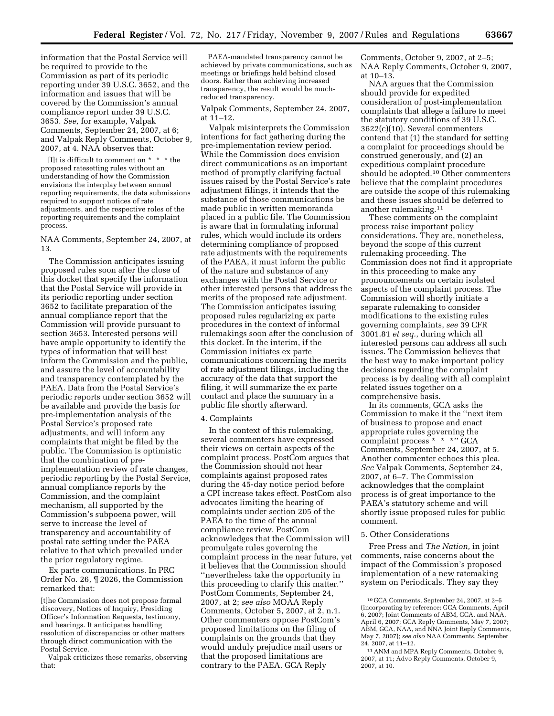information that the Postal Service will be required to provide to the Commission as part of its periodic reporting under 39 U.S.C. 3652, and the information and issues that will be covered by the Commission's annual compliance report under 39 U.S.C. 3653. *See,* for example, Valpak Comments, September 24, 2007, at 6; and Valpak Reply Comments, October 9, 2007, at 4. NAA observes that:

[I]t is difficult to comment on \* \* \* the proposed ratesetting rules without an understanding of how the Commission envisions the interplay between annual reporting requirements, the data submissions required to support notices of rate adjustments, and the respective roles of the reporting requirements and the complaint process.

# NAA Comments, September 24, 2007, at 13.

The Commission anticipates issuing proposed rules soon after the close of this docket that specify the information that the Postal Service will provide in its periodic reporting under section 3652 to facilitate preparation of the annual compliance report that the Commission will provide pursuant to section 3653. Interested persons will have ample opportunity to identify the types of information that will best inform the Commission and the public, and assure the level of accountability and transparency contemplated by the PAEA. Data from the Postal Service's periodic reports under section 3652 will be available and provide the basis for pre-implementation analysis of the Postal Service's proposed rate adjustments, and will inform any complaints that might be filed by the public. The Commission is optimistic that the combination of preimplementation review of rate changes, periodic reporting by the Postal Service, annual compliance reports by the Commission, and the complaint mechanism, all supported by the Commission's subpoena power, will serve to increase the level of transparency and accountability of postal rate setting under the PAEA relative to that which prevailed under the prior regulatory regime.

Ex parte communications. In PRC Order No. 26, ¶ 2026, the Commission remarked that:

[t]he Commission does not propose formal discovery, Notices of Inquiry, Presiding Officer's Information Requests, testimony, and hearings. It anticipates handling resolution of discrepancies or other matters through direct communication with the Postal Service.

Valpak criticizes these remarks, observing that:

PAEA-mandated transparency cannot be achieved by private communications, such as meetings or briefings held behind closed doors. Rather than achieving increased transparency, the result would be muchreduced transparency.

Valpak Comments, September 24, 2007, at  $11-12$ .

Valpak misinterprets the Commission intentions for fact gathering during the pre-implementation review period. While the Commission does envision direct communications as an important method of promptly clarifying factual issues raised by the Postal Service's rate adjustment filings, it intends that the substance of those communications be made public in written memoranda placed in a public file. The Commission is aware that in formulating informal rules, which would include its orders determining compliance of proposed rate adjustments with the requirements of the PAEA, it must inform the public of the nature and substance of any exchanges with the Postal Service or other interested persons that address the merits of the proposed rate adjustment. The Commission anticipates issuing proposed rules regularizing ex parte procedures in the context of informal rulemakings soon after the conclusion of this docket. In the interim, if the Commission initiates ex parte communications concerning the merits of rate adjustment filings, including the accuracy of the data that support the filing, it will summarize the ex parte contact and place the summary in a public file shortly afterward.

### 4. Complaints

In the context of this rulemaking, several commenters have expressed their views on certain aspects of the complaint process. PostCom argues that the Commission should not hear complaints against proposed rates during the 45-day notice period before a CPI increase takes effect. PostCom also advocates limiting the hearing of complaints under section 205 of the PAEA to the time of the annual compliance review. PostCom acknowledges that the Commission will promulgate rules governing the complaint process in the near future, yet it believes that the Commission should ''nevertheless take the opportunity in this proceeding to clarify this matter.'' PostCom Comments, September 24, 2007, at 2; *see also* MOAA Reply Comments, October 5, 2007, at 2, n.1. Other commenters oppose PostCom's proposed limitations on the filing of complaints on the grounds that they would unduly prejudice mail users or that the proposed limitations are contrary to the PAEA. GCA Reply

Comments, October 9, 2007, at 2–5; NAA Reply Comments, October 9, 2007, at 10–13.

NAA argues that the Commission should provide for expedited consideration of post-implementation complaints that allege a failure to meet the statutory conditions of 39 U.S.C. 3622(c)(10). Several commenters contend that (1) the standard for setting a complaint for proceedings should be construed generously, and (2) an expeditious complaint procedure should be adopted.10 Other commenters believe that the complaint procedures are outside the scope of this rulemaking and these issues should be deferred to another rulemaking.11

These comments on the complaint process raise important policy considerations. They are, nonetheless, beyond the scope of this current rulemaking proceeding. The Commission does not find it appropriate in this proceeding to make any pronouncements on certain isolated aspects of the complaint process. The Commission will shortly initiate a separate rulemaking to consider modifications to the existing rules governing complaints, *see* 39 CFR 3001.81 *et seq.*, during which all interested persons can address all such issues. The Commission believes that the best way to make important policy decisions regarding the complaint process is by dealing with all complaint related issues together on a comprehensive basis.

In its comments, GCA asks the Commission to make it the ''next item of business to propose and enact appropriate rules governing the complaint process \* \* \*'' GCA Comments, September 24, 2007, at 5. Another commenter echoes this plea. *See* Valpak Comments, September 24, 2007, at 6–7. The Commission acknowledges that the complaint process is of great importance to the PAEA's statutory scheme and will shortly issue proposed rules for public comment.

# 5. Other Considerations

Free Press and *The Nation,* in joint comments, raise concerns about the impact of the Commission's proposed implementation of a new ratemaking system on Periodicals. They say they

<sup>10</sup> GCA Comments, September 24, 2007, at 2–5 (incorporating by reference: GCA Comments, April 6, 2007; Joint Comments of ABM, GCA, and NAA, April 6, 2007; GCA Reply Comments, May 7, 2007; ABM, GCA, NAA, and NNA Joint Reply Comments, May 7, 2007); *see also* NAA Comments, September 24, 2007, at 11–12.

<sup>11</sup>ANM and MPA Reply Comments, October 9, 2007, at 11; Advo Reply Comments, October 9, 2007, at 10.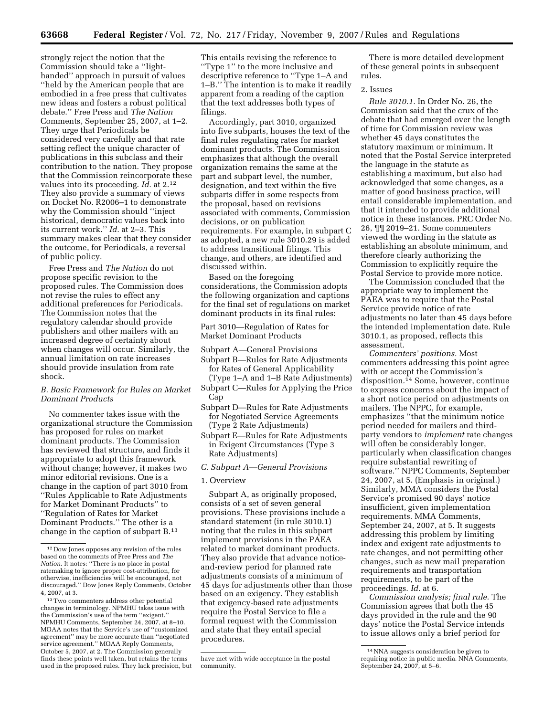strongly reject the notion that the Commission should take a ''lighthanded'' approach in pursuit of values ''held by the American people that are embodied in a free press that cultivates new ideas and fosters a robust political debate.'' Free Press and *The Nation*  Comments, September 25, 2007, at 1–2. They urge that Periodicals be considered very carefully and that rate setting reflect the unique character of publications in this subclass and their contribution to the nation. They propose that the Commission reincorporate these values into its proceeding. *Id.* at 2.12 They also provide a summary of views on Docket No. R2006–1 to demonstrate why the Commission should ''inject historical, democratic values back into its current work.'' *Id.* at 2–3. This summary makes clear that they consider the outcome, for Periodicals, a reversal of public policy.

Free Press and *The Nation* do not propose specific revision to the proposed rules. The Commission does not revise the rules to effect any additional preferences for Periodicals. The Commission notes that the regulatory calendar should provide publishers and other mailers with an increased degree of certainty about when changes will occur. Similarly, the annual limitation on rate increases should provide insulation from rate shock.

# *B. Basic Framework for Rules on Market Dominant Products*

No commenter takes issue with the organizational structure the Commission has proposed for rules on market dominant products. The Commission has reviewed that structure, and finds it appropriate to adopt this framework without change; however, it makes two minor editorial revisions. One is a change in the caption of part 3010 from ''Rules Applicable to Rate Adjustments for Market Dominant Products'' to ''Regulation of Rates for Market Dominant Products.'' The other is a change in the caption of subpart B.13

This entails revising the reference to ''Type 1'' to the more inclusive and descriptive reference to ''Type 1–A and 1–B.'' The intention is to make it readily apparent from a reading of the caption that the text addresses both types of filings.

Accordingly, part 3010, organized into five subparts, houses the text of the final rules regulating rates for market dominant products. The Commission emphasizes that although the overall organization remains the same at the part and subpart level, the number, designation, and text within the five subparts differ in some respects from the proposal, based on revisions associated with comments, Commission decisions, or on publication requirements. For example, in subpart C as adopted, a new rule 3010.29 is added to address transitional filings. This change, and others, are identified and discussed within.

Based on the foregoing considerations, the Commission adopts the following organization and captions for the final set of regulations on market dominant products in its final rules:

Part 3010—Regulation of Rates for Market Dominant Products

Subpart A—General Provisions

- Subpart B—Rules for Rate Adjustments for Rates of General Applicability
- (Type 1–A and 1–B Rate Adjustments) Subpart C—Rules for Applying the Price
- Cap
- Subpart D—Rules for Rate Adjustments for Negotiated Service Agreements (Type 2 Rate Adjustments)
- Subpart E—Rules for Rate Adjustments in Exigent Circumstances (Type 3 Rate Adjustments)

# *C. Subpart A—General Provisions*

### 1. Overview

Subpart A, as originally proposed, consists of a set of seven general provisions. These provisions include a standard statement (in rule 3010.1) noting that the rules in this subpart implement provisions in the PAEA related to market dominant products. They also provide that advance noticeand-review period for planned rate adjustments consists of a minimum of 45 days for adjustments other than those based on an exigency. They establish that exigency-based rate adjustments require the Postal Service to file a formal request with the Commission and state that they entail special procedures.

There is more detailed development of these general points in subsequent rules.

# 2. Issues

*Rule 3010.1.* In Order No. 26, the Commission said that the crux of the debate that had emerged over the length of time for Commission review was whether 45 days constitutes the statutory maximum or minimum. It noted that the Postal Service interpreted the language in the statute as establishing a maximum, but also had acknowledged that some changes, as a matter of good business practice, will entail considerable implementation, and that it intended to provide additional notice in these instances. PRC Order No. 26, ¶¶ 2019–21. Some commenters viewed the wording in the statute as establishing an absolute minimum, and therefore clearly authorizing the Commission to explicitly require the Postal Service to provide more notice.

The Commission concluded that the appropriate way to implement the PAEA was to require that the Postal Service provide notice of rate adjustments no later than 45 days before the intended implementation date. Rule 3010.1, as proposed, reflects this assessment.

*Commenters' positions.* Most commenters addressing this point agree with or accept the Commission's disposition.14 Some, however, continue to express concerns about the impact of a short notice period on adjustments on mailers. The NPPC, for example, emphasizes ''that the minimum notice period needed for mailers and thirdparty vendors to *implement* rate changes will often be considerably longer, particularly when classification changes require substantial rewriting of software.'' NPPC Comments, September 24, 2007, at 5. (Emphasis in original.) Similarly, MMA considers the Postal Service's promised 90 days' notice insufficient, given implementation requirements. MMA Comments, September 24, 2007, at 5. It suggests addressing this problem by limiting index and exigent rate adjustments to rate changes, and not permitting other changes, such as new mail preparation requirements and transportation requirements, to be part of the proceedings. *Id.* at 6.

*Commission analysis; final rule.* The Commission agrees that both the 45 days provided in the rule and the 90 days' notice the Postal Service intends to issue allows only a brief period for

<sup>12</sup> Dow Jones opposes any revision of the rules based on the comments of Free Press and *The Nation.* It notes: ''There is no place in postal ratemaking to ignore proper cost-attribution, for otherwise, inefficiencies will be encouraged, not discouraged.'' Dow Jones Reply Comments, October 4, 2007, at 3.

<sup>13</sup>Two commenters address other potential changes in terminology. NPMHU takes issue with the Commission's use of the term ''exigent.'' NPMHU Comments, September 24, 2007, at 8–10. MOAA notes that the Service's use of ''customized agreement'' may be more accurate than ''negotiated service agreement.'' MOAA Reply Comments, October 5, 2007, at 2. The Commission generally finds these points well taken, but retains the terms used in the proposed rules. They lack precision, but

have met with wide acceptance in the postal community.

<sup>14</sup>NNA suggests consideration be given to requiring notice in public media. NNA Comments, September 24, 2007, at 5–6.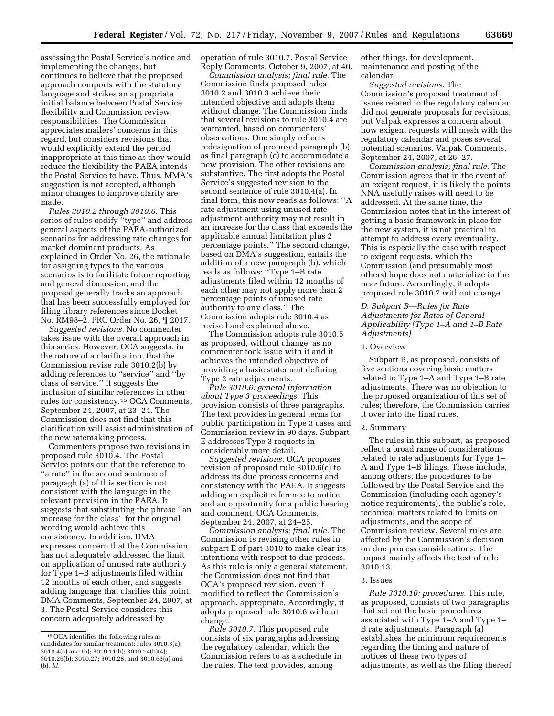assessing the Postal Service's notice and implementing the changes, but continues to believe that the proposed approach comports with the statutory language and strikes an appropriate initial balance between Postal Service flexibility and Commission review responsibilities. The Commission appreciates mailers' concerns in this regard, but considers revisions that would explicitly extend the period inappropriate at this time as they would reduce the flexibility the PAEA intends the Postal Service to have. Thus, MMA's suggestion is not accepted, although minor changes to improve clarity are made.

*Rules 3010.2 through 3010.6.* This series of rules codify ''type'' and address general aspects of the PAEA-authorized scenarios for addressing rate changes for market dominant products. As explained in Order No. 26, the rationale for assigning types to the various scenarios is to facilitate future reporting and general discussion, and the proposal generally tracks an approach that has been successfully employed for filing library references since Docket No. RM98–2. PRC Order No. 26, ¶ 2017.

*Suggested revisions.* No commenter takes issue with the overall approach in this series. However, OCA suggests, in the nature of a clarification, that the Commission revise rule 3010.2(b) by adding references to ''service'' and ''by class of service.'' It suggests the inclusion of similar references in other rules for consistency.15 OCA Comments, September 24, 2007, at 23–24. The Commission does not find that this clarification will assist administration of the new ratemaking process.

Commenters propose two revisions in proposed rule 3010.4. The Postal Service points out that the reference to ''a rate'' in the second sentence of paragragh (a) of this section is not consistent with the language in the relevant provision in the PAEA. It suggests that substituting the phrase ''an increase for the class'' for the original wording would achieve this consistency. In addition, DMA expresses concern that the Commission has not adequately addressed the limit on application of unused rate authority for Type 1–B adjustments filed within 12 months of each other, and suggests adding language that clarifies this point. DMA Comments, September 24, 2007, at 3. The Postal Service considers this concern adequately addressed by

operation of rule 3010.7. Postal Service Reply Comments, October 9, 2007, at 40.

*Commission analysis; final rule.* The Commission finds proposed rules 3010.2 and 3010.3 achieve their intended objective and adopts them without change. The Commission finds that several revisions to rule 3010.4 are warranted, based on commenters' observations. One simply reflects redesignation of proposed paragraph (b) as final paragraph (c) to accommodate a new provision. The other revisions are substantive. The first adopts the Postal Service's suggested revision to the second sentence of rule 3010.4(a). In final form, this now reads as follows: ''A rate adjustment using unused rate adjustment authority may not result in an increase for the class that exceeds the applicable annual limitation plus 2 percentage points.'' The second change, based on DMA's suggestion, entails the addition of a new paragraph (b), which reads as follows: ''Type 1–B rate adjustments filed within 12 months of each other may not apply more than 2 percentage points of unused rate authority to any class.'' The Commission adopts rule 3010.4 as revised and explained above.

The Commission adopts rule 3010.5 as proposed, without change, as no commenter took issue with it and it achieves the intended objective of providing a basic statement defining Type 2 rate adjustments.

*Rule 3010.6: general information about Type 3 proceedings.* This provision consists of three paragraphs. The text provides in general terms for public participation in Type 3 cases and Commission review in 90 days. Subpart E addresses Type 3 requests in considerably more detail.

*Suggested revisions.* OCA proposes revision of proposed rule 3010.6(c) to address its due process concerns and consistency with the PAEA. It suggests adding an explicit reference to notice and an opportunity for a public hearing and comment. OCA Comments, September 24, 2007, at 24–25.

*Commission analysis; final rule.* The Commission is revising other rules in subpart E of part 3010 to make clear its intentions with respect to due process. As this rule is only a general statement, the Commission does not find that OCA's proposed revision, even if modified to reflect the Commission's approach, appropriate. Accordingly, it adopts proposed rule 3010.6 without change.

*Rule 3010.7.* This proposed rule consists of six paragraphs addressing the regulatory calendar, which the Commission refers to as a schedule in the rules. The text provides, among

other things, for development, maintenance and posting of the calendar.

*Suggested revisions.* The Commission's proposed treatment of issues related to the regulatory calendar did not generate proposals for revisions, but Valpak expresses a concern about how exigent requests will mesh with the regulatory calendar and poses several potential scenarios. Valpak Comments, September 24, 2007, at 26–27.

*Commission analysis; final rule.* The Commission agrees that in the event of an exigent request, it is likely the points NNA usefully raises will need to be addressed. At the same time, the Commission notes that in the interest of getting a basic framework in place for the new system, it is not practical to attempt to address every eventuality. This is especially the case with respect to exigent requests, which the Commission (and presumably most others) hope does not materialize in the near future. Accordingly, it adopts proposed rule 3010.7 without change.

# *D. Subpart B—Rules for Rate Adjustments for Rates of General Applicability (Type 1–A and 1–B Rate Adjustments)*

### 1. Overview

Subpart B, as proposed, consists of five sections covering basic matters related to Type 1–A and Type 1–B rate adjustments. There was no objection to the proposed organization of this set of rules; therefore, the Commission carries it over into the final rules.

# 2. Summary

The rules in this subpart, as proposed, reflect a broad range of considerations related to rate adjustments for Type 1– A and Type 1–B filings. These include, among others, the procedures to be followed by the Postal Service and the Commission (including each agency's notice requirements), the public's role, technical matters related to limits on adjustments, and the scope of Commission review. Several rules are affected by the Commission's decision on due process considerations. The impact mainly affects the text of rule 3010.13.

### 3. Issues

*Rule 3010.10: procedures.* This rule, as proposed, consists of two paragraphs that set out the basic procedures associated with Type 1–A and Type 1– B rate adjustments. Paragraph (a) establishes the minimum requirements regarding the timing and nature of notices of these two types of adjustments, as well as the filing thereof

<sup>15</sup>OCA identifies the following rules as candidates for similar treatment: rules 3010.3(a); 3010.4(a) and (b); 3010.11(b); 3010.14(b)(4); 3010.26(b); 3010.27; 3010.28; and 3010.63(a) and (b). *Id.*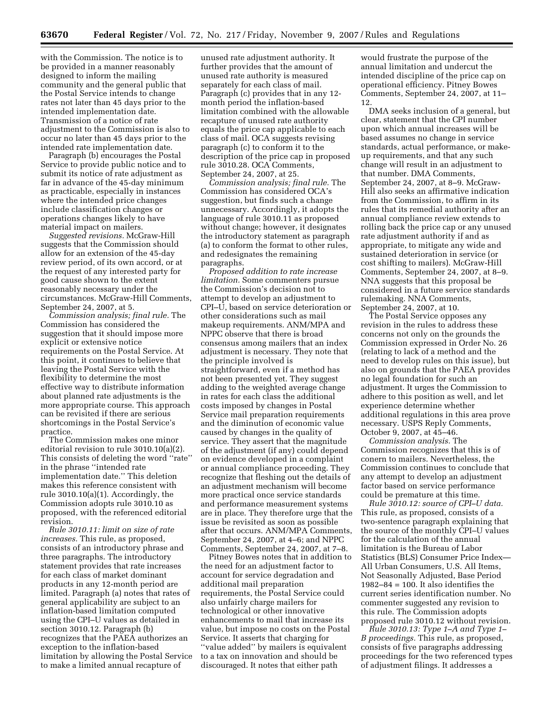with the Commission. The notice is to be provided in a manner reasonably designed to inform the mailing community and the general public that the Postal Service intends to change rates not later than 45 days prior to the intended implementation date. Transmission of a notice of rate adjustment to the Commission is also to occur no later than 45 days prior to the intended rate implementation date.

Paragraph (b) encourages the Postal Service to provide public notice and to submit its notice of rate adjustment as far in advance of the 45-day minimum as practicable, especially in instances where the intended price changes include classification changes or operations changes likely to have material impact on mailers.

*Suggested revisions.* McGraw-Hill suggests that the Commission should allow for an extension of the 45-day review period, of its own accord, or at the request of any interested party for good cause shown to the extent reasonably necessary under the circumstances. McGraw-Hill Comments, September 24, 2007, at 5.

*Commission analysis; final rule.* The Commission has considered the suggestion that it should impose more explicit or extensive notice requirements on the Postal Service. At this point, it continues to believe that leaving the Postal Service with the flexibility to determine the most effective way to distribute information about planned rate adjustments is the more appropriate course. This approach can be revisited if there are serious shortcomings in the Postal Service's practice.

The Commission makes one minor editorial revision to rule 3010.10(a)(2). This consists of deleting the word ''rate'' in the phrase ''intended rate implementation date.'' This deletion makes this reference consistent with rule 3010.10(a)(1). Accordingly, the Commission adopts rule 3010.10 as proposed, with the referenced editorial revision.

*Rule 3010.11: limit on size of rate increases.* This rule, as proposed, consists of an introductory phrase and three paragraphs. The introductory statement provides that rate increases for each class of market dominant products in any 12-month period are limited. Paragraph (a) notes that rates of general applicability are subject to an inflation-based limitation computed using the CPI–U values as detailed in section 3010.12. Paragraph (b) recognizes that the PAEA authorizes an exception to the inflation-based limitation by allowing the Postal Service to make a limited annual recapture of

unused rate adjustment authority. It further provides that the amount of unused rate authority is measured separately for each class of mail. Paragraph (c) provides that in any 12 month period the inflation-based limitation combined with the allowable recapture of unused rate authority equals the price cap applicable to each class of mail. OCA suggests revising paragraph (c) to conform it to the description of the price cap in proposed rule 3010.28. OCA Comments, September 24, 2007, at 25.

*Commission analysis; final rule.* The Commission has considered OCA's suggestion, but finds such a change unnecessary. Accordingly, it adopts the language of rule 3010.11 as proposed without change; however, it designates the introductory statement as paragraph (a) to conform the format to other rules, and redesignates the remaining paragraphs.

*Proposed addition to rate increase limitation.* Some commenters pursue the Commission's decision not to attempt to develop an adjustment to CPI–U, based on service deterioration or other considerations such as mail makeup requirements. ANM/MPA and NPPC observe that there is broad consensus among mailers that an index adjustment is necessary. They note that the principle involved is straightforward, even if a method has not been presented yet. They suggest adding to the weighted average change in rates for each class the additional costs imposed by changes in Postal Service mail preparation requirements and the diminution of economic value caused by changes in the quality of service. They assert that the magnitude of the adjustment (if any) could depend on evidence developed in a complaint or annual compliance proceeding. They recognize that fleshing out the details of an adjustment mechanism will become more practical once service standards and performance measurement systems are in place. They therefore urge that the issue be revisited as soon as possible after that occurs. ANM/MPA Comments, September 24, 2007, at 4–6; and NPPC Comments, September 24, 2007, at 7–8.

Pitney Bowes notes that in addition to the need for an adjustment factor to account for service degradation and additional mail preparation requirements, the Postal Service could also unfairly charge mailers for technological or other innovative enhancements to mail that increase its value, but impose no costs on the Postal Service. It asserts that charging for ''value added'' by mailers is equivalent to a tax on innovation and should be discouraged. It notes that either path

would frustrate the purpose of the annual limitation and undercut the intended discipline of the price cap on operational efficiency. Pitney Bowes Comments, September 24, 2007, at 11– 12.

DMA seeks inclusion of a general, but clear, statement that the CPI number upon which annual increases will be based assumes no change in service standards, actual performance, or makeup requirements, and that any such change will result in an adjustment to that number. DMA Comments, September 24, 2007, at 8–9. McGraw-Hill also seeks an affirmative indication from the Commission, to affirm in its rules that its remedial authority after an annual compliance review extends to rolling back the price cap or any unused rate adjustment authority if and as appropriate, to mitigate any wide and sustained deterioration in service (or cost shifting to mailers). McGraw-Hill Comments, September 24, 2007, at 8–9. NNA suggests that this proposal be considered in a future service standards rulemaking. NNA Comments, September 24, 2007, at 10.

The Postal Service opposes any revision in the rules to address these concerns not only on the grounds the Commission expressed in Order No. 26 (relating to lack of a method and the need to develop rules on this issue), but also on grounds that the PAEA provides no legal foundation for such an adjustment. It urges the Commission to adhere to this position as well, and let experience determine whether additional regulations in this area prove necessary. USPS Reply Comments, October 9, 2007, at 45–46.

*Commission analysis.* The Commission recognizes that this is of conern to mailers. Nevertheless, the Commission continues to conclude that any attempt to develop an adjustment factor based on service performance could be premature at this time.

*Rule 3010.12: source of CPI–U data.*  This rule, as proposed, consists of a two-sentence paragraph explaining that the source of the monthly CPI–U values for the calculation of the annual limitation is the Bureau of Labor Statistics (BLS) Consumer Price Index— All Urban Consumers, U.S. All Items, Not Seasonally Adjusted, Base Period 1982–84 = 100. It also identifies the current series identification number. No commenter suggested any revision to this rule. The Commission adopts proposed rule 3010.12 without revision.

*Rule 3010.13: Type 1–A and Type 1– B proceedings.* This rule, as proposed, consists of five paragraphs addressing proceedings for the two referenced types of adjustment filings. It addresses a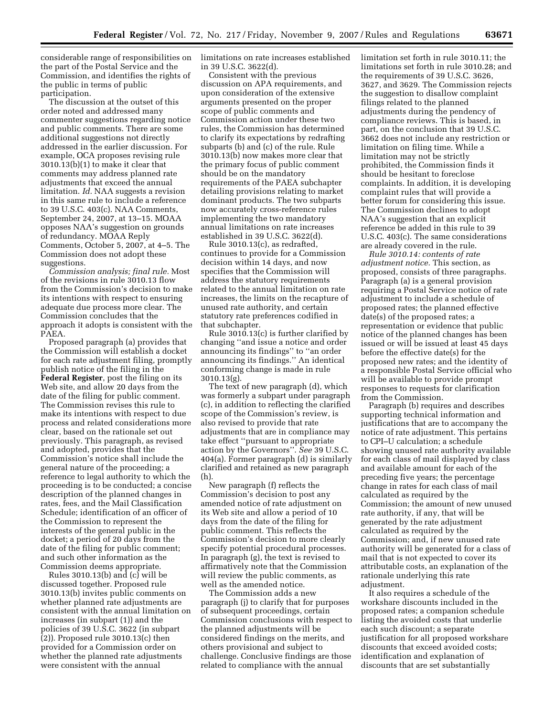considerable range of responsibilities on the part of the Postal Service and the Commission, and identifies the rights of the public in terms of public participation.

The discussion at the outset of this order noted and addressed many commenter suggestions regarding notice and public comments. There are some additional suggestions not directly addressed in the earlier discussion. For example, OCA proposes revising rule 3010.13(b)(1) to make it clear that comments may address planned rate adjustments that exceed the annual limitation. *Id.* NAA suggests a revision in this same rule to include a reference to 39 U.S.C. 403(c). NAA Comments, September 24, 2007, at 13–15. MOAA opposes NAA's suggestion on grounds of redundancy. MOAA Reply Comments, October 5, 2007, at 4–5. The Commission does not adopt these suggestions.

*Commission analysis; final rule.* Most of the revisions in rule 3010.13 flow from the Commission's decision to make its intentions with respect to ensuring adequate due process more clear. The Commission concludes that the approach it adopts is consistent with the PAEA.

Proposed paragraph (a) provides that the Commission will establish a docket for each rate adjustment filing, promptly publish notice of the filing in the **Federal Register**, post the filing on its Web site, and allow 20 days from the date of the filing for public comment. The Commission revises this rule to make its intentions with respect to due process and related considerations more clear, based on the rationale set out previously. This paragraph, as revised and adopted, provides that the Commission's notice shall include the general nature of the proceeding; a reference to legal authority to which the proceeding is to be conducted; a concise description of the planned changes in rates, fees, and the Mail Classification Schedule; identification of an officer of the Commission to represent the interests of the general public in the docket; a period of 20 days from the date of the filing for public comment; and such other information as the Commission deems appropriate.

Rules 3010.13(b) and  $(c)$  will be discussed together. Proposed rule 3010.13(b) invites public comments on whether planned rate adjustments are consistent with the annual limitation on increases (in subpart (1)) and the policies of 39 U.S.C. 3622 (in subpart (2)). Proposed rule 3010.13(c) then provided for a Commission order on whether the planned rate adjustments were consistent with the annual

limitations on rate increases established in 39 U.S.C. 3622(d).

Consistent with the previous discussion on APA requirements, and upon consideration of the extensive arguments presented on the proper scope of public comments and Commission action under these two rules, the Commission has determined to clarify its expectations by redrafting subparts (b) and (c) of the rule. Rule 3010.13(b) now makes more clear that the primary focus of public comment should be on the mandatory requirements of the PAEA subchapter detailing provisions relating to market dominant products. The two subparts now accurately cross-reference rules implementing the two mandatory annual limitations on rate increases established in 39 U.S.C. 3622(d).

Rule 3010.13(c), as redrafted, continues to provide for a Commission decision within 14 days, and now specifies that the Commission will address the statutory requirements related to the annual limitation on rate increases, the limits on the recapture of unused rate authority, and certain statutory rate preferences codified in that subchapter.

Rule 3010.13(c) is further clarified by changing ''and issue a notice and order announcing its findings'' to ''an order announcing its findings.'' An identical conforming change is made in rule 3010.13(g).

The text of new paragraph (d), which was formerly a subpart under paragraph (c), in addition to reflecting the clarified scope of the Commission's review, is also revised to provide that rate adjustments that are in compliance may take effect ''pursuant to appropriate action by the Governors''. *See* 39 U.S.C. 404(a). Former paragraph (d) is similarly clarified and retained as new paragraph (h).

New paragraph (f) reflects the Commission's decision to post any amended notice of rate adjustment on its Web site and allow a period of 10 days from the date of the filing for public comment. This reflects the Commission's decision to more clearly specify potential procedural processes. In paragraph (g), the text is revised to affirmatively note that the Commission will review the public comments, as well as the amended notice.

The Commission adds a new paragraph (j) to clarify that for purposes of subsequent proceedings, certain Commission conclusions with respect to the planned adjustments will be considered findings on the merits, and others provisional and subject to challenge. Conclusive findings are those related to compliance with the annual

limitation set forth in rule 3010.11; the limitations set forth in rule 3010.28; and the requirements of 39 U.S.C. 3626, 3627, and 3629. The Commission rejects the suggestion to disallow complaint filings related to the planned adjustments during the pendency of compliance reviews. This is based, in part, on the conclusion that 39 U.S.C. 3662 does not include any restriction or limitation on filing time. While a limitation may not be strictly prohibited, the Commission finds it should be hesitant to foreclose complaints. In addition, it is developing complaint rules that will provide a better forum for considering this issue. The Commission declines to adopt NAA's suggestion that an explicit reference be added in this rule to 39 U.S.C. 403(c). The same considerations are already covered in the rule.

*Rule 3010.14: contents of rate adjustment notice.* This section, as proposed, consists of three paragraphs. Paragraph (a) is a general provision requiring a Postal Service notice of rate adjustment to include a schedule of proposed rates; the planned effective date(s) of the proposed rates; a representation or evidence that public notice of the planned changes has been issued or will be issued at least 45 days before the effective date(s) for the proposed new rates; and the identity of a responsible Postal Service official who will be available to provide prompt responses to requests for clarification from the Commission.

Paragraph (b) requires and describes supporting technical information and justifications that are to accompany the notice of rate adjustment. This pertains to CPI–U calculation; a schedule showing unused rate authority available for each class of mail displayed by class and available amount for each of the preceding five years; the percentage change in rates for each class of mail calculated as required by the Commission; the amount of new unused rate authority, if any, that will be generated by the rate adjustment calculated as required by the Commission; and, if new unused rate authority will be generated for a class of mail that is not expected to cover its attributable costs, an explanation of the rationale underlying this rate adjustment.

It also requires a schedule of the workshare discounts included in the proposed rates; a companion schedule listing the avoided costs that underlie each such discount; a separate justification for all proposed workshare discounts that exceed avoided costs; identification and explanation of discounts that are set substantially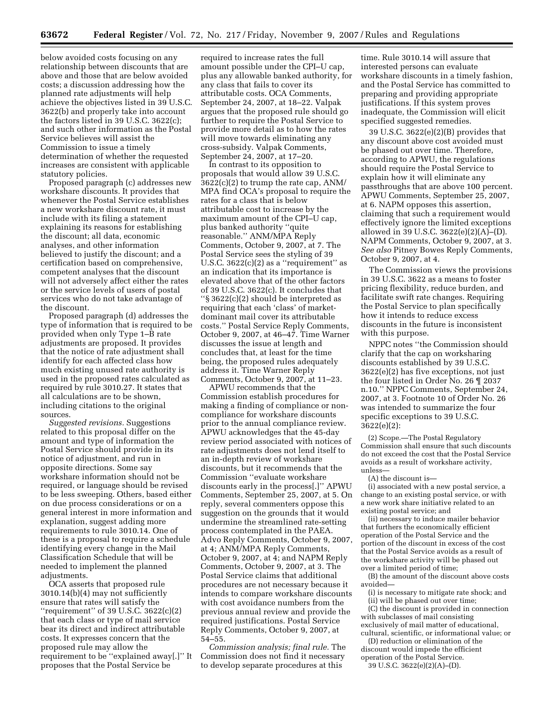below avoided costs focusing on any relationship between discounts that are above and those that are below avoided costs; a discussion addressing how the planned rate adjustments will help achieve the objectives listed in 39 U.S.C. 3622(b) and properly take into account the factors listed in 39 U.S.C. 3622(c); and such other information as the Postal Service believes will assist the Commission to issue a timely determination of whether the requested increases are consistent with applicable statutory policies.

Proposed paragraph (c) addresses new workshare discounts. It provides that whenever the Postal Service establishes a new workshare discount rate, it must include with its filing a statement explaining its reasons for establishing the discount; all data, economic analyses, and other information believed to justify the discount; and a certification based on comprehensive, competent analyses that the discount will not adversely affect either the rates or the service levels of users of postal services who do not take advantage of the discount.

Proposed paragraph (d) addresses the type of information that is required to be provided when only Type 1–B rate adjustments are proposed. It provides that the notice of rate adjustment shall identify for each affected class how much existing unused rate authority is used in the proposed rates calculated as required by rule 3010.27. It states that all calculations are to be shown, including citations to the original sources.

*Suggested revisions.* Suggestions related to this proposal differ on the amount and type of information the Postal Service should provide in its notice of adjustment, and run in opposite directions. Some say workshare information should not be required, or language should be revised to be less sweeping. Others, based either on due process considerations or on a general interest in more information and explanation, suggest adding more requirements to rule 3010.14. One of these is a proposal to require a schedule identifying every change in the Mail Classification Schedule that will be needed to implement the planned adjustments.

OCA asserts that proposed rule 3010.14(b)(4) may not sufficiently ensure that rates will satisfy the ''requirement'' of 39 U.S.C. 3622(c)(2) that each class or type of mail service bear its direct and indirect attributable costs. It expresses concern that the proposed rule may allow the requirement to be ''explained away[.]'' It proposes that the Postal Service be

required to increase rates the full amount possible under the CPI–U cap, plus any allowable banked authority, for any class that fails to cover its attributable costs. OCA Comments, September 24, 2007, at 18–22. Valpak argues that the proposed rule should go further to require the Postal Service to provide more detail as to how the rates will move towards eliminating any cross-subsidy. Valpak Comments, September 24, 2007, at 17–20.

In contrast to its opposition to proposals that would allow 39 U.S.C. 3622(c)(2) to trump the rate cap, ANM/ MPA find OCA's proposal to require the rates for a class that is below attributable cost to increase by the maximum amount of the CPI–U cap, plus banked authority ''quite reasonable.'' ANM/MPA Reply Comments, October 9, 2007, at 7. The Postal Service sees the styling of 39 U.S.C.  $3622(c)(2)$  as a "requirement" as an indication that its importance is elevated above that of the other factors of 39 U.S.C. 3622(c). It concludes that ''§ 3622(c)(2) should be interpreted as requiring that each 'class' of marketdominant mail cover its attributable costs.'' Postal Service Reply Comments, October 9, 2007, at 46–47. Time Warner discusses the issue at length and concludes that, at least for the time being, the proposed rules adequately address it. Time Warner Reply Comments, October 9, 2007, at 11–23.

APWU recommends that the Commission establish procedures for making a finding of compliance or noncompliance for workshare discounts prior to the annual compliance review. APWU acknowledges that the 45-day review period associated with notices of rate adjustments does not lend itself to an in-depth review of workshare discounts, but it recommends that the Commission ''evaluate workshare discounts early in the process[.]'' APWU Comments, September 25, 2007, at 5. On reply, several commenters oppose this suggestion on the grounds that it would undermine the streamlined rate-setting process contemplated in the PAEA. Advo Reply Comments, October 9, 2007, at 4; ANM/MPA Reply Comments, October 9, 2007, at 4; and NAPM Reply Comments, October 9, 2007, at 3. The Postal Service claims that additional procedures are not necessary because it intends to compare workshare discounts with cost avoidance numbers from the previous annual review and provide the required justifications. Postal Service Reply Comments, October 9, 2007, at 54–55.

*Commission analysis; final rule.* The Commission does not find it necessary to develop separate procedures at this

time. Rule 3010.14 will assure that interested persons can evaluate workshare discounts in a timely fashion, and the Postal Service has committed to preparing and providing appropriate justifications. If this system proves inadequate, the Commission will elicit specified suggested remedies.

39 U.S.C. 3622(e)(2)(B) provides that any discount above cost avoided must be phased out over time. Therefore, according to APWU, the regulations should require the Postal Service to explain how it will eliminate any passthroughs that are above 100 percent. APWU Comments, September 25, 2007, at 6. NAPM opposes this assertion, claiming that such a requirement would effectively ignore the limited exceptions allowed in 39 U.S.C. 3622(e)(2)(A)–(D). NAPM Comments, October 9, 2007, at 3. *See also* Pitney Bowes Reply Comments, October 9, 2007, at 4.

The Commission views the provisions in 39 U.S.C. 3622 as a means to foster pricing flexibility, reduce burden, and facilitate swift rate changes. Requiring the Postal Service to plan specifically how it intends to reduce excess discounts in the future is inconsistent with this purpose.

NPPC notes ''the Commission should clarify that the cap on worksharing discounts established by 39 U.S.C. 3622(e)(2) has five exceptions, not just the four listed in Order No. 26 ¶ 2037 n.10.'' NPPC Comments, September 24, 2007, at 3. Footnote 10 of Order No. 26 was intended to summarize the four specific exceptions to 39 U.S.C. 3622(e)(2):

(2) Scope.—The Postal Regulatory Commission shall ensure that such discounts do not exceed the cost that the Postal Service avoids as a result of workshare activity, unless—

(A) the discount is—

(i) associated with a new postal service, a change to an existing postal service, or with a new work share initiative related to an existing postal service; and

(ii) necessary to induce mailer behavior that furthers the economically efficient operation of the Postal Service and the portion of the discount in excess of the cost that the Postal Service avoids as a result of the workshare activity will be phased out over a limited period of time;

(B) the amount of the discount above costs avoided—

(i) is necessary to mitigate rate shock; and

(ii) will be phased out over time; (C) the discount is provided in connection with subclasses of mail consisting exclusively of mail matter of educational,

cultural, scientific, or informational value; or (D) reduction or elimination of the

discount would impede the efficient operation of the Postal Service.

39 U.S.C. 3622(e)(2)(A)–(D).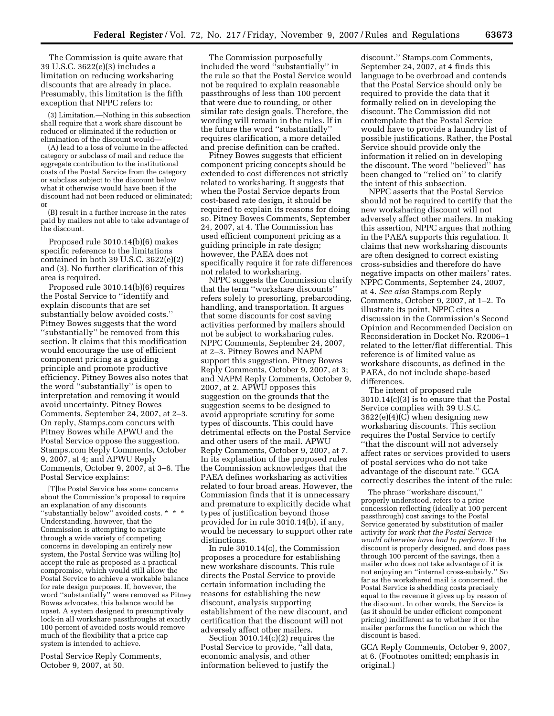The Commission is quite aware that 39 U.S.C. 3622(e)(3) includes a limitation on reducing worksharing discounts that are already in place. Presumably, this limitation is the fifth exception that NPPC refers to:

(3) Limitation.—Nothing in this subsection shall require that a work share discount be reduced or eliminated if the reduction or elimination of the discount would—

(A) lead to a loss of volume in the affected category or subclass of mail and reduce the aggregate contribution to the institutional costs of the Postal Service from the category or subclass subject to the discount below what it otherwise would have been if the discount had not been reduced or eliminated; or

(B) result in a further increase in the rates paid by mailers not able to take advantage of the discount.

Proposed rule 3010.14(b)(6) makes specific reference to the limitations contained in both 39 U.S.C. 3622(e)(2) and (3). No further clarification of this area is required.

Proposed rule 3010.14(b)(6) requires the Postal Service to ''identify and explain discounts that are set substantially below avoided costs.'' Pitney Bowes suggests that the word ''substantially'' be removed from this section. It claims that this modification would encourage the use of efficient component pricing as a guiding principle and promote productive efficiency. Pitney Bowes also notes that the word ''substantially'' is open to interpretation and removing it would avoid uncertainty. Pitney Bowes Comments, September 24, 2007, at 2–3. On reply, Stamps.com concurs with Pitney Bowes while APWU and the Postal Service oppose the suggestion. Stamps.com Reply Comments, October 9, 2007, at 4; and APWU Reply Comments, October 9, 2007, at 3–6. The Postal Service explains:

[T]he Postal Service has some concerns about the Commission's proposal to require an explanation of any discounts ''substantially below'' avoided costs. \* \* \* Understanding, however, that the Commission is attempting to navigate through a wide variety of competing concerns in developing an entirely new system, the Postal Service was willing [to] accept the rule as proposed as a practical compromise, which would still allow the Postal Service to achieve a workable balance for rate design purposes. If, however, the word ''substantially'' were removed as Pitney Bowes advocates, this balance would be upset. A system designed to presumptively lock-in all workshare passthroughs at exactly 100 percent of avoided costs would remove much of the flexibility that a price cap system is intended to achieve.

Postal Service Reply Comments, October 9, 2007, at 50.

The Commission purposefully included the word ''substantially'' in the rule so that the Postal Service would not be required to explain reasonable passthroughs of less than 100 percent that were due to rounding, or other similar rate design goals. Therefore, the wording will remain in the rules. If in the future the word ''substantially'' requires clarification, a more detailed and precise definition can be crafted.

Pitney Bowes suggests that efficient component pricing concepts should be extended to cost differences not strictly related to worksharing. It suggests that when the Postal Service departs from cost-based rate design, it should be required to explain its reasons for doing so. Pitney Bowes Comments, September 24, 2007, at 4. The Commission has used efficient component pricing as a guiding principle in rate design; however, the PAEA does not specifically require it for rate differences not related to worksharing.

NPPC suggests the Commission clarify that the term ''workshare discounts'' refers solely to presorting, prebarcoding, handling, and transportation. It argues that some discounts for cost saving activities performed by mailers should not be subject to worksharing rules. NPPC Comments, September 24, 2007, at 2–3. Pitney Bowes and NAPM support this suggestion. Pitney Bowes Reply Comments, October 9, 2007, at 3; and NAPM Reply Comments, October 9, 2007, at 2. APWU opposes this suggestion on the grounds that the suggestion seems to be designed to avoid appropriate scrutiny for some types of discounts. This could have detrimental effects on the Postal Service and other users of the mail. APWU Reply Comments, October 9, 2007, at 7. In its explanation of the proposed rules the Commission acknowledges that the PAEA defines worksharing as activities related to four broad areas. However, the Commission finds that it is unnecessary and premature to explicitly decide what types of justification beyond those provided for in rule 3010.14(b), if any, would be necessary to support other rate distinctions.

In rule 3010.14(c), the Commission proposes a procedure for establishing new workshare discounts. This rule directs the Postal Service to provide certain information including the reasons for establishing the new discount, analysis supporting establishment of the new discount, and certification that the discount will not adversely affect other mailers.

Section 3010.14(c)(2) requires the Postal Service to provide, "all data, economic analysis, and other information believed to justify the

discount.'' Stamps.com Comments, September 24, 2007, at 4 finds this language to be overbroad and contends that the Postal Service should only be required to provide the data that it formally relied on in developing the discount. The Commission did not contemplate that the Postal Service would have to provide a laundry list of possible justifications. Rather, the Postal Service should provide only the information it relied on in developing the discount. The word ''believed'' has been changed to ''relied on'' to clarify the intent of this subsection.

NPPC asserts that the Postal Service should not be required to certify that the new worksharing discount will not adversely affect other mailers. In making this assertion, NPPC argues that nothing in the PAEA supports this regulation. It claims that new worksharing discounts are often designed to correct existing cross-subsidies and therefore do have negative impacts on other mailers' rates. NPPC Comments, September 24, 2007, at 4. *See also* Stamps.com Reply Comments, October 9, 2007, at 1–2. To illustrate its point, NPPC cites a discussion in the Commission's Second Opinion and Recommended Decision on Reconsideration in Docket No. R2006–1 related to the letter/flat differential. This reference is of limited value as workshare discounts, as defined in the PAEA, do not include shape-based differences.

The intent of proposed rule 3010.14(c)(3) is to ensure that the Postal Service complies with 39 U.S.C. 3622(e)(4)(C) when designing new worksharing discounts. This section requires the Postal Service to certify ''that the discount will not adversely affect rates or services provided to users of postal services who do not take advantage of the discount rate.'' GCA correctly describes the intent of the rule:

The phrase ''workshare discount,'' properly understood, refers to a price concession reflecting (ideally at 100 percent passthrough) cost savings to the Postal Service generated by substitution of mailer activity for *work that the Postal Service would otherwise have had to perform.* If the discount is properly designed, and does pass through 100 percent of the savings, then a mailer who does not take advantage of it is not enjoying an ''internal cross-subsidy.'' So far as the workshared mail is concerned, the Postal Service is shedding costs precisely equal to the revenue it gives up by reason of the discount. In other words, the Service is (as it should be under efficient component pricing) indifferent as to whether it or the mailer performs the function on which the discount is based.

GCA Reply Comments, October 9, 2007, at 6. (Footnotes omitted; emphasis in original.)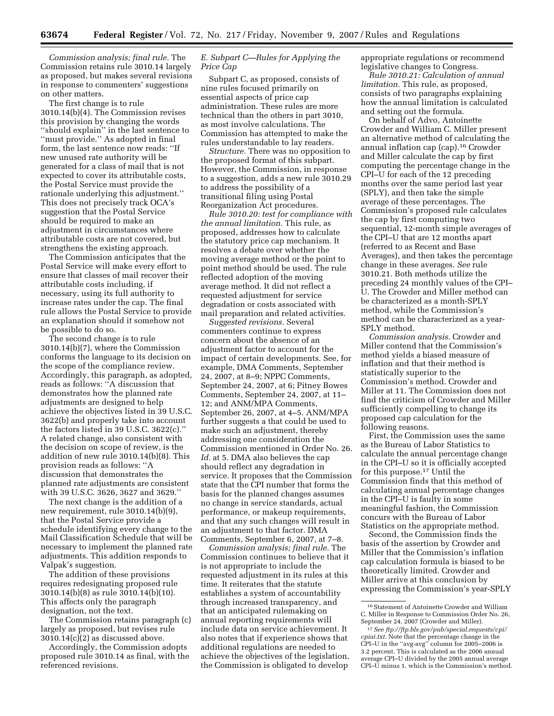*Commission analysis; final rule.* The Commission retains rule 3010.14 largely as proposed, but makes several revisions in response to commenters' suggestions on other matters.

The first change is to rule 3010.14(b)(4). The Commission revises this provision by changing the words ''should explain'' in the last sentence to ''must provide.'' As adopted in final form, the last sentence now reads: ''If new unused rate authority will be generated for a class of mail that is not expected to cover its attributable costs, the Postal Service must provide the rationale underlying this adjustment.'' This does not precisely track OCA's suggestion that the Postal Service should be required to make an adjustment in circumstances where attributable costs are not covered, but strengthens the existing approach.

The Commission anticipates that the Postal Service will make every effort to ensure that classes of mail recover their attributable costs including, if necessary, using its full authority to increase rates under the cap. The final rule allows the Postal Service to provide an explanation should it somehow not be possible to do so.

The second change is to rule 3010.14(b)(7), where the Commission conforms the language to its decision on the scope of the compliance review. Accordingly, this paragraph, as adopted, reads as follows: ''A discussion that demonstrates how the planned rate adjustments are designed to help achieve the objectives listed in 39 U.S.C. 3622(b) and properly take into account the factors listed in 39 U.S.C. 3622(c).'' A related change, also consistent with the decision on scope of review, is the addition of new rule 3010.14(b)(8). This provision reads as follows: ''A discussion that demonstrates the planned rate adjustments are consistent with 39 U.S.C. 3626, 3627 and 3629.''

The next change is the addition of a new requirement, rule 3010.14(b)(9), that the Postal Service provide a schedule identifying every change to the Mail Classification Schedule that will be necessary to implement the planned rate adjustments. This addition responds to Valpak's suggestion.

The addition of these provisions requires redesignating proposed rule 3010.14(b)(8) as rule 3010.14(b)(10). This affects only the paragraph designation, not the text.

The Commission retains paragraph (c) largely as proposed, but revises rule 3010.14(c)(2) as discussed above.

Accordingly, the Commission adopts proposed rule 3010.14 as final, with the referenced revisions.

# *E. Subpart C—Rules for Applying the Price Cap*

Subpart C, as proposed, consists of nine rules focused primarily on essential aspects of price cap administration. These rules are more technical than the others in part 3010, as most involve calculations. The Commission has attempted to make the rules understandable to lay readers.

*Structure.* There was no opposition to the proposed format of this subpart. However, the Commission, in response to a suggestion, adds a new rule 3010.29 to address the possibility of a transitional filing using Postal Reorganization Act procedures.

*Rule 3010.20: test for compliance with the annual limitation.* This rule, as proposed, addresses how to calculate the statutory price cap mechanism. It resolves a debate over whether the moving average method or the point to point method should be used. The rule reflected adoption of the moving average method. It did not reflect a requested adjustment for service degradation or costs associated with mail preparation and related activities.

*Suggested revisions.* Several commenters continue to express concern about the absence of an adjustment factor to account for the impact of certain developments. See, for example, DMA Comments, September 24, 2007, at 8–9; NPPC Comments, September 24, 2007, at 6; Pitney Bowes Comments, September 24, 2007, at 11– 12; and ANM/MPA Comments, September 26, 2007, at 4–5. ANM/MPA further suggests a that could be used to make such an adjustment, thereby addressing one consideration the Commission mentioned in Order No. 26. Id. at 5. DMA also believes the cap should reflect any degradation in service. It proposes that the Commission state that the CPI number that forms the basis for the planned changes assumes no change in service standards, actual performance, or makeup requirements, and that any such changes will result in an adjustment to that factor. DMA Comments, September 6, 2007, at 7–8.

*Commission analysis; final rule.* The Commission continues to believe that it is not appropriate to include the requested adjustment in its rules at this time. It reiterates that the statute establishes a system of accountability through increased transparency, and that an anticipated rulemaking on annual reporting requirements will include data on service achievement. It also notes that if experience shows that additional regulations are needed to achieve the objectives of the legislation, the Commission is obligated to develop

appropriate regulations or recommend legislative changes to Congress.

*Rule 3010.21: Calculation of annual limitation.* This rule, as proposed, consists of two paragraphs explaining how the annual limitation is calculated and setting out the formula.

On behalf of Advo, Antoinette Crowder and William C. Miller present an alternative method of calculating the annual inflation cap (cap).16 Crowder and Miller calculate the cap by first computing the percentage change in the CPI–U for each of the 12 preceding months over the same period last year (SPLY), and then take the simple average of these percentages. The Commission's proposed rule calculates the cap by first computing two sequential, 12-month simple averages of the CPI–U that are 12 months apart (referred to as Recent and Base Averages), and then takes the percentage change in these averages. *See* rule 3010.21. Both methods utilize the preceding 24 monthly values of the CPI– U. The Crowder and Miller method can be characterized as a month-SPLY method, while the Commission's method can be characterized as a year-SPLY method.

*Commission analysis.* Crowder and Miller contend that the Commission's method yields a biased measure of inflation and that their method is statistically superior to the Commission's method. Crowder and Miller at 11. The Commission does not find the criticism of Crowder and Miller sufficiently compelling to change its proposed cap calculation for the following reasons.

First, the Commission uses the same as the Bureau of Labor Statistics to calculate the annual percentage change in the CPI–U so it is officially accepted for this purpose.17 Until the Commission finds that this method of calculating annual percentage changes in the CPI–U is faulty in some meaningful fashion, the Commission concurs with the Bureau of Labor Statistics on the appropriate method.

Second, the Commission finds the basis of the assertion by Crowder and Miller that the Commission's inflation cap calculation formula is biased to be theoretically limited. Crowder and Miller arrive at this conclusion by expressing the Commission's year-SPLY

<sup>16</sup>Statement of Antoinette Crowder and William C. Miller in Response to Commission Order No. 26, September 24, 2007 (Crowder and Miller).

<sup>17</sup>*See ftp://ftp.bls.gov/pub/special.requests/cpi/ cpiai.txt.* Note that the percentage change in the CPI–U in the ''avg-avg'' column for 2005–2006 is 3.2 percent. This is calculated as the 2006 annual average CPI–U divided by the 2005 annual average CPI–U minus 1, which is the Commission's method.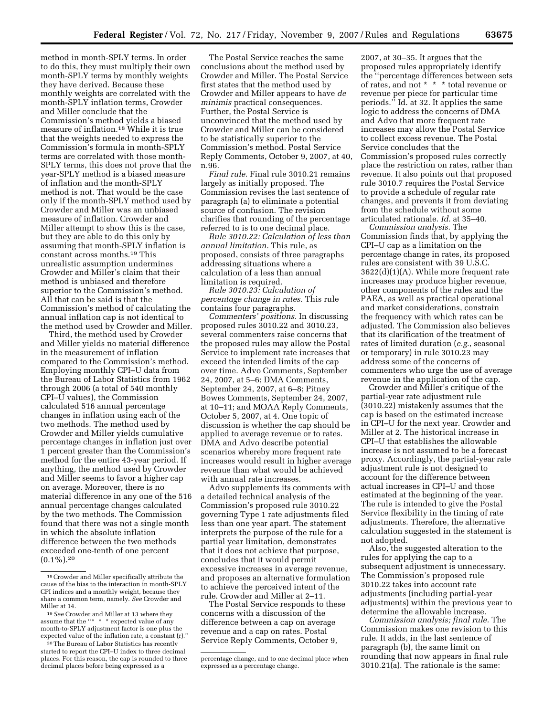method in month-SPLY terms. In order to do this, they must multiply their own month-SPLY terms by monthly weights they have derived. Because these monthly weights are correlated with the month-SPLY inflation terms, Crowder and Miller conclude that the Commission's method yields a biased measure of inflation.18 While it is true that the weights needed to express the Commission's formula in month-SPLY terms are correlated with those month-SPLY terms, this does not prove that the year-SPLY method is a biased measure of inflation and the month-SPLY method is not. That would be the case only if the month-SPLY method used by Crowder and Miller was an unbiased measure of inflation. Crowder and Miller attempt to show this is the case, but they are able to do this only by assuming that month-SPLY inflation is constant across months.19 This unrealistic assumption undermines Crowder and Miller's claim that their method is unbiased and therefore superior to the Commission's method. All that can be said is that the Commission's method of calculating the annual inflation cap is not identical to the method used by Crowder and Miller.

Third, the method used by Crowder and Miller yields no material difference in the measurement of inflation compared to the Commission's method. Employing monthly CPI–U data from the Bureau of Labor Statistics from 1962 through 2006 (a total of 540 monthly CPI–U values), the Commission calculated 516 annual percentage changes in inflation using each of the two methods. The method used by Crowder and Miller yields cumulative percentage changes in inflation just over 1 percent greater than the Commission's method for the entire 43-year period. If anything, the method used by Crowder and Miller seems to favor a higher cap on average. Moreover, there is no material difference in any one of the 516 annual percentage changes calculated by the two methods. The Commission found that there was not a single month in which the absolute inflation difference between the two methods exceeded one-tenth of one percent  $(0.1\%)$ . 20

20The Bureau of Labor Statistics has recently started to report the CPI–U index to three decimal places. For this reason, the cap is rounded to three decimal places before being expressed as a

The Postal Service reaches the same conclusions about the method used by Crowder and Miller. The Postal Service first states that the method used by Crowder and Miller appears to have *de minimis* practical consequences. Further, the Postal Service is unconvinced that the method used by Crowder and Miller can be considered to be statistically superior to the Commission's method. Postal Service Reply Comments, October 9, 2007, at 40, n.96.

*Final rule.* Final rule 3010.21 remains largely as initially proposed. The Commission revises the last sentence of paragraph (a) to eliminate a potential source of confusion. The revision clarifies that rounding of the percentage referred to is to one decimal place.

*Rule 3010.22: Calculation of less than annual limitation.* This rule, as proposed, consists of three paragraphs addressing situations where a calculation of a less than annual limitation is required.

*Rule 3010.23: Calculation of percentage change in rates.* This rule contains four paragraphs.

*Commenters' positions.* In discussing proposed rules 3010.22 and 3010.23, several commenters raise concerns that the proposed rules may allow the Postal Service to implement rate increases that exceed the intended limits of the cap over time. Advo Comments, September 24, 2007, at 5–6; DMA Comments, September 24, 2007, at 6–8; Pitney Bowes Comments, September 24, 2007, at 10–11; and MOAA Reply Comments, October 5, 2007, at 4. One topic of discussion is whether the cap should be applied to average revenue or to rates. DMA and Advo describe potential scenarios whereby more frequent rate increases would result in higher average revenue than what would be achieved with annual rate increases.

Advo supplements its comments with a detailed technical analysis of the Commission's proposed rule 3010.22 governing Type 1 rate adjustments filed less than one year apart. The statement interprets the purpose of the rule for a partial year limitation, demonstrates that it does not achieve that purpose, concludes that it would permit excessive increases in average revenue, and proposes an alternative formulation to achieve the perceived intent of the rule. Crowder and Miller at 2–11.

The Postal Service responds to these concerns with a discussion of the difference between a cap on average revenue and a cap on rates. Postal Service Reply Comments, October 9,

2007, at 30–35. It argues that the proposed rules appropriately identify the ''percentage differences between sets of rates, and not \* \* \* total revenue or revenue per piece for particular time periods.'' Id. at 32. It applies the same logic to address the concerns of DMA and Advo that more frequent rate increases may allow the Postal Service to collect excess revenue. The Postal Service concludes that the Commission's proposed rules correctly place the restriction on rates, rather than revenue. It also points out that proposed rule 3010.7 requires the Postal Service to provide a schedule of regular rate changes, and prevents it from deviating from the schedule without some articulated rationale. *Id.* at 35–40.

*Commission analysis.* The Commission finds that, by applying the CPI–U cap as a limitation on the percentage change in rates, its proposed rules are consistent with 39 U.S.C. 3622(d)(1)(A). While more frequent rate increases may produce higher revenue, other components of the rules and the PAEA, as well as practical operational and market considerations, constrain the frequency with which rates can be adjusted. The Commission also believes that its clarification of the treatment of rates of limited duration (*e.g.*, seasonal or temporary) in rule 3010.23 may address some of the concerns of commenters who urge the use of average revenue in the application of the cap.

Crowder and Miller's critique of the partial-year rate adjustment rule (3010.22) mistakenly assumes that the cap is based on the estimated increase in CPI–U for the next year. Crowder and Miller at 2. The historical increase in CPI–U that establishes the allowable increase is not assumed to be a forecast proxy. Accordingly, the partial-year rate adjustment rule is not designed to account for the difference between actual increases in CPI–U and those estimated at the beginning of the year. The rule is intended to give the Postal Service flexibility in the timing of rate adjustments. Therefore, the alternative calculation suggested in the statement is not adopted.

Also, the suggested alteration to the rules for applying the cap to a subsequent adjustment is unnecessary. The Commission's proposed rule 3010.22 takes into account rate adjustments (including partial-year adjustments) within the previous year to determine the allowable increase.

*Commission analysis; final rule.* The Commission makes one revision to this rule. It adds, in the last sentence of paragraph (b), the same limit on rounding that now appears in final rule 3010.21(a). The rationale is the same:

<sup>18</sup>Crowder and Miller specifically attribute the cause of the bias to the interaction in month-SPLY CPI indices and a monthly weight, because they share a common term, namely. *See* Crowder and Miller at 14.

<sup>19</sup>*See* Crowder and Miller at 13 where they assume that the "\* \* \* \* expected value of any month-to-SPLY adjustment factor is one plus the expected value of the inflation rate, a constant (r).''

percentage change, and to one decimal place when expressed as a percentage change.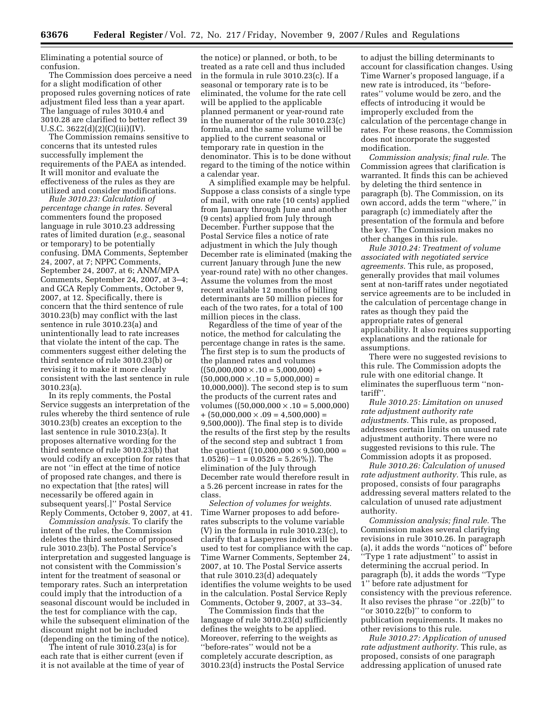Eliminating a potential source of confusion.

The Commission does perceive a need for a slight modification of other proposed rules governing notices of rate adjustment filed less than a year apart. The language of rules 3010.4 and 3010.28 are clarified to better reflect 39 U.S.C. 3622(d)(2)(C)(iii)(IV).

The Commission remains sensitive to concerns that its untested rules successfully implement the requirements of the PAEA as intended. It will monitor and evaluate the effectiveness of the rules as they are utilized and consider modifications.

*Rule 3010.23: Calculation of percentage change in rates.* Several commenters found the proposed language in rule 3010.23 addressing rates of limited duration (*e.g.*, seasonal or temporary) to be potentially confusing. DMA Comments, September 24, 2007, at 7; NPPC Comments, September 24, 2007, at 6; ANM/MPA Comments, September 24, 2007, at 3–4; and GCA Reply Comments, October 9, 2007, at 12. Specifically, there is concern that the third sentence of rule 3010.23(b) may conflict with the last sentence in rule 3010.23(a) and unintentionally lead to rate increases that violate the intent of the cap. The commenters suggest either deleting the third sentence of rule 3010.23(b) or revising it to make it more clearly consistent with the last sentence in rule 3010.23(a).

In its reply comments, the Postal Service suggests an interpretation of the rules whereby the third sentence of rule 3010.23(b) creates an exception to the last sentence in rule 3010.23(a). It proposes alternative wording for the third sentence of rule 3010.23(b) that would codify an exception for rates that are not ''in effect at the time of notice of proposed rate changes, and there is no expectation that [the rates] will necessarily be offered again in subsequent years[.]'' Postal Service Reply Comments, October 9, 2007, at 41.

*Commission analysis.* To clarify the intent of the rules, the Commission deletes the third sentence of proposed rule 3010.23(b). The Postal Service's interpretation and suggested language is not consistent with the Commission's intent for the treatment of seasonal or temporary rates. Such an interpretation could imply that the introduction of a seasonal discount would be included in the test for compliance with the cap, while the subsequent elimination of the discount might not be included (depending on the timing of the notice).

The intent of rule 3010.23(a) is for each rate that is either current (even if it is not available at the time of year of

the notice) or planned, or both, to be treated as a rate cell and thus included in the formula in rule 3010.23(c). If a seasonal or temporary rate is to be eliminated, the volume for the rate cell will be applied to the applicable planned permanent or year-round rate in the numerator of the rule 3010.23(c) formula, and the same volume will be applied to the current seasonal or temporary rate in question in the denominator. This is to be done without regard to the timing of the notice within a calendar year.

A simplified example may be helpful. Suppose a class consists of a single type of mail, with one rate (10 cents) applied from January through June and another (9 cents) applied from July through December. Further suppose that the Postal Service files a notice of rate adjustment in which the July though December rate is eliminated (making the current January through June the new year-round rate) with no other changes. Assume the volumes from the most recent available 12 months of billing determinants are 50 million pieces for each of the two rates, for a total of 100 million pieces in the class.

Regardless of the time of year of the notice, the method for calculating the percentage change in rates is the same. The first step is to sum the products of the planned rates and volumes  $((50,000,000 \times .10 = 5,000,000) +$  $(50,000,000 \times 0.10 = 5,000,000) =$ 10,000,000)). The second step is to sum the products of the current rates and volumes ((50,000,000  $\times$  .10 = 5,000,000)  $+$  (50,000,000  $\times$  .09 = 4,500,000) = 9,500,000)). The final step is to divide the results of the first step by the results of the second step and subtract 1 from the quotient  $((10,000,000 \times 9,500,000 =$  $1.0526$ ) – 1 = 0.0526 = 5.26%)). The elimination of the July through December rate would therefore result in a 5.26 percent increase in rates for the class.

*Selection of volumes for weights.*  Time Warner proposes to add beforerates subscripts to the volume variable (V) in the formula in rule 3010.23(c), to clarify that a Laspeyres index will be used to test for compliance with the cap. Time Warner Comments, September 24, 2007, at 10. The Postal Service asserts that rule 3010.23(d) adequately identifies the volume weights to be used in the calculation. Postal Service Reply Comments, October 9, 2007, at 33–34.

The Commission finds that the language of rule 3010.23(d) sufficiently defines the weights to be applied. Moreover, referring to the weights as ''before-rates'' would not be a completely accurate description, as 3010.23(d) instructs the Postal Service

to adjust the billing determinants to account for classification changes. Using Time Warner's proposed language, if a new rate is introduced, its ''beforerates'' volume would be zero, and the effects of introducing it would be improperly excluded from the calculation of the percentage change in rates. For these reasons, the Commission does not incorporate the suggested modification.

*Commission analysis; final rule.* The Commission agrees that clarification is warranted. It finds this can be achieved by deleting the third sentence in paragraph (b). The Commission, on its own accord, adds the term ''where,'' in paragraph (c) immediately after the presentation of the formula and before the key. The Commission makes no other changes in this rule.

*Rule 3010.24: Treatment of volume associated with negotiated service agreements.* This rule, as proposed, generally provides that mail volumes sent at non-tariff rates under negotiated service agreements are to be included in the calculation of percentage change in rates as though they paid the appropriate rates of general applicability. It also requires supporting explanations and the rationale for assumptions.

There were no suggested revisions to this rule. The Commission adopts the rule with one editorial change. It eliminates the superfluous term ''nontariff''.

*Rule 3010.25: Limitation on unused rate adjustment authority rate adjustments.* This rule, as proposed, addresses certain limits on unused rate adjustment authority. There were no suggested revisions to this rule. The Commission adopts it as proposed.

*Rule 3010.26: Calculation of unused rate adjustment authority.* This rule, as proposed, consists of four paragraphs addressing several matters related to the calculation of unused rate adjustment authority.

*Commission analysis; final rule.* The Commission makes several clarifying revisions in rule 3010.26. In paragraph (a), it adds the words ''notices of'' before ''Type 1 rate adjustment'' to assist in determining the accrual period. In paragraph (b), it adds the words ''Type 1'' before rate adjustment for consistency with the previous reference. It also revises the phrase ''or .22(b)'' to " $or$  3010.22(b)" to conform to publication requirements. It makes no other revisions to this rule.

*Rule 3010.27: Application of unused rate adjustment authority.* This rule, as proposed, consists of one paragraph addressing application of unused rate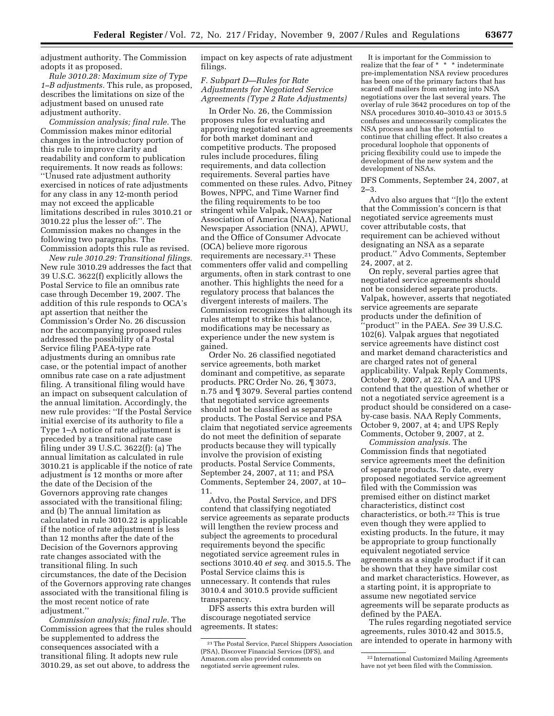adjustment authority. The Commission adopts it as proposed.

*Rule 3010.28: Maximum size of Type 1–B adjustments.* This rule, as proposed, describes the limitations on size of the adjustment based on unused rate adjustment authority.

*Commission analysis; final rule.* The Commission makes minor editorial changes in the introductory portion of this rule to improve clarity and readability and conform to publication requirements. It now reads as follows: ''Unused rate adjustment authority exercised in notices of rate adjustments for any class in any 12-month period may not exceed the applicable limitations described in rules 3010.21 or 3010.22 plus the lesser of:''. The Commission makes no changes in the following two paragraphs. The Commission adopts this rule as revised.

*New rule 3010.29: Transitional filings.*  New rule 3010.29 addresses the fact that 39 U.S.C. 3622(f) explicitly allows the Postal Service to file an omnibus rate case through December 19, 2007. The addition of this rule responds to OCA's apt assertion that neither the Commission's Order No. 26 discussion nor the accompanying proposed rules addressed the possibility of a Postal Service filing PAEA-type rate adjustments during an omnibus rate case, or the potential impact of another omnibus rate case on a rate adjustment filing. A transitional filing would have an impact on subsequent calculation of the annual limitation. Accordingly, the new rule provides: ''If the Postal Service initial exercise of its authority to file a Type 1–A notice of rate adjustment is preceded by a transitional rate case filing under 39 U.S.C. 3622(f): (a) The annual limitation as calculated in rule 3010.21 is applicable if the notice of rate adjustment is 12 months or more after the date of the Decision of the Governors approving rate changes associated with the transitional filing; and (b) The annual limitation as calculated in rule 3010.22 is applicable if the notice of rate adjustment is less than 12 months after the date of the Decision of the Governors approving rate changes associated with the transitional filing. In such circumstances, the date of the Decision of the Governors approving rate changes associated with the transitional filing is the most recent notice of rate adjustment.''

*Commission analysis; final rule.* The Commission agrees that the rules should be supplemented to address the consequences associated with a transitional filing. It adopts new rule 3010.29, as set out above, to address the

impact on key aspects of rate adjustment filings.

# *F. Subpart D—Rules for Rate Adjustments for Negotiated Service Agreements (Type 2 Rate Adjustments)*

In Order No. 26, the Commission proposes rules for evaluating and approving negotiated service agreements for both market dominant and competitive products. The proposed rules include procedures, filing requirements, and data collection requirements. Several parties have commented on these rules. Advo, Pitney Bowes, NPPC, and Time Warner find the filing requirements to be too stringent while Valpak, Newspaper Association of America (NAA), National Newspaper Association (NNA), APWU, and the Office of Consumer Advocate (OCA) believe more rigorous requirements are necessary.21 These commenters offer valid and compelling arguments, often in stark contrast to one another. This highlights the need for a regulatory process that balances the divergent interests of mailers. The Commission recognizes that although its rules attempt to strike this balance, modifications may be necessary as experience under the new system is gained.

Order No. 26 classified negotiated service agreements, both market dominant and competitive, as separate products. PRC Order No. 26, ¶ 3073, n.75 and ¶ 3079. Several parties contend that negotiated service agreements should not be classified as separate products. The Postal Service and PSA claim that negotiated service agreements do not meet the definition of separate products because they will typically involve the provision of existing products. Postal Service Comments, September 24, 2007, at 11; and PSA Comments, September 24, 2007, at 10– 11.

Advo, the Postal Service, and DFS contend that classifying negotiated service agreements as separate products will lengthen the review process and subject the agreements to procedural requirements beyond the specific negotiated service agreement rules in sections 3010.40 *et seq.* and 3015.5. The Postal Service claims this is unnecessary. It contends that rules 3010.4 and 3010.5 provide sufficient transparency.

DFS asserts this extra burden will discourage negotiated service agreements. It states:

It is important for the Commission to realize that the fear of \* \* \* indeterminate pre-implementation NSA review procedures has been one of the primary factors that has scared off mailers from entering into NSA negotiations over the last several years. The overlay of rule 3642 procedures on top of the NSA procedures 3010.40–3010.43 or 3015.5 confuses and unnecessarily complicates the NSA process and has the potential to continue that chilling effect. It also creates a procedural loophole that opponents of pricing flexibility could use to impede the development of the new system and the development of NSAs.

DFS Comments, September 24, 2007, at 2–3.

Advo also argues that ''[t]o the extent that the Commission's concern is that negotiated service agreements must cover attributable costs, that requirement can be achieved without designating an NSA as a separate product.'' Advo Comments, September 24, 2007, at 2.

On reply, several parties agree that negotiated service agreements should not be considered separate products. Valpak, however, asserts that negotiated service agreements are separate products under the definition of ''product'' in the PAEA. *See* 39 U.S.C. 102(6). Valpak argues that negotiated service agreements have distinct cost and market demand characteristics and are charged rates not of general applicability. Valpak Reply Comments, October 9, 2007, at 22. NAA and UPS contend that the question of whether or not a negotiated service agreement is a product should be considered on a caseby-case basis. NAA Reply Comments, October 9, 2007, at 4; and UPS Reply Comments, October 9, 2007, at 2.

*Commission analysis.* The Commission finds that negotiated service agreements meet the definition of separate products. To date, every proposed negotiated service agreement filed with the Commission was premised either on distinct market characteristics, distinct cost characteristics, or both.22 This is true even though they were applied to existing products. In the future, it may be appropriate to group functionally equivalent negotiated service agreements as a single product if it can be shown that they have similar cost and market characteristics. However, as a starting point, it is appropriate to assume new negotiated service agreements will be separate products as defined by the PAEA.

The rules regarding negotiated service agreements, rules 3010.42 and 3015.5, are intended to operate in harmony with

<sup>21</sup>The Postal Service, Parcel Shippers Association (PSA), Discover Financial Services (DFS), and Amazon.com also provided comments on negotiated servie agreement rules.

<sup>22</sup> International Customized Mailing Agreements have not yet been filed with the Commission.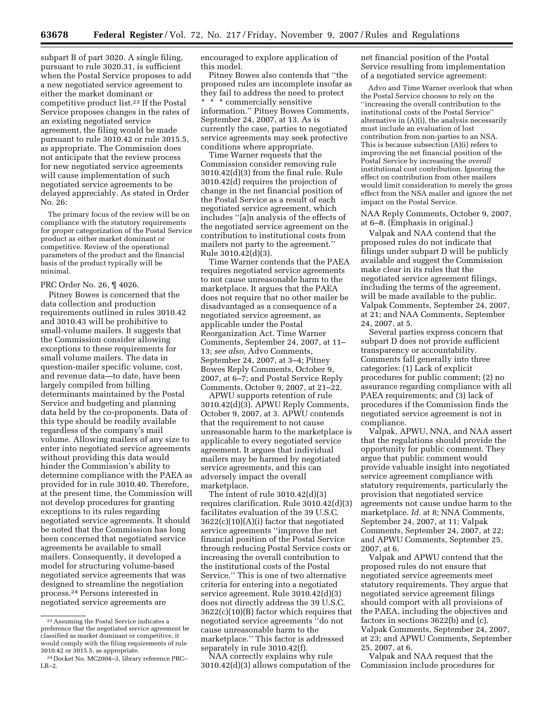subpart B of part 3020. A single filing, pursuant to rule 3020.31, is sufficient when the Postal Service proposes to add a new negotiated service agreement to either the market dominant or competitive product list.23 If the Postal Service proposes changes in the rates of an existing negotiated service agreement, the filing would be made pursuant to rule 3010.42 or rule 3015.5, as appropriate. The Commission does not anticipate that the review process for new negotiated service agreements will cause implementation of such negotiated service agreements to be delayed appreciably. As stated in Order No. 26:

The primary focus of the review will be on compliance with the statutory requirements for proper categorization of the Postal Service product as either market dominant or competitive. Review of the operational parameters of the product and the financial basis of the product typically will be minimal.

# PRC Order No. 26, ¶ 4026.

Pitney Bowes is concerned that the data collection and production requirements outlined in rules 3010.42 and 3010.43 will be prohibitive to small-volume mailers. It suggests that the Commission consider allowing exceptions to these requirements for small volume mailers. The data in question-mailer specific volume, cost, and revenue data—to date, have been largely compiled from billing determinants maintained by the Postal Service and budgeting and planning data held by the co-proponents. Data of this type should be readily available regardless of the company's mail volume. Allowing mailers of any size to enter into negotiated service agreements without providing this data would hinder the Commission's ability to determine compliance with the PAEA as provided for in rule 3010.40. Therefore, at the present time, the Commission will not develop procedures for granting exceptions to its rules regarding negotiated service agreements. It should be noted that the Commission has long been concerned that negotiated service agreements be available to small mailers. Consequently, it developed a model for structuring volume-based negotiated service agreements that was designed to streamline the negotiation process.24 Persons interested in negotiated service agreements are

encouraged to explore application of this model.

Pitney Bowes also contends that ''the proposed rules are incomplete insofar as they fail to address the need to protect

\* \* \* commercially sensitive information.'' Pitney Bowes Comments, September 24, 2007, at 13. As is currently the case, parties to negotiated service agreements may seek protective conditions where appropriate.

Time Warner requests that the Commission consider removing rule 3010.42(d)(3) from the final rule. Rule 3010.42(d) requires the projection of change in the net financial position of the Postal Service as a result of each negotiated service agreement, which includes ''[a]n analysis of the effects of the negotiated service agreement on the contribution to institutional costs from mailers not party to the agreement.'' Rule 3010.42(d)(3).

Time Warner contends that the PAEA requires negotiated service agreements to not cause unreasonable harm to the marketplace. It argues that the PAEA does not require that no other mailer be disadvantaged as a consequence of a negotiated service agreement, as applicable under the Postal Reorganization Act. Time Warner Comments, September 24, 2007, at 11– 13; *see also,* Advo Comments, September 24, 2007, at 3–4; Pitney Bowes Reply Comments, October 9, 2007, at 6–7; and Postal Service Reply Comments, October 9, 2007, at 21–22.

APWU supports retention of rule 3010.42(d)(3). APWU Reply Comments, October 9, 2007, at 3. APWU contends that the requirement to not cause unreasonable harm to the marketplace is applicable to every negotiated service agreement. It argues that individual mailers may be harmed by negotiated service agreements, and this can adversely impact the overall marketplace.

The intent of rule 3010.42(d)(3) requires clarification. Rule 3010.42(d)(3) facilitates evaluation of the 39 U.S.C.  $3622(c)(10)(A)(i)$  factor that negotiated service agreements ''improve the net financial position of the Postal Service through reducing Postal Service costs or increasing the overall contribution to the institutional costs of the Postal Service.'' This is one of two alternative criteria for entering into a negotiated service agreement. Rule 3010.42(d)(3) does not directly address the 39 U.S.C. 3622(c)(10)(B) factor which requires that negotiated service agreements ''do not cause unreasonable harm to the marketplace.'' This factor is addressed separately in rule 3010.42(f).

NAA correctly explains why rule 3010.42(d)(3) allows computation of the net financial position of the Postal Service resulting from implementation of a negotiated service agreement:

Advo and Time Warner overlook that when the Postal Service chooses to rely on the ''increasing the overall contribution to the institutional costs of the Postal Service'' alternative in (A)(i), the analysis necessarily must include an evaluation of lost contribution from non-parties to an NSA. This is because subsection (A)(i) refers to improving the net financial position of the Postal Service by increasing the *overall*  institutional cost contribution. Ignoring the effect on contribution from other mailers would limit consideration to merely the gross effect from the NSA mailer and ignore the net impact on the Postal Service.

NAA Reply Comments, October 9, 2007, at 6–8. (Emphasis in original.)

Valpak and NAA contend that the proposed rules do not indicate that filings under subpart D will be publicly available and suggest the Commission make clear in its rules that the negotiated service agreement filings, including the terms of the agreement, will be made available to the public. Valpak Comments, September 24, 2007, at 21; and NAA Comments, September 24, 2007, at 5.

Several parties express concern that subpart D does not provide sufficient transparency or accountability. Comments fall generally into three categories: (1) Lack of explicit procedures for public comment; (2) no assurance regarding compliance with all PAEA requirements; and (3) lack of procedures if the Commission finds the negotiated service agreement is not in compliance.

Valpak, APWU, NNA, and NAA assert that the regulations should provide the opportunity for public comment. They argue that public comment would provide valuable insight into negotiated service agreement compliance with statutory requirements, particularly the provision that negotiated service agreements not cause undue harm to the marketplace. *Id.* at 8; NNA Comments, September 24, 2007, at 11; Valpak Comments, September 24, 2007, at 22; and APWU Comments, September 25, 2007, at 6.

Valpak and APWU contend that the proposed rules do not ensure that negotiated service agreements meet statutory requirements. They argue that negotiated service agreement filings should comport with all provisions of the PAEA, including the objectives and factors in sections 3622(b) and (c). Valpak Comments, September 24, 2007, at 23; and APWU Comments, September 25, 2007, at 6.

Valpak and NAA request that the Commission include procedures for

<sup>23</sup>Assuming the Postal Service indicates a preference that the negotiated service agreement be classified as market dominant or competitive, it would comply with the filing requirements of rule 3010.42 or 3015.5, as appropriate.

<sup>24</sup> Docket No. MC2004–3, library reference PRC– LR–2.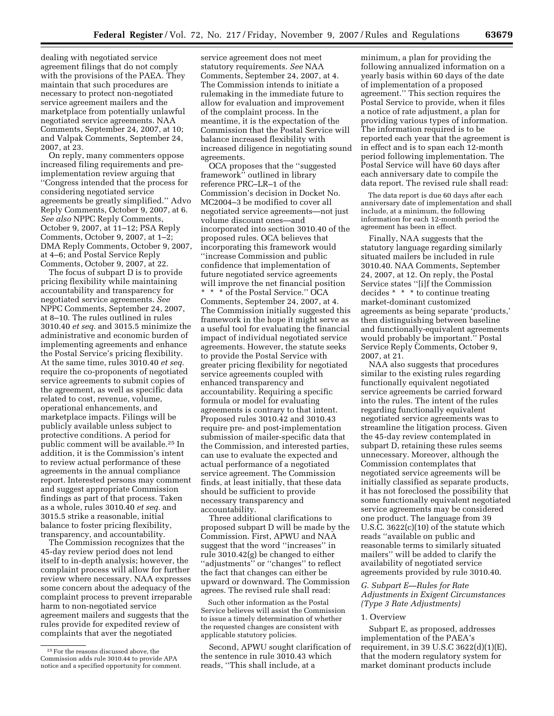dealing with negotiated service agreement filings that do not comply with the provisions of the PAEA. They maintain that such procedures are necessary to protect non-negotiated service agreement mailers and the marketplace from potentially unlawful negotiated service agreements. NAA Comments, September 24, 2007, at 10; and Valpak Comments, September 24, 2007, at 23.

On reply, many commenters oppose increased filing requirements and preimplementation review arguing that ''Congress intended that the process for considering negotiated service agreements be greatly simplified.'' Advo Reply Comments, October 9, 2007, at 6. *See also* NPPC Reply Comments, October 9, 2007, at 11–12; PSA Reply Comments, October 9, 2007, at 1–2; DMA Reply Comments, October 9, 2007, at 4–6; and Postal Service Reply Comments, October 9, 2007, at 22.

The focus of subpart D is to provide pricing flexibility while maintaining accountability and transparency for negotiated service agreements. *See*  NPPC Comments, September 24, 2007, at 8–10. The rules outlined in rules 3010.40 *et seq.* and 3015.5 minimize the administrative and economic burden of implementing agreements and enhance the Postal Service's pricing flexibility. At the same time, rules 3010.40 *et seq.*  require the co-proponents of negotiated service agreements to submit copies of the agreement, as well as specific data related to cost, revenue, volume, operational enhancements, and marketplace impacts. Filings will be publicly available unless subject to protective conditions. A period for public comment will be available.25 In addition, it is the Commission's intent to review actual performance of these agreements in the annual compliance report. Interested persons may comment and suggest appropriate Commission findings as part of that process. Taken as a whole, rules 3010.40 *et seq.* and 3015.5 strike a reasonable, initial balance to foster pricing flexibility, transparency, and accountability.

The Commission recognizes that the 45-day review period does not lend itself to in-depth analysis; however, the complaint process will allow for further review where necessary. NAA expresses some concern about the adequacy of the complaint process to prevent irreparable harm to non-negotiated service agreement mailers and suggests that the rules provide for expedited review of complaints that aver the negotiated

service agreement does not meet statutory requirements. *See* NAA Comments, September 24, 2007, at 4. The Commission intends to initiate a rulemaking in the immediate future to allow for evaluation and improvement of the complaint process. In the meantime, it is the expectation of the Commission that the Postal Service will balance increased flexibility with increased diligence in negotiating sound agreements.

OCA proposes that the ''suggested framework" outlined in library reference PRC–LR–1 of the Commission's decision in Docket No. MC2004–3 be modified to cover all negotiated service agreements—not just volume discount ones—and incorporated into section 3010.40 of the proposed rules. OCA believes that incorporating this framework would ''increase Commission and public confidence that implementation of future negotiated service agreements will improve the net financial position \* \* \* of the Postal Service.'' OCA Comments, September 24, 2007, at 4. The Commission initially suggested this framework in the hope it might serve as a useful tool for evaluating the financial impact of individual negotiated service agreements. However, the statute seeks to provide the Postal Service with greater pricing flexibility for negotiated service agreements coupled with enhanced transparency and accountability. Requiring a specific formula or model for evaluating agreements is contrary to that intent. Proposed rules 3010.42 and 3010.43 require pre- and post-implementation submission of mailer-specific data that the Commission, and interested parties, can use to evaluate the expected and actual performance of a negotiated service agreement. The Commission finds, at least initially, that these data should be sufficient to provide necessary transparency and accountability.

Three additional clarifications to proposed subpart D will be made by the Commission. First, APWU and NAA suggest that the word ''increases'' in rule 3010.42(g) be changed to either ''adjustments'' or ''changes'' to reflect the fact that changes can either be upward or downward. The Commission agrees. The revised rule shall read:

Such other information as the Postal Service believes will assist the Commission to issue a timely determination of whether the requested changes are consistent with applicable statutory policies.

Second, APWU sought clarification of the sentence in rule 3010.43 which reads, ''This shall include, at a

minimum, a plan for providing the following annualized information on a yearly basis within 60 days of the date of implementation of a proposed agreement.'' This section requires the Postal Service to provide, when it files a notice of rate adjustment, a plan for providing various types of information. The information required is to be reported each year that the agreement is in effect and is to span each 12-month period following implementation. The Postal Service will have 60 days after each anniversary date to compile the data report. The revised rule shall read:

The data report is due 60 days after each anniversary date of implementation and shall include, at a minimum, the following information for each 12-month period the agreement has been in effect.

Finally, NAA suggests that the statutory language regarding similarly situated mailers be included in rule 3010.40. NAA Comments, September 24, 2007, at 12. On reply, the Postal Service states ''[i]f the Commission decides \* \* \* to continue treating market-dominant customized agreements as being separate 'products,' then distinguishing between baseline and functionally-equivalent agreements would probably be important.'' Postal Service Reply Comments, October 9, 2007, at 21.

NAA also suggests that procedures similar to the existing rules regarding functionally equivalent negotiated service agreements be carried forward into the rules. The intent of the rules regarding functionally equivalent negotiated service agreements was to streamline the litigation process. Given the 45-day review contemplated in subpart D, retaining these rules seems unnecessary. Moreover, although the Commission contemplates that negotiated service agreements will be initially classified as separate products, it has not foreclosed the possibility that some functionally equivalent negotiated service agreements may be considered one product. The language from 39 U.S.C. 3622(c)(10) of the statute which reads ''available on public and reasonable terms to similarly situated mailers'' will be added to clarify the availability of negotiated service agreements provided by rule 3010.40.

# *G. Subpart E—Rules for Rate Adjustments in Exigent Circumstances (Type 3 Rate Adjustments)*

### 1. Overview

Subpart E, as proposed, addresses implementation of the PAEA's requirement, in 39 U.S.C 3622(d)(1)(E), that the modern regulatory system for market dominant products include

<sup>25</sup>For the reasons discussed above, the Commission adds rule 3010.44 to provide APA notice and a specified opportunity for comment.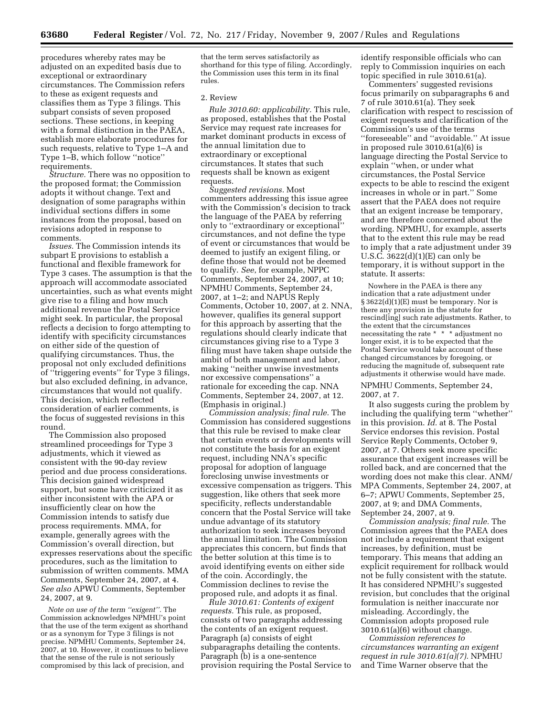procedures whereby rates may be adjusted on an expedited basis due to exceptional or extraordinary circumstances. The Commission refers to these as exigent requests and classifies them as Type 3 filings. This subpart consists of seven proposed sections. These sections, in keeping with a formal distinction in the PAEA, establish more elaborate procedures for such requests, relative to Type 1–A and Type 1–B, which follow ''notice'' requirements.

*Structure.* There was no opposition to the proposed format; the Commission adopts it without change. Text and designation of some paragraphs within individual sections differs in some instances from the proposal, based on revisions adopted in response to comments.

*Issues.* The Commission intends its subpart E provisions to establish a functional and flexible framework for Type 3 cases. The assumption is that the approach will accommodate associated uncertainties, such as what events might give rise to a filing and how much additional revenue the Postal Service might seek. In particular, the proposal reflects a decision to forgo attempting to identify with specificity circumstances on either side of the question of qualifying circumstances. Thus, the proposal not only excluded definitions of ''triggering events'' for Type 3 filings, but also excluded defining, in advance, circumstances that would not qualify. This decision, which reflected consideration of earlier comments, is the focus of suggested revisions in this round.

The Commission also proposed streamlined proceedings for Type 3 adjustments, which it viewed as consistent with the 90-day review period and due process considerations. This decision gained widespread support, but some have criticized it as either inconsistent with the APA or insufficiently clear on how the Commission intends to satisfy due process requirements. MMA, for example, generally agrees with the Commission's overall direction, but expresses reservations about the specific procedures, such as the limitation to submission of written comments. MMA Comments, September 24, 2007, at 4. *See also* APWU Comments, September 24, 2007, at 9.

*Note on use of the term ''exigent''.* The Commission acknowledges NPMHU's point that the use of the term exigent as shorthand or as a synonym for Type 3 filings is not precise. NPMHU Comments, September 24, 2007, at 10. However, it continues to believe that the sense of the rule is not seriously compromised by this lack of precision, and

that the term serves satisfactorily as shorthand for this type of filing. Accordingly, the Commission uses this term in its final rules.

#### 2. Review

*Rule 3010.60: applicability.* This rule, as proposed, establishes that the Postal Service may request rate increases for market dominant products in excess of the annual limitation due to extraordinary or exceptional circumstances. It states that such requests shall be known as exigent requests.

*Suggested revisions.* Most commenters addressing this issue agree with the Commission's decision to track the language of the PAEA by referring only to ''extraordinary or exceptional'' circumstances, and not define the type of event or circumstances that would be deemed to justify an exigent filing, or define those that would not be deemed to qualify. *See*, for example, NPPC Comments, September 24, 2007, at 10; NPMHU Comments, September 24, 2007, at 1–2; and NAPUS Reply Comments, October 10, 2007, at 2. NNA, however, qualifies its general support for this approach by asserting that the regulations should clearly indicate that circumstances giving rise to a Type 3 filing must have taken shape outside the ambit of both management and labor, making ''neither unwise investments nor excessive compensations'' a rationale for exceeding the cap. NNA Comments, September 24, 2007, at 12. (Emphasis in original.)

*Commission analysis; final rule.* The Commission has considered suggestions that this rule be revised to make clear that certain events or developments will not constitute the basis for an exigent request, including NNA's specific proposal for adoption of language foreclosing unwise investments or excessive compensation as triggers. This suggestion, like others that seek more specificity, reflects understandable concern that the Postal Service will take undue advantage of its statutory authorization to seek increases beyond the annual limitation. The Commission appreciates this concern, but finds that the better solution at this time is to avoid identifying events on either side of the coin. Accordingly, the Commission declines to revise the proposed rule, and adopts it as final.

*Rule 3010.61: Contents of exigent requests.* This rule, as proposed, consists of two paragraphs addressing the contents of an exigent request. Paragraph (a) consists of eight subparagraphs detailing the contents. Paragraph (b) is a one-sentence provision requiring the Postal Service to

identify responsible officials who can reply to Commission inquiries on each topic specified in rule 3010.61(a).

Commenters' suggested revisions focus primarily on subparagraphs 6 and 7 of rule 3010.61(a). They seek clarification with respect to rescission of exigent requests and clarification of the Commission's use of the terms ''foreseeable'' and ''avoidable.'' At issue in proposed rule 3010.61(a)(6) is language directing the Postal Service to explain ''when, or under what circumstances, the Postal Service expects to be able to rescind the exigent increases in whole or in part.'' Some assert that the PAEA does not require that an exigent increase be temporary, and are therefore concerned about the wording. NPMHU, for example, asserts that to the extent this rule may be read to imply that a rate adjustment under 39 U.S.C. 3622(d)(1)(E) can only be temporary, it is without support in the statute. It asserts:

Nowhere in the PAEA is there any indication that a rate adjustment under § 3622(d)(1)(E) must be temporary. Nor is there any provision in the statute for rescind[ing] such rate adjustments. Rather, to the extent that the circumstances necessitating the rate \* \* \* adjustment no longer exist, it is to be expected that the Postal Service would take account of these changed circumstances by foregoing, or reducing the magnitude of, subsequent rate adjustments it otherwise would have made.

NPMHU Comments, September 24, 2007, at 7.

It also suggests curing the problem by including the qualifying term ''whether'' in this provision. *Id.* at 8. The Postal Service endorses this revision. Postal Service Reply Comments, October 9, 2007, at 7. Others seek more specific assurance that exigent increases will be rolled back, and are concerned that the wording does not make this clear. ANM/ MPA Comments, September 24, 2007, at 6–7; APWU Comments, September 25, 2007, at 9; and DMA Comments, September 24, 2007, at 9.

*Commission analysis; final rule.* The Commission agrees that the PAEA does not include a requirement that exigent increases, by definition, must be temporary. This means that adding an explicit requirement for rollback would not be fully consistent with the statute. It has considered NPMHU's suggested revision, but concludes that the original formulation is neither inaccurate nor misleading. Accordingly, the Commission adopts proposed rule 3010.61(a)(6) without change.

*Commission references to circumstances warranting an exigent request in rule 3010.61(a)(7).* NPMHU and Time Warner observe that the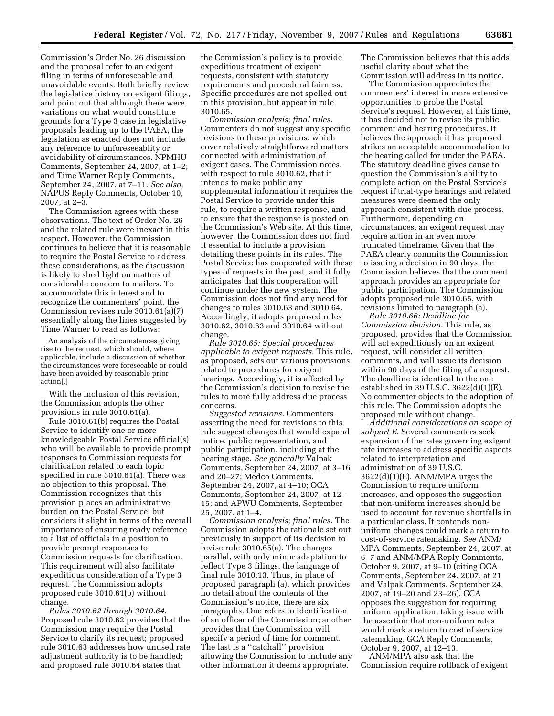Commission's Order No. 26 discussion and the proposal refer to an exigent filing in terms of unforeseeable and unavoidable events. Both briefly review the legislative history on exigent filings, and point out that although there were variations on what would constitute grounds for a Type 3 case in legislative proposals leading up to the PAEA, the legislation as enacted does not include any reference to unforeseeablity or avoidability of circumstances. NPMHU Comments, September 24, 2007, at 1–2; and Time Warner Reply Comments, September 24, 2007, at 7–11. *See also,*  NAPUS Reply Comments, October 10, 2007, at 2–3.

The Commission agrees with these observations. The text of Order No. 26 and the related rule were inexact in this respect. However, the Commission continues to believe that it is reasonable to require the Postal Service to address these considerations, as the discussion is likely to shed light on matters of considerable concern to mailers. To accommodate this interest and to recognize the commenters' point, the Commission revises rule 3010.61(a)(7) essentially along the lines suggested by Time Warner to read as follows:

An analysis of the circumstances giving rise to the request, which should, where applicable, include a discussion of whether the circumstances were foreseeable or could have been avoided by reasonable prior action[.]

With the inclusion of this revision, the Commission adopts the other provisions in rule 3010.61(a).

Rule 3010.61(b) requires the Postal Service to identify one or more knowledgeable Postal Service official(s) who will be available to provide prompt responses to Commission requests for clarification related to each topic specified in rule 3010.61(a). There was no objection to this proposal. The Commission recognizes that this provision places an administrative burden on the Postal Service, but considers it slight in terms of the overall importance of ensuring ready reference to a list of officials in a position to provide prompt responses to Commission requests for clarification. This requirement will also facilitate expeditious consideration of a Type 3 request. The Commission adopts proposed rule 3010.61(b) without change.

*Rules 3010.62 through 3010.64.*  Proposed rule 3010.62 provides that the Commission may require the Postal Service to clarify its request; proposed rule 3010.63 addresses how unused rate adjustment authority is to be handled; and proposed rule 3010.64 states that

the Commission's policy is to provide expeditious treatment of exigent requests, consistent with statutory requirements and procedural fairness. Specific procedures are not spelled out in this provision, but appear in rule 3010.65.

*Commission analysis; final rules.*  Commenters do not suggest any specific revisions to these provisions, which cover relatively straightforward matters connected with administration of exigent cases. The Commission notes, with respect to rule 3010.62, that it intends to make public any supplemental information it requires the Postal Service to provide under this rule, to require a written response, and to ensure that the response is posted on the Commission's Web site. At this time, however, the Commission does not find it essential to include a provision detailing these points in its rules. The Postal Service has cooperated with these types of requests in the past, and it fully anticipates that this cooperation will continue under the new system. The Commission does not find any need for changes to rules 3010.63 and 3010.64. Accordingly, it adopts proposed rules 3010.62, 3010.63 and 3010.64 without change.

*Rule 3010.65: Special procedures applicable to exigent requests.* This rule, as proposed, sets out various provisions related to procedures for exigent hearings. Accordingly, it is affected by the Commission's decision to revise the rules to more fully address due process concerns.

*Suggested revisions.* Commenters asserting the need for revisions to this rule suggest changes that would expand notice, public representation, and public participation, including at the hearing stage. *See generally* Valpak Comments, September 24, 2007, at 3–16 and 20–27; Medco Comments, September 24, 2007, at 4–10; OCA Comments, September 24, 2007, at 12– 15; and APWU Comments, September 25, 2007, at 1–4.

*Commission analysis; final rules.* The Commission adopts the rationale set out previously in support of its decision to revise rule 3010.65(a). The changes parallel, with only minor adaptation to reflect Type 3 filings, the language of final rule 3010.13. Thus, in place of proposed paragraph (a), which provides no detail about the contents of the Commission's notice, there are six paragraphs. One refers to identification of an officer of the Commission; another provides that the Commission will specify a period of time for comment. The last is a ''catchall'' provision allowing the Commission to include any other information it deems appropriate.

The Commission believes that this adds useful clarity about what the Commission will address in its notice.

The Commission appreciates the commenters' interest in more extensive opportunities to probe the Postal Service's request. However, at this time, it has decided not to revise its public comment and hearing procedures. It believes the approach it has proposed strikes an acceptable accommodation to the hearing called for under the PAEA. The statutory deadline gives cause to question the Commission's ability to complete action on the Postal Service's request if trial-type hearings and related measures were deemed the only approach consistent with due process. Furthermore, depending on circumstances, an exigent request may require action in an even more truncated timeframe. Given that the PAEA clearly commits the Commission to issuing a decision in 90 days, the Commission believes that the comment approach provides an appropriate for public participation. The Commission adopts proposed rule 3010.65, with revisions limited to paragraph (a).

*Rule 3010.66: Deadline for Commission decision.* This rule, as proposed, provides that the Commission will act expeditiously on an exigent request, will consider all written comments, and will issue its decision within 90 days of the filing of a request. The deadline is identical to the one established in 39 U.S.C. 3622(d)(1)(E). No commenter objects to the adoption of this rule. The Commission adopts the proposed rule without change.

*Additional considerations on scope of subpart E.* Several commenters seek expansion of the rates governing exigent rate increases to address specific aspects related to interpretation and administration of 39 U.S.C. 3622(d)(1)(E). ANM/MPA urges the Commission to require uniform increases, and opposes the suggestion that non-uniform increases should be used to account for revenue shortfalls in a particular class. It contends nonuniform changes could mark a return to cost-of-service ratemaking. *See* ANM/ MPA Comments, September 24, 2007, at 6–7 and ANM/MPA Reply Comments, October 9, 2007, at 9–10 (citing OCA Comments, September 24, 2007, at 21 and Valpak Comments, September 24, 2007, at 19–20 and 23–26). GCA opposes the suggestion for requiring uniform application, taking issue with the assertion that non-uniform rates would mark a return to cost of service ratemaking. GCA Reply Comments, October 9, 2007, at 12–13.

ANM/MPA also ask that the Commission require rollback of exigent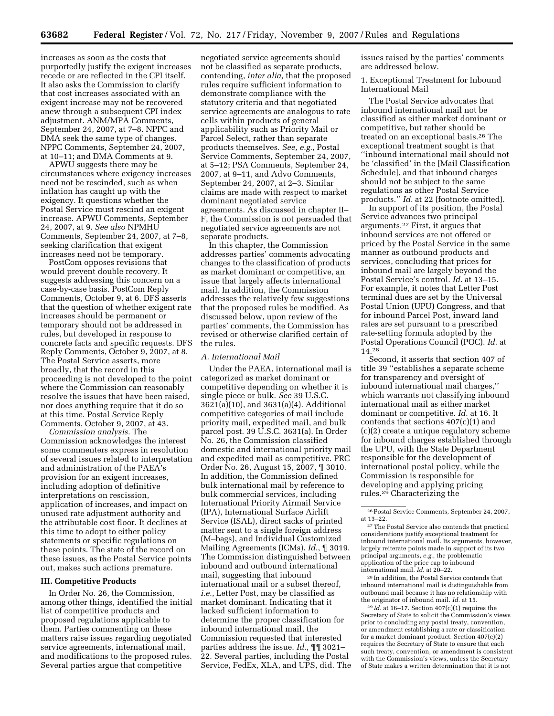increases as soon as the costs that purportedly justify the exigent increases recede or are reflected in the CPI itself. It also asks the Commission to clarify that cost increases associated with an exigent increase may not be recovered anew through a subsequent CPI index adjustment. ANM/MPA Comments, September 24, 2007, at 7–8. NPPC and DMA seek the same type of changes. NPPC Comments, September 24, 2007, at 10–11; and DMA Comments at 9.

APWU suggests there may be circumstances where exigency increases need not be rescinded, such as when inflation has caught up with the exigency. It questions whether the Postal Service must rescind an exigent increase. APWU Comments, September 24, 2007, at 9. *See also* NPMHU Comments, September 24, 2007, at 7–8, seeking clarification that exigent increases need not be temporary.

PostCom opposes revisions that would prevent double recovery. It suggests addressing this concern on a case-by-case basis. PostCom Reply Comments, October 9, at 6. DFS asserts that the question of whether exigent rate increases should be permanent or temporary should not be addressed in rules, but developed in response to concrete facts and specific requests. DFS Reply Comments, October 9, 2007, at 8. The Postal Service asserts, more broadly, that the record in this proceeding is not developed to the point where the Commission can reasonably resolve the issues that have been raised, nor does anything require that it do so at this time. Postal Service Reply Comments, October 9, 2007, at 43.

*Commission analysis.* The Commission acknowledges the interest some commenters express in resolution of several issues related to interpretation and administration of the PAEA's provision for an exigent increases, including adoption of definitive interpretations on rescission, application of increases, and impact on unused rate adjustment authority and the attributable cost floor. It declines at this time to adopt to either policy statements or specific regulations on these points. The state of the record on these issues, as the Postal Service points out, makes such actions premature.

### **III. Competitive Products**

In Order No. 26, the Commission, among other things, identified the initial list of competitive products and proposed regulations applicable to them. Parties commenting on these matters raise issues regarding negotiated service agreements, international mail, and modifications to the proposed rules. Several parties argue that competitive

negotiated service agreements should not be classified as separate products, contending, *inter alia,* that the proposed rules require sufficient information to demonstrate compliance with the statutory criteria and that negotiated service agreements are analogous to rate cells within products of general applicability such as Priority Mail or Parcel Select, rather than separate products themselves. *See, e.g.*, Postal Service Comments, September 24, 2007, at 5–12; PSA Comments, September 24, 2007, at 9–11, and Advo Comments, September 24, 2007, at 2–3. Similar claims are made with respect to market dominant negotiated service agreements. As discussed in chapter II– F, the Commission is not persuaded that negotiated service agreements are not separate products.

In this chapter, the Commission addresses parties' comments advocating changes to the classification of products as market dominant or competitive, an issue that largely affects international mail. In addition, the Commission addresses the relatively few suggestions that the proposed rules be modified. As discussed below, upon review of the parties' comments, the Commission has revised or otherwise clarified certain of the rules.

### *A. International Mail*

Under the PAEA, international mail is categorized as market dominant or competitive depending on whether it is single piece or bulk. *See* 39 U.S.C. 3621(a)(10), and 3631(a)(4). Additional competitive categories of mail include priority mail, expedited mail, and bulk parcel post. 39 U.S.C. 3631(a). In Order No. 26, the Commission classified domestic and international priority mail and expedited mail as competitive. PRC Order No. 26, August 15, 2007, ¶ 3010. In addition, the Commission defined bulk international mail by reference to bulk commercial services, including International Priority Airmail Service (IPA), International Surface Airlift Service (ISAL), direct sacks of printed matter sent to a single foreign address (M–bags), and Individual Customized Mailing Agreements (ICMs). *Id.*, ¶ 3019. The Commission distinguished between inbound and outbound international mail, suggesting that inbound international mail or a subset thereof, *i.e.*, Letter Post, may be classified as market dominant. Indicating that it lacked sufficient information to determine the proper classification for inbound international mail, the Commission requested that interested parties address the issue. *Id.*, ¶¶ 3021– 22. Several parties, including the Postal Service, FedEx, XLA, and UPS, did. The

issues raised by the parties' comments are addressed below.

1. Exceptional Treatment for Inbound International Mail

The Postal Service advocates that inbound international mail not be classified as either market dominant or competitive, but rather should be treated on an exceptional basis.26 The exceptional treatment sought is that ''inbound international mail should not be 'classified' in the [Mail Classification Schedule], and that inbound charges should not be subject to the same regulations as other Postal Service products.'' *Id.* at 22 (footnote omitted).

In support of its position, the Postal Service advances two principal arguments.27 First, it argues that inbound services are not offered or priced by the Postal Service in the same manner as outbound products and services, concluding that prices for inbound mail are largely beyond the Postal Service's control. *Id.* at 13–15. For example, it notes that Letter Post terminal dues are set by the Universal Postal Union (UPU) Congress, and that for inbound Parcel Post, inward land rates are set pursuant to a prescribed rate-setting formula adopted by the Postal Operations Council (POC). *Id.* at 14.28

Second, it asserts that section 407 of title 39 ''establishes a separate scheme for transparency and oversight of inbound international mail charges,'' which warrants not classifying inbound international mail as either market dominant or competitive. *Id.* at 16. It contends that sections 407(c)(1) and (c)(2) create a unique regulatory scheme for inbound charges established through the UPU, with the State Department responsible for the development of international postal policy, while the Commission is responsible for developing and applying pricing rules.29 Characterizing the

27The Postal Service also contends that practical considerations justify exceptional treatment for inbound international mail. Its arguments, however, largely reiterate points made in support of its two principal arguments, *e.g.*, the problematic application of the price cap to inbound international mail. *Id.* at 20–22.

28 In addition, the Postal Service contends that inbound international mail is distinguishable from outbound mail because it has no relationship with the originator of inbound mail. *Id.* at 15.

29 *Id.* at 16–17. Section 407(c)(1) requires the Secretary of State to solicit the Commission's views prior to concluding any postal treaty, convention, or amendment establishing a rate or classification for a market dominant product. Section 407(c)(2) requires the Secretary of State to ensure that each such treaty, convention, or amendment is consistent with the Commission's views, unless the Secretary of State makes a written determination that it is not

<sup>26</sup>Postal Service Comments, September 24, 2007, at 13–22.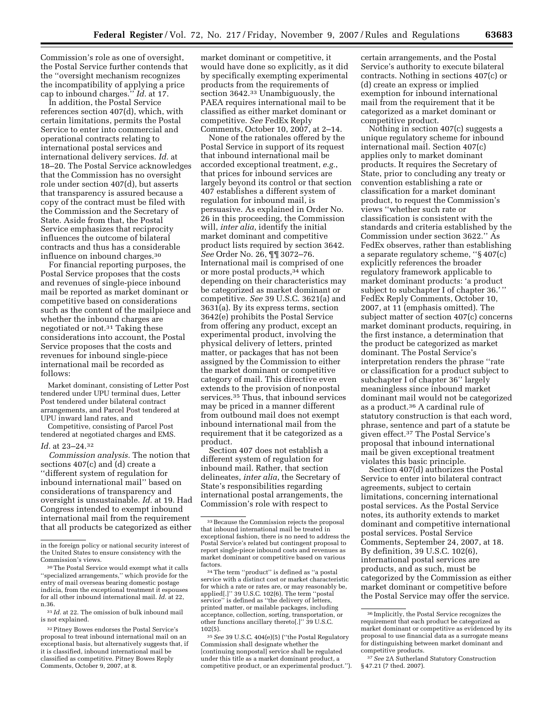Commission's role as one of oversight, the Postal Service further contends that the ''oversight mechanism recognizes the incompatibility of applying a price cap to inbound charges.'' *Id.* at 17.

In addition, the Postal Service references section 407(d), which, with certain limitations, permits the Postal Service to enter into commercial and operational contracts relating to international postal services and international delivery services. *Id.* at 18–20. The Postal Service acknowledges that the Commission has no oversight role under section 407(d), but asserts that transparency is assured because a copy of the contract must be filed with the Commission and the Secretary of State. Aside from that, the Postal Service emphasizes that reciprocity influences the outcome of bilateral contracts and thus has a considerable influence on inbound charges.30

For financial reporting purposes, the Postal Service proposes that the costs and revenues of single-piece inbound mail be reported as market dominant or competitive based on considerations such as the content of the mailpiece and whether the inbound charges are negotiated or not.<sup>31</sup> Taking these considerations into account, the Postal Service proposes that the costs and revenues for inbound single-piece international mail be recorded as follows:

Market dominant, consisting of Letter Post tendered under UPU terminal dues, Letter Post tendered under bilateral contract arrangements, and Parcel Post tendered at UPU inward land rates, and

Competitive, consisting of Parcel Post tendered at negotiated charges and EMS.

# *Id.* at 23–24.32

*Commission analysis.* The notion that sections 407(c) and (d) create a ''different system of regulation for inbound international mail'' based on considerations of transparency and oversight is unsustainable. *Id.* at 19. Had Congress intended to exempt inbound international mail from the requirement that all products be categorized as either

market dominant or competitive, it would have done so explicitly, as it did by specifically exempting experimental products from the requirements of section 3642.33 Unambiguously, the PAEA requires international mail to be classified as either market dominant or competitive. *See* FedEx Reply Comments, October 10, 2007, at 2–14.

None of the rationales offered by the Postal Service in support of its request that inbound international mail be accorded exceptional treatment, *e.g.*, that prices for inbound services are largely beyond its control or that section 407 establishes a different system of regulation for inbound mail, is persuasive. As explained in Order No. 26 in this proceeding, the Commission will, *inter alia*, identify the initial market dominant and competitive product lists required by section 3642. *See* Order No. 26, ¶¶ 3072–76. International mail is comprised of one or more postal products,34 which depending on their characteristics may be categorized as market dominant or competitive. *See* 39 U.S.C. 3621(a) and 3631(a). By its express terms, section 3642(e) prohibits the Postal Service from offering any product, except an experimental product, involving the physical delivery of letters, printed matter, or packages that has not been assigned by the Commission to either the market dominant or competitive category of mail. This directive even extends to the provision of nonpostal services.35 Thus, that inbound services may be priced in a manner different from outbound mail does not exempt inbound international mail from the requirement that it be categorized as a product.

Section 407 does not establish a different system of regulation for inbound mail. Rather, that section delineates, *inter alia*, the Secretary of State's responsibilities regarding international postal arrangements, the Commission's role with respect to

<sup>34</sup>The term "product" is defined as "a postal service with a distinct cost or market characteristic for which a rate or rates are, or may reasonably be, applied[.]'' 39 U.S.C. 102(6). The term ''postal service'' is defined as ''the delivery of letters, printed matter, or mailable packages, including acceptance, collection, sorting, transportation, or other functions ancillary thereto[.]'' 39 U.S.C. 102(5).

35*See* 39 U.S.C. 404(e)(5) (''the Postal Regulatory Commission shall designate whether the [continuing nonpostal] service shall be regulated under this title as a market dominant product, a competitive product, or an experimental product.''). certain arrangements, and the Postal Service's authority to execute bilateral contracts. Nothing in sections 407(c) or (d) create an express or implied exemption for inbound international mail from the requirement that it be categorized as a market dominant or competitive product.

Nothing in section 407(c) suggests a unique regulatory scheme for inbound international mail. Section 407(c) applies only to market dominant products. It requires the Secretary of State, prior to concluding any treaty or convention establishing a rate or classification for a market dominant product, to request the Commission's views ''whether such rate or classification is consistent with the standards and criteria established by the Commission under section 3622.'' As FedEx observes, rather than establishing a separate regulatory scheme, ''§ 407(c) explicitly references the broader regulatory framework applicable to market dominant products: 'a product subject to subchapter I of chapter 36.' '' FedEx Reply Comments, October 10, 2007, at 11 (emphasis omitted). The subject matter of section 407(c) concerns market dominant products, requiring, in the first instance, a determination that the product be categorized as market dominant. The Postal Service's interpretation renders the phrase ''rate or classification for a product subject to subchapter I of chapter 36'' largely meaningless since inbound market dominant mail would not be categorized as a product.36 A cardinal rule of statutory construction is that each word, phrase, sentence and part of a statute be given effect.37 The Postal Service's proposal that inbound international mail be given exceptional treatment violates this basic principle.

Section 407(d) authorizes the Postal Service to enter into bilateral contract agreements, subject to certain limitations, concerning international postal services. As the Postal Service notes, its authority extends to market dominant and competitive international postal services. Postal Service Comments, September 24, 2007, at 18. By definition, 39 U.S.C. 102(6), international postal services are products, and as such, must be categorized by the Commission as either market dominant or competitive before the Postal Service may offer the service.

in the foreign policy or national security interest of the United States to ensure consistency with the Commission's views.

<sup>&</sup>lt;sup>30</sup>The Postal Service would exempt what it calls ''specialized arrangements,'' which provide for the entry of mail overseas bearing domestic postage indicia, from the exceptional treatment it espouses for all other inbound international mail. *Id.* at 22, n.36.

<sup>31</sup> *Id.* at 22. The omission of bulk inbound mail is not explained.

<sup>32</sup>Pitney Bowes endorses the Postal Service's proposal to treat inbound international mail on an exceptional basis, but alternatively suggests that, if it is classified, inbound international mail be classified as competitive. Pitney Bowes Reply Comments, October 9, 2007, at 8.

<sup>33</sup>Because the Commission rejects the proposal that inbound international mail be treated in exceptional fashion, there is no need to address the Postal Service's related but contingent proposal to report single-piece inbound costs and revenues as market dominant or competitive based on various

<sup>36</sup> Implicitly, the Postal Service recognizes the requirement that each product be categorized as market dominant or competitive as evidenced by its proposal to use financial data as a surrogate means for distinguishing between market dominant and competitive products.

<sup>37</sup>*See* 2A Sutherland Statutory Construction §47.21 (7 thed. 2007).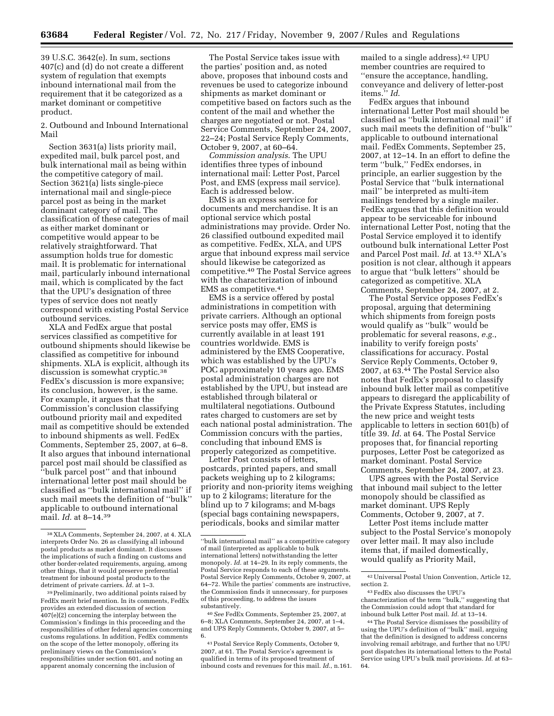39 U.S.C. 3642(e). In sum, sections 407(c) and (d) do not create a different system of regulation that exempts inbound international mail from the requirement that it be categorized as a market dominant or competitive product.

2. Outbound and Inbound International Mail

Section 3631(a) lists priority mail, expedited mail, bulk parcel post, and bulk international mail as being within the competitive category of mail. Section 3621(a) lists single-piece international mail and single-piece parcel post as being in the market dominant category of mail. The classification of these categories of mail as either market dominant or competitive would appear to be relatively straightforward. That assumption holds true for domestic mail. It is problematic for international mail, particularly inbound international mail, which is complicated by the fact that the UPU's designation of three types of service does not neatly correspond with existing Postal Service outbound services.

XLA and FedEx argue that postal services classified as competitive for outbound shipments should likewise be classified as competitive for inbound shipments. XLA is explicit, although its discussion is somewhat cryptic.<sup>38</sup> FedEx's discussion is more expansive; its conclusion, however, is the same. For example, it argues that the Commission's conclusion classifying outbound priority mail and expedited mail as competitive should be extended to inbound shipments as well. FedEx Comments, September 25, 2007, at 6–8. It also argues that inbound international parcel post mail should be classified as ''bulk parcel post'' and that inbound international letter post mail should be classified as ''bulk international mail'' if such mail meets the definition of ''bulk'' applicable to outbound international mail. *Id.* at 8–14.39

39Preliminarily, two additional points raised by FedEx merit brief mention. In its comments, FedEx provides an extended discussion of section 407(e)(2) concerning the interplay between the Commission's findings in this proceeding and the responsibilities of other federal agencies concerning customs regulations. In addition, FedEx comments on the scope of the letter monopoly, offering its preliminary views on the Commission's responsibilities under section 601, and noting an apparent anomaly concerning the inclusion of

The Postal Service takes issue with the parties' position and, as noted above, proposes that inbound costs and revenues be used to categorize inbound shipments as market dominant or competitive based on factors such as the content of the mail and whether the charges are negotiated or not. Postal Service Comments, September 24, 2007, 22–24; Postal Service Reply Comments, October 9, 2007, at 60–64.

*Commission analysis*. The UPU identifies three types of inbound international mail: Letter Post, Parcel Post, and EMS (express mail service). Each is addressed below.

EMS is an express service for documents and merchandise. It is an optional service which postal administrations may provide. Order No. 26 classified outbound expedited mail as competitive. FedEx, XLA, and UPS argue that inbound express mail service should likewise be categorized as competitive.40 The Postal Service agrees with the characterization of inbound EMS as competitive.41

EMS is a service offered by postal administrations in competition with private carriers. Although an optional service posts may offer, EMS is currently available in at least 191 countries worldwide. EMS is administered by the EMS Cooperative, which was established by the UPU's POC approximately 10 years ago. EMS postal administration charges are not established by the UPU, but instead are established through bilateral or multilateral negotiations. Outbound rates charged to customers are set by each national postal administration. The Commission concurs with the parties, concluding that inbound EMS is properly categorized as competitive.

Letter Post consists of letters, postcards, printed papers, and small packets weighing up to 2 kilograms; priority and non-priority items weighing up to 2 kilograms; literature for the blind up to 7 kilograms; and M-bags (special bags containing newspapers, periodicals, books and similar matter

40*See* FedEx Comments, September 25, 2007, at 6–8; XLA Comments, September 24, 2007, at 1–4, and UPS Reply Comments, October 9, 2007, at 5– 6.

41Postal Service Reply Comments, October 9, 2007, at 61. The Postal Service's agreement is qualified in terms of its proposed treatment of inbound costs and revenues for this mail. *Id*., n.161. mailed to a single address).42 UPU member countries are required to ''ensure the acceptance, handling, conveyance and delivery of letter-post items.'' *Id*.

FedEx argues that inbound international Letter Post mail should be classified as ''bulk international mail'' if such mail meets the definition of ''bulk'' applicable to outbound international mail. FedEx Comments, September 25, 2007, at 12–14. In an effort to define the term ''bulk,'' FedEx endorses, in principle, an earlier suggestion by the Postal Service that ''bulk international mail'' be interpreted as multi-item mailings tendered by a single mailer. FedEx argues that this definition would appear to be serviceable for inbound international Letter Post, noting that the Postal Service employed it to identify outbound bulk international Letter Post and Parcel Post mail. *Id*. at 13.43 XLA's position is not clear, although it appears to argue that ''bulk letters'' should be categorized as competitive. XLA Comments, September 24, 2007, at 2.

The Postal Service opposes FedEx's proposal, arguing that determining which shipments from foreign posts would qualify as ''bulk'' would be problematic for several reasons, *e.g.*, inability to verify foreign posts' classifications for accuracy. Postal Service Reply Comments, October 9, 2007, at 63.44 The Postal Service also notes that FedEx's proposal to classify inbound bulk letter mail as competitive appears to disregard the applicability of the Private Express Statutes, including the new price and weight tests applicable to letters in section 601(b) of title 39. *Id*. at 64. The Postal Service proposes that, for financial reporting purposes, Letter Post be categorized as market dominant. Postal Service Comments, September 24, 2007, at 23.

UPS agrees with the Postal Service that inbound mail subject to the letter monopoly should be classified as market dominant. UPS Reply Comments, October 9, 2007, at 7.

Letter Post items include matter subject to the Postal Service's monopoly over letter mail. It may also include items that, if mailed domestically, would qualify as Priority Mail,

<sup>38</sup> XLA Comments, September 24, 2007, at 4. XLA interprets Order No. 26 as classifying all inbound postal products as market dominant. It discusses the implications of such a finding on customs and other border-related requirements, arguing, among other things, that it would preserve preferential treatment for inbound postal products to the detriment of private carriers. *Id.* at 1–3.

<sup>&#</sup>x27;'bulk international mail'' as a competitive category of mail (interpreted as applicable to bulk international letters) notwithstanding the letter monopoly. *Id.* at 14–29. In its reply comments, the Postal Service responds to each of these arguments. Postal Service Reply Comments, October 9, 2007, at 64–72. While the parties' comments are instructive, the Commission finds it unnecessary, for purposes of this proceeding, to address the issues substantively.

<sup>42</sup>Universal Postal Union Convention, Article 12, section 2.

<sup>43</sup>FedEx also discusses the UPU's characterization of the term ''bulk,'' suggesting that the Commission could adopt that standard for inbound bulk Letter Post mail. *Id*. at 13–14.

<sup>44</sup>The Postal Service dismisses the possibility of using the UPU's definition of ''bulk'' mail, arguing that the definition is designed to address concerns involving remail arbitrage, and further that no UPU post dispatches its international letters to the Postal Service using UPU's bulk mail provisions. *Id*. at 63– 64.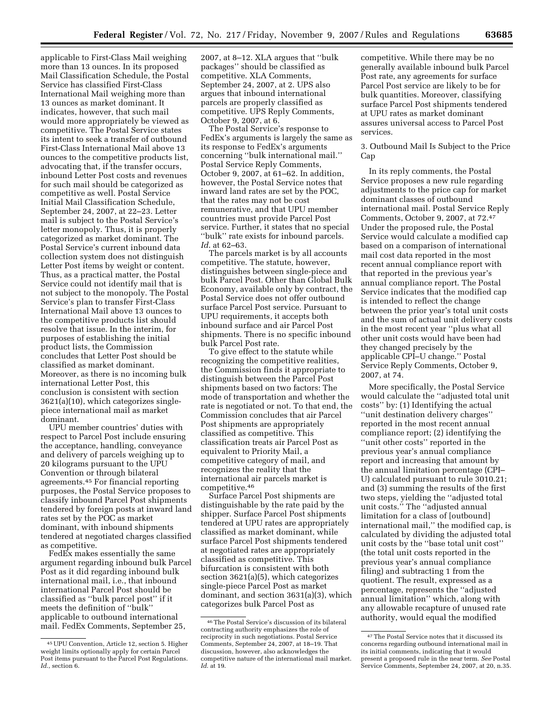applicable to First-Class Mail weighing more than 13 ounces. In its proposed Mail Classification Schedule, the Postal Service has classified First-Class International Mail weighing more than 13 ounces as market dominant. It indicates, however, that such mail would more appropriately be viewed as competitive. The Postal Service states its intent to seek a transfer of outbound First-Class International Mail above 13 ounces to the competitive products list, advocating that, if the transfer occurs, inbound Letter Post costs and revenues for such mail should be categorized as competitive as well. Postal Service Initial Mail Classification Schedule, September 24, 2007, at 22–23. Letter mail is subject to the Postal Service's letter monopoly. Thus, it is properly categorized as market dominant. The Postal Service's current inbound data collection system does not distinguish Letter Post items by weight or content. Thus, as a practical matter, the Postal Service could not identify mail that is not subject to the monopoly. The Postal Service's plan to transfer First-Class International Mail above 13 ounces to the competitive products list should resolve that issue. In the interim, for purposes of establishing the initial product lists, the Commission concludes that Letter Post should be classified as market dominant. Moreover, as there is no incoming bulk international Letter Post, this conclusion is consistent with section 3621(a)(10), which categorizes singlepiece international mail as market dominant.

UPU member countries' duties with respect to Parcel Post include ensuring the acceptance, handling, conveyance and delivery of parcels weighing up to 20 kilograms pursuant to the UPU Convention or through bilateral agreements.45 For financial reporting purposes, the Postal Service proposes to classify inbound Parcel Post shipments tendered by foreign posts at inward land rates set by the POC as market dominant, with inbound shipments tendered at negotiated charges classified as competitive.

FedEx makes essentially the same argument regarding inbound bulk Parcel Post as it did regarding inbound bulk international mail, i.e., that inbound international Parcel Post should be classified as ''bulk parcel post'' if it meets the definition of ''bulk'' applicable to outbound international mail. FedEx Comments, September 25,

2007, at 8–12. XLA argues that ''bulk packages'' should be classified as competitive. XLA Comments, September 24, 2007, at 2. UPS also argues that inbound international parcels are properly classified as competitive. UPS Reply Comments, October 9, 2007, at 6.

The Postal Service's response to FedEx's arguments is largely the same as its response to FedEx's arguments concerning ''bulk international mail.'' Postal Service Reply Comments, October 9, 2007, at 61–62. In addition, however, the Postal Service notes that inward land rates are set by the POC, that the rates may not be cost remunerative, and that UPU member countries must provide Parcel Post service. Further, it states that no special ''bulk'' rate exists for inbound parcels. *Id*. at 62–63.

The parcels market is by all accounts competitive. The statute, however, distinguishes between single-piece and bulk Parcel Post. Other than Global Bulk Economy, available only by contract, the Postal Service does not offer outbound surface Parcel Post service. Pursuant to UPU requirements, it accepts both inbound surface and air Parcel Post shipments. There is no specific inbound bulk Parcel Post rate.

To give effect to the statute while recognizing the competitive realities, the Commission finds it appropriate to distinguish between the Parcel Post shipments based on two factors: The mode of transportation and whether the rate is negotiated or not. To that end, the Commission concludes that air Parcel Post shipments are appropriately classified as competitive. This classification treats air Parcel Post as equivalent to Priority Mail, a competitive category of mail, and recognizes the reality that the international air parcels market is competitive.46

Surface Parcel Post shipments are distinguishable by the rate paid by the shipper. Surface Parcel Post shipments tendered at UPU rates are appropriately classified as market dominant, while surface Parcel Post shipments tendered at negotiated rates are appropriately classified as competitive. This bifurcation is consistent with both section 3621(a)(5), which categorizes single-piece Parcel Post as market dominant, and section 3631(a)(3), which categorizes bulk Parcel Post as

competitive. While there may be no generally available inbound bulk Parcel Post rate, any agreements for surface Parcel Post service are likely to be for bulk quantities. Moreover, classifying surface Parcel Post shipments tendered at UPU rates as market dominant assures universal access to Parcel Post services.

3. Outbound Mail Is Subject to the Price Cap

In its reply comments, the Postal Service proposes a new rule regarding adjustments to the price cap for market dominant classes of outbound international mail. Postal Service Reply Comments, October 9, 2007, at 72.47 Under the proposed rule, the Postal Service would calculate a modified cap based on a comparison of international mail cost data reported in the most recent annual compliance report with that reported in the previous year's annual compliance report. The Postal Service indicates that the modified cap is intended to reflect the change between the prior year's total unit costs and the sum of actual unit delivery costs in the most recent year ''plus what all other unit costs would have been had they changed precisely by the applicable CPI–U change.'' Postal Service Reply Comments, October 9, 2007, at 74.

More specifically, the Postal Service would calculate the ''adjusted total unit costs'' by: (1) Identifying the actual ''unit destination delivery charges'' reported in the most recent annual compliance report; (2) identifying the ''unit other costs'' reported in the previous year's annual compliance report and increasing that amount by the annual limitation percentage (CPI– U) calculated pursuant to rule 3010.21; and (3) summing the results of the first two steps, yielding the ''adjusted total unit costs.'' The ''adjusted annual limitation for a class of [outbound] international mail,'' the modified cap, is calculated by dividing the adjusted total unit costs by the ''base total unit cost'' (the total unit costs reported in the previous year's annual compliance filing) and subtracting 1 from the quotient. The result, expressed as a percentage, represents the ''adjusted annual limitation'' which, along with any allowable recapture of unused rate authority, would equal the modified

<sup>45</sup>UPU Convention, Article 12, section 5. Higher weight limits optionally apply for certain Parcel Post items pursuant to the Parcel Post Regulations. Id., section 6.

<sup>46</sup>The Postal Service's discussion of its bilateral contracting authority emphasizes the role of reciprocity in such negotiations. Postal Service Comments, September 24, 2007, at 18–19. That discussion, however, also acknowledges the competitive nature of the international mail market. *Id*. at 19.

<sup>47</sup>The Postal Service notes that it discussed its concerns regarding outbound international mail in its initial comments, indicating that it would present a proposed rule in the near term. *See* Postal Service Comments, September 24, 2007, at 20, n.35.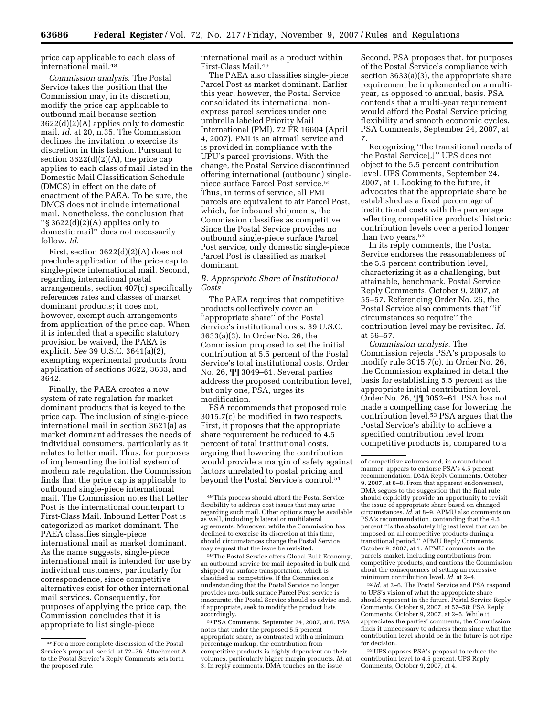price cap applicable to each class of international mail.48

*Commission analysis*. The Postal Service takes the position that the Commission may, in its discretion, modify the price cap applicable to outbound mail because section 3622(d)(2)(A) applies only to domestic mail. *Id*. at 20, n.35. The Commission declines the invitation to exercise its discretion in this fashion. Pursuant to section  $3622(d)(2)(A)$ , the price cap applies to each class of mail listed in the Domestic Mail Classification Schedule (DMCS) in effect on the date of enactment of the PAEA. To be sure, the DMCS does not include international mail. Nonetheless, the conclusion that ''§ 3622(d)(2)(A) applies only to domestic mail'' does not necessarily follow. *Id*.

First, section 3622(d)(2)(A) does not preclude application of the price cap to single-piece international mail. Second, regarding international postal arrangements, section 407(c) specifically references rates and classes of market dominant products; it does not, however, exempt such arrangements from application of the price cap. When it is intended that a specific statutory provision be waived, the PAEA is explicit. *See* 39 U.S.C. 3641(a)(2), exempting experimental products from application of sections 3622, 3633, and 3642.

Finally, the PAEA creates a new system of rate regulation for market dominant products that is keyed to the price cap. The inclusion of single-piece international mail in section 3621(a) as market dominant addresses the needs of individual consumers, particularly as it relates to letter mail. Thus, for purposes of implementing the initial system of modern rate regulation, the Commission finds that the price cap is applicable to outbound single-piece international mail. The Commission notes that Letter Post is the international counterpart to First-Class Mail. Inbound Letter Post is categorized as market dominant. The PAEA classifies single-piece international mail as market dominant. As the name suggests, single-piece international mail is intended for use by individual customers, particularly for correspondence, since competitive alternatives exist for other international mail services. Consequently, for purposes of applying the price cap, the Commission concludes that it is appropriate to list single-piece

international mail as a product within First-Class Mail.49

The PAEA also classifies single-piece Parcel Post as market dominant. Earlier this year, however, the Postal Service consolidated its international nonexpress parcel services under one umbrella labeled Priority Mail International (PMI). 72 FR 16604 (April 4, 2007). PMI is an airmail service and is provided in compliance with the UPU's parcel provisions. With the change, the Postal Service discontinued offering international (outbound) singlepiece surface Parcel Post service.50 Thus, in terms of service, all PMI parcels are equivalent to air Parcel Post, which, for inbound shipments, the Commission classifies as competitive. Since the Postal Service provides no outbound single-piece surface Parcel Post service, only domestic single-piece Parcel Post is classified as market dominant.

# *B. Appropriate Share of Institutional Costs*

The PAEA requires that competitive products collectively cover an 'appropriate share" of the Postal Service's institutional costs. 39 U.S.C. 3633(a)(3). In Order No. 26, the Commission proposed to set the initial contribution at 5.5 percent of the Postal Service's total institutional costs. Order No. 26, ¶¶ 3049–61. Several parties address the proposed contribution level, but only one, PSA, urges its modification.

PSA recommends that proposed rule 3015.7(c) be modified in two respects. First, it proposes that the appropriate share requirement be reduced to 4.5 percent of total institutional costs, arguing that lowering the contribution would provide a margin of safety against factors unrelated to postal pricing and beyond the Postal Service's control.51

50The Postal Service offers Global Bulk Economy, an outbound service for mail deposited in bulk and shipped via surface transportation, which is classified as competitive. If the Commission's understanding that the Postal Service no longer provides non-bulk surface Parcel Post service is inaccurate, the Postal Service should so advise and, if appropriate, seek to modify the product lists accordingly.

51PSA Comments, September 24, 2007, at 6. PSA notes that under the proposed 5.5 percent appropriate share, as contrasted with a minimum percentage markup, the contribution from competitive products is highly dependent on their volumes, particularly higher margin products. *Id.* at 3. In reply comments, DMA touches on the issue

Second, PSA proposes that, for purposes of the Postal Service's compliance with section 3633(a)(3), the appropriate share requirement be implemented on a multiyear, as opposed to annual, basis. PSA contends that a multi-year requirement would afford the Postal Service pricing flexibility and smooth economic cycles. PSA Comments, September 24, 2007, at 7.

Recognizing ''the transitional needs of the Postal Service[,]'' UPS does not object to the 5.5 percent contribution level. UPS Comments, September 24, 2007, at 1. Looking to the future, it advocates that the appropriate share be established as a fixed percentage of institutional costs with the percentage reflecting competitive products' historic contribution levels over a period longer than two years.<sup>52</sup>

In its reply comments, the Postal Service endorses the reasonableness of the 5.5 percent contribution level, characterizing it as a challenging, but attainable, benchmark. Postal Service Reply Comments, October 9, 2007, at 55–57. Referencing Order No. 26, the Postal Service also comments that ''if circumstances so require'' the contribution level may be revisited. *Id.*  at 56–57.

*Commission analysis.* The Commission rejects PSA's proposals to modify rule 3015.7(c). In Order No. 26, the Commission explained in detail the basis for establishing 5.5 percent as the appropriate initial contribution level. Order No. 26, ¶¶ 3052–61. PSA has not made a compelling case for lowering the contribution level.53 PSA argues that the Postal Service's ability to achieve a specified contribution level from competitive products is, compared to a

52 *Id.* at 2–6. The Postal Service and PSA respond to UPS's vision of what the appropriate share should represent in the future. Postal Service Reply Comments, October 9, 2007, at 57–58; PSA Reply Comments, October 9, 2007, at 2–5. While it appreciates the parties' comments, the Commission finds it unnecessary to address them since what the contribution level should be in the future is not ripe for decision.

53UPS opposes PSA's proposal to reduce the contribution level to 4.5 percent. UPS Reply Comments, October 9, 2007, at 4.

<sup>48</sup>For a more complete discussion of the Postal Service's proposal, see id. at 72–76. Attachment A to the Postal Service's Reply Comments sets forth the proposed rule.

<sup>49</sup>This process should afford the Postal Service flexibility to address cost issues that may arise regarding such mail. Other options may be available as well, including bilateral or multilateral agreements. Moreover, while the Commission has declined to exercise its discretion at this time, should circumstances change the Postal Service may request that the issue be revisited.

of competitive volumes and, in a roundabout manner, appears to endorse PSA's 4.5 percent recommendation. DMA Reply Comments, October 9, 2007, at 6–8. From that apparent endorsement, DMA segues to the suggestion that the final rule should explicitly provide an opportunity to revisit the issue of appropriate share based on changed circumstances. *Id.* at 8–9. APMU also comments on PSA's recommendation, contending that the 4.5 percent ''is the absolutely highest level that can be imposed on all competitive products during a transitional period.'' APMU Reply Comments, October 9, 2007, at 1. APMU comments on the parcels market, including contributions from competitive products, and cautions the Commission about the consequences of setting an excessive minimum contribution level. *Id.* at 2–4.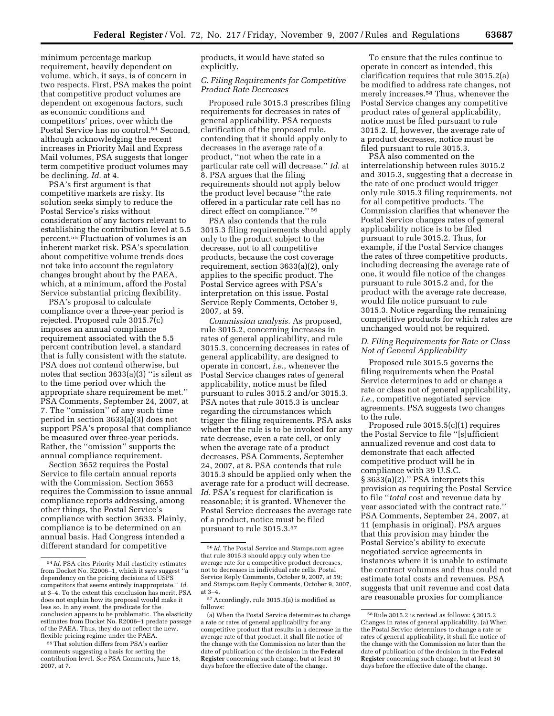minimum percentage markup requirement, heavily dependent on volume, which, it says, is of concern in two respects. First, PSA makes the point that competitive product volumes are dependent on exogenous factors, such as economic conditions and competitors' prices, over which the Postal Service has no control.54 Second, although acknowledging the recent increases in Priority Mail and Express Mail volumes, PSA suggests that longer term competitive product volumes may be declining. *Id.* at 4.

PSA's first argument is that competitive markets are risky. Its solution seeks simply to reduce the Postal Service's risks without consideration of any factors relevant to establishing the contribution level at 5.5 percent.55 Fluctuation of volumes is an inherent market risk. PSA's speculation about competitive volume trends does not take into account the regulatory changes brought about by the PAEA, which, at a minimum, afford the Postal Service substantial pricing flexibility.

PSA's proposal to calculate compliance over a three-year period is rejected. Proposed rule 3015.7(c) imposes an annual compliance requirement associated with the 5.5 percent contribution level, a standard that is fully consistent with the statute. PSA does not contend otherwise, but notes that section 3633(a)(3) ''is silent as to the time period over which the appropriate share requirement be met.'' PSA Comments, September 24, 2007, at 7. The ''omission'' of any such time period in section 3633(a)(3) does not support PSA's proposal that compliance be measured over three-year periods. Rather, the ''omission'' supports the annual compliance requirement.

Section 3652 requires the Postal Service to file certain annual reports with the Commission. Section 3653 requires the Commission to issue annual compliance reports addressing, among other things, the Postal Service's compliance with section 3633. Plainly, compliance is to be determined on an annual basis. Had Congress intended a different standard for competitive

products, it would have stated so explicitly.

# *C. Filing Requirements for Competitive Product Rate Decreases*

Proposed rule 3015.3 prescribes filing requirements for decreases in rates of general applicability. PSA requests clarification of the proposed rule, contending that it should apply only to decreases in the average rate of a product, ''not when the rate in a particular rate cell will decrease.'' *Id.* at 8. PSA argues that the filing requirements should not apply below the product level because ''the rate offered in a particular rate cell has no direct effect on compliance.'' 56

PSA also contends that the rule 3015.3 filing requirements should apply only to the product subject to the decrease, not to all competitive products, because the cost coverage requirement, section 3633(a)(2), only applies to the specific product. The Postal Service agrees with PSA's interpretation on this issue. Postal Service Reply Comments, October 9, 2007, at 59.

*Commission analysis.* As proposed, rule 3015.2, concerning increases in rates of general applicability, and rule 3015.3, concerning decreases in rates of general applicability, are designed to operate in concert, *i.e.*, whenever the Postal Service changes rates of general applicability, notice must be filed pursuant to rules 3015.2 and/or 3015.3. PSA notes that rule 3015.3 is unclear regarding the circumstances which trigger the filing requirements. PSA asks whether the rule is to be invoked for any rate decrease, even a rate cell, or only when the average rate of a product decreases. PSA Comments, September 24, 2007, at 8. PSA contends that rule 3015.3 should be applied only when the average rate for a product will decrease. *Id.* PSA's request for clarification is reasonable; it is granted. Whenever the Postal Service decreases the average rate of a product, notice must be filed pursuant to rule 3015.3.57

To ensure that the rules continue to operate in concert as intended, this clarification requires that rule 3015.2(a) be modified to address rate changes, not merely increases.58 Thus, whenever the Postal Service changes any competitive product rates of general applicability, notice must be filed pursuant to rule 3015.2. If, however, the average rate of a product decreases, notice must be filed pursuant to rule 3015.3.

PSA also commented on the interrelationship between rules 3015.2 and 3015.3, suggesting that a decrease in the rate of one product would trigger only rule 3015.3 filing requirements, not for all competitive products. The Commission clarifies that whenever the Postal Service changes rates of general applicability notice is to be filed pursuant to rule 3015.2. Thus, for example, if the Postal Service changes the rates of three competitive products, including decreasing the average rate of one, it would file notice of the changes pursuant to rule 3015.2 and, for the product with the average rate decrease, would file notice pursuant to rule 3015.3. Notice regarding the remaining competitive products for which rates are unchanged would not be required.

# *D. Filing Requirements for Rate or Class Not of General Applicability*

Proposed rule 3015.5 governs the filing requirements when the Postal Service determines to add or change a rate or class not of general applicability, *i.e.*, competitive negotiated service agreements. PSA suggests two changes to the rule.

Proposed rule 3015.5(c)(1) requires the Postal Service to file ''[s]ufficient annualized revenue and cost data to demonstrate that each affected competitive product will be in compliance with 39 U.S.C. § 3633(a)(2).'' PSA interprets this provision as requiring the Postal Service to file ''*total* cost and revenue data by year associated with the contract rate.'' PSA Comments, September 24, 2007, at 11 (emphasis in original). PSA argues that this provision may hinder the Postal Service's ability to execute negotiated service agreements in instances where it is unable to estimate the contract volumes and thus could not estimate total costs and revenues. PSA suggests that unit revenue and cost data are reasonable proxies for compliance

<sup>54</sup> *Id.* PSA cites Priority Mail elasticity estimates from Docket No. R2006–1, which it says suggest ''a dependency on the pricing decisions of USPS competitors that seems entirely inappropriate.'' *Id.*  at 3–4. To the extent this conclusion has merit, PSA does not explain how its proposal would make it less so. In any event, the predicate for the conclusion appears to be problematic. The elasticity estimates from Docket No. R2006–1 predate passage of the PAEA. Thus, they do not reflect the new, flexible pricing regime under the PAEA.

<sup>55</sup>That solution differs from PSA's earlier comments suggesting a basis for setting the contribution level. *See* PSA Comments, June 18, 2007, at 7.

<sup>56</sup> *Id.* The Postal Service and Stamps.com agree that rule 3015.3 should apply only when the average rate for a competitive product decreases, not to decreases in individual rate cells. Postal Service Reply Comments, October 9, 2007, at 59; and Stamps.com Reply Comments, October 9, 2007, at 3–4.

<sup>57</sup>Accordingly, rule 3015.3(a) is modified as follows:

<sup>(</sup>a) When the Postal Service determines to change a rate or rates of general applicability for any competitive product that results in a decrease in the average rate of that product, it shall file notice of the change with the Commission no later than the date of publication of the decision in the **Federal Register** concerning such change, but at least 30 days before the effective date of the change.

<sup>58</sup>Rule 3015.2 is revised as follows: § 3015.2 Changes in rates of general applicability. (a) When the Postal Service determines to change a rate or rates of general applicability, it shall file notice of the change with the Commission no later than the date of publication of the decision in the **Federal Register** concerning such change, but at least 30 days before the effective date of the change.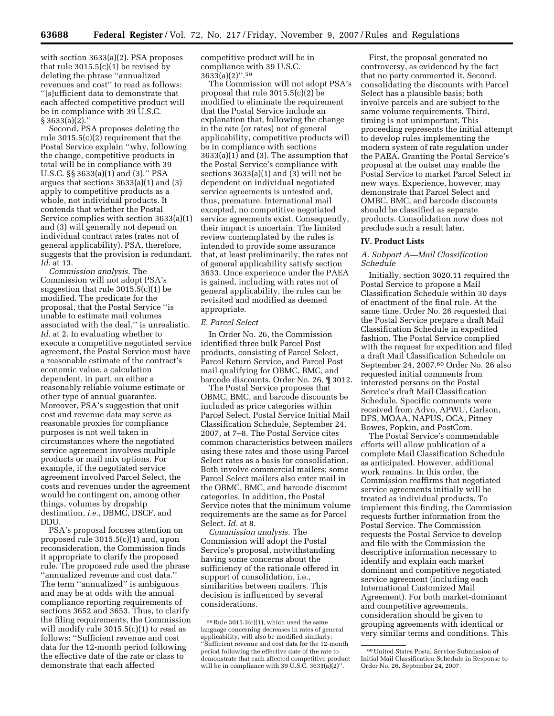with section 3633(a)(2). PSA proposes that rule  $3015.5(c)(1)$  be revised by deleting the phrase ''annualized revenues and cost'' to read as follows: ''[s]ufficient data to demonstrate that each affected competitive product will be in compliance with 39 U.S.C. § 3633(a)(2).''

Second, PSA proposes deleting the rule 3015.5(c)(2) requirement that the Postal Service explain ''why, following the change, competitive products in total will be in compliance with 39 U.S.C. §§ 3633(a)(1) and (3).'' PSA argues that sections 3633(a)(1) and (3) apply to competitive products as a whole, not individual products. It contends that whether the Postal Service complies with section 3633(a)(1) and (3) will generally not depend on individual contract rates (rates not of general applicability). PSA, therefore, suggests that the provision is redundant. *Id.* at 13.

*Commission analysis.* The Commission will not adopt PSA's suggestion that rule 3015.5(c)(1) be modified. The predicate for the proposal, that the Postal Service ''is unable to estimate mail volumes associated with the deal,'' is unrealistic. *Id.* at 2. In evaluating whether to execute a competitive negotiated service agreement, the Postal Service must have a reasonable estimate of the contract's economic value, a calculation dependent, in part, on either a reasonably reliable volume estimate or other type of annual guarantee. Moreover, PSA's suggestion that unit cost and revenue data may serve as reasonable proxies for compliance purposes is not well taken in circumstances where the negotiated service agreement involves multiple products or mail mix options. For example, if the negotiated service agreement involved Parcel Select, the costs and revenues under the agreement would be contingent on, among other things, volumes by dropship destination, *i.e.*, DBMC, DSCF, and DDU.

PSA's proposal focuses attention on proposed rule 3015.5(c)(1) and, upon reconsideration, the Commission finds it appropriate to clarify the proposed rule. The proposed rule used the phrase ''annualized revenue and cost data.'' The term ''annualized'' is ambiguous and may be at odds with the annual compliance reporting requirements of sections 3652 and 3653. Thus, to clarify the filing requirements, the Commission will modify rule 3015.5(c)(1) to read as follows: ''Sufficient revenue and cost data for the 12-month period following the effective date of the rate or class to demonstrate that each affected

competitive product will be in compliance with 39 U.S.C.  $3633(a)(2)$ ".<sup>59</sup>

The Commission will not adopt PSA's proposal that rule 3015.5(c)(2) be modified to eliminate the requirement that the Postal Service include an explanation that, following the change in the rate (or rates) not of general applicability, competitive products will be in compliance with sections  $3633(a)(1)$  and (3). The assumption that the Postal Service's compliance with sections 3633(a)(1) and (3) will not be dependent on individual negotiated service agreements is untested and, thus, premature. International mail excepted, no competitive negotiated service agreements exist. Consequently, their impact is uncertain. The limited review contemplated by the rules is intended to provide some assurance that, at least preliminarily, the rates not of general applicability satisfy section 3633. Once experience under the PAEA is gained, including with rates not of general applicability, the rules can be revisited and modified as deemed appropriate.

### *E. Parcel Select*

In Order No. 26, the Commission identified three bulk Parcel Post products, consisting of Parcel Select, Parcel Return Service, and Parcel Post mail qualifying for OBMC, BMC, and barcode discounts. Order No. 26, ¶ 3012.

The Postal Service proposes that OBMC, BMC, and barcode discounts be included as price categories within Parcel Select. Postal Service Initial Mail Classification Schedule, September 24, 2007, at 7–8. The Postal Service cites common characteristics between mailers using these rates and those using Parcel Select rates as a basis for consolidation. Both involve commercial mailers; some Parcel Select mailers also enter mail in the OBMC, BMC, and barcode discount categories. In addition, the Postal Service notes that the minimum volume requirements are the same as for Parcel Select. *Id.* at 8.

*Commission analysis.* The Commission will adopt the Postal Service's proposal, notwithstanding having some concerns about the sufficiency of the rationale offered in support of consolidation, i.e., similarities between mailers. This decision is influenced by several considerations.

First, the proposal generated no controversy, as evidenced by the fact that no party commented it. Second, consolidating the discounts with Parcel Select has a plausible basis; both involve parcels and are subject to the same volume requirements. Third, timing is not unimportant. This proceeding represents the initial attempt to develop rules implementing the modern system of rate regulation under the PAEA. Granting the Postal Service's proposal at the outset may enable the Postal Service to market Parcel Select in new ways. Experience, however, may demonstrate that Parcel Select and OMBC, BMC, and barcode discounts should be classified as separate products. Consolidation now does not preclude such a result later.

#### **IV. Product Lists**

# *A. Subpart A—Mail Classification Schedule*

Initially, section 3020.11 required the Postal Service to propose a Mail Classification Schedule within 30 days of enactment of the final rule. At the same time, Order No. 26 requested that the Postal Service prepare a draft Mail Classification Schedule in expedited fashion. The Postal Service complied with the request for expedition and filed a draft Mail Classification Schedule on September 24, 2007.60 Order No. 26 also requested initial comments from interested persons on the Postal Service's draft Mail Classification Schedule. Specific comments were received from Advo, APWU, Carlson, DFS, MOAA, NAPUS, OCA, Pitney Bowes, Popkin, and PostCom.

The Postal Service's commendable efforts will allow publication of a complete Mail Classification Schedule as anticipated. However, additional work remains. In this order, the Commission reaffirms that negotiated service agreements initially will be treated as individual products. To implement this finding, the Commission requests further information from the Postal Service. The Commission requests the Postal Service to develop and file with the Commission the descriptive information necessary to identify and explain each market dominant and competitive negotiated service agreement (including each International Customized Mail Agreement). For both market-dominant and competitive agreements, consideration should be given to grouping agreements with identical or very similar terms and conditions. This

<sup>59</sup>Rule 3015.3(c)(1), which used the same language concerning decreases in rates of general applicability, will also be modified similarly: ''Sufficient revenue and cost data for the 12-month period following the effective date of the rate to demonstrate that each affected competitive product will be in compliance with 39 U.S. $\hat{C}$ . 3633(a)(2)".

<sup>60</sup>United States Postal Service Submission of Initial Mail Classification Schedule in Response to Order No. 26, September 24, 2007.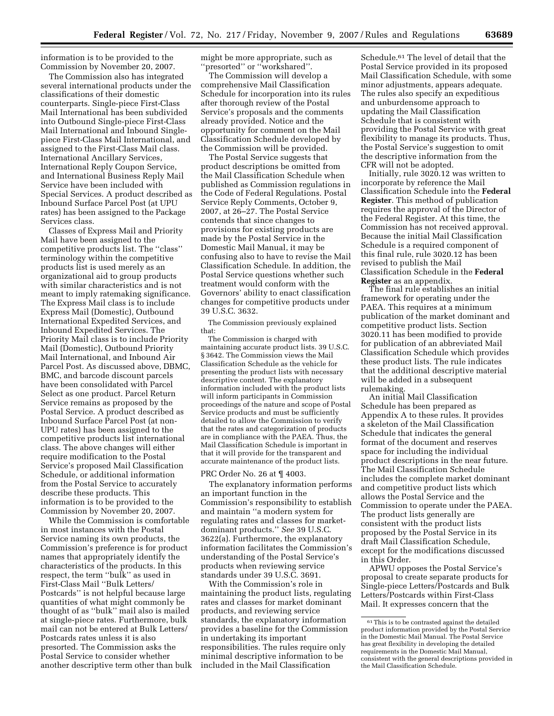information is to be provided to the Commission by November 20, 2007.

The Commission also has integrated several international products under the classifications of their domestic counterparts. Single-piece First-Class Mail International has been subdivided into Outbound Single-piece First-Class Mail International and Inbound Singlepiece First-Class Mail International, and assigned to the First-Class Mail class. International Ancillary Services, International Reply Coupon Service, and International Business Reply Mail Service have been included with Special Services. A product described as Inbound Surface Parcel Post (at UPU rates) has been assigned to the Package Services class.

Classes of Express Mail and Priority Mail have been assigned to the competitive products list. The ''class'' terminology within the competitive products list is used merely as an organizational aid to group products with similar characteristics and is not meant to imply ratemaking significance. The Express Mail class is to include Express Mail (Domestic), Outbound International Expedited Services, and Inbound Expedited Services. The Priority Mail class is to include Priority Mail (Domestic), Outbound Priority Mail International, and Inbound Air Parcel Post. As discussed above, DBMC, BMC, and barcode discount parcels have been consolidated with Parcel Select as one product. Parcel Return Service remains as proposed by the Postal Service. A product described as Inbound Surface Parcel Post (at non-UPU rates) has been assigned to the competitive products list international class. The above changes will either require modification to the Postal Service's proposed Mail Classification Schedule, or additional information from the Postal Service to accurately describe these products. This information is to be provided to the Commission by November 20, 2007.

While the Commission is comfortable in most instances with the Postal Service naming its own products, the Commission's preference is for product names that appropriately identify the characteristics of the products. In this respect, the term ''bulk'' as used in First-Class Mail ''Bulk Letters/ Postcards'' is not helpful because large quantities of what might commonly be thought of as ''bulk'' mail also is mailed at single-piece rates. Furthermore, bulk mail can not be entered at Bulk Letters/ Postcards rates unless it is also presorted. The Commission asks the Postal Service to consider whether another descriptive term other than bulk might be more appropriate, such as ''presorted'' or ''workshared''.

The Commission will develop a comprehensive Mail Classification Schedule for incorporation into its rules after thorough review of the Postal Service's proposals and the comments already provided. Notice and the opportunity for comment on the Mail Classification Schedule developed by the Commission will be provided.

The Postal Service suggests that product descriptions be omitted from the Mail Classification Schedule when published as Commission regulations in the Code of Federal Regulations. Postal Service Reply Comments, October 9, 2007, at 26–27. The Postal Service contends that since changes to provisions for existing products are made by the Postal Service in the Domestic Mail Manual, it may be confusing also to have to revise the Mail Classification Schedule. In addition, the Postal Service questions whether such treatment would conform with the Governors' ability to enact classification changes for competitive products under 39 U.S.C. 3632.

The Commission previously explained that:

The Commission is charged with maintaining accurate product lists. 39 U.S.C. § 3642. The Commission views the Mail Classification Schedule as the vehicle for presenting the product lists with necessary descriptive content. The explanatory information included with the product lists will inform participants in Commission proceedings of the nature and scope of Postal Service products and must be sufficiently detailed to allow the Commission to verify that the rates and categorization of products are in compliance with the PAEA. Thus, the Mail Classification Schedule is important in that it will provide for the transparent and accurate maintenance of the product lists.

#### PRC Order No. 26 at ¶ 4003.

The explanatory information performs an important function in the Commission's responsibility to establish and maintain ''a modern system for regulating rates and classes for marketdominant products.'' *See* 39 U.S.C. 3622(a). Furthermore, the explanatory information facilitates the Commission's understanding of the Postal Service's products when reviewing service standards under 39 U.S.C. 3691.

With the Commission's role in maintaining the product lists, regulating rates and classes for market dominant products, and reviewing service standards, the explanatory information provides a baseline for the Commission in undertaking its important responsibilities. The rules require only minimal descriptive information to be included in the Mail Classification

Schedule.61 The level of detail that the Postal Service provided in its proposed Mail Classification Schedule, with some minor adjustments, appears adequate. The rules also specify an expeditious and unburdensome approach to updating the Mail Classification Schedule that is consistent with providing the Postal Service with great flexibility to manage its products. Thus, the Postal Service's suggestion to omit the descriptive information from the CFR will not be adopted.

Initially, rule 3020.12 was written to incorporate by reference the Mail Classification Schedule into the **Federal Register**. This method of publication requires the approval of the Director of the Federal Register. At this time, the Commission has not received approval. Because the initial Mail Classification Schedule is a required component of this final rule, rule 3020.12 has been revised to publish the Mail Classification Schedule in the **Federal Register** as an appendix.

The final rule establishes an initial framework for operating under the PAEA. This requires at a minimum publication of the market dominant and competitive product lists. Section 3020.11 has been modified to provide for publication of an abbreviated Mail Classification Schedule which provides these product lists. The rule indicates that the additional descriptive material will be added in a subsequent rulemaking.

An initial Mail Classification Schedule has been prepared as Appendix A to these rules. It provides a skeleton of the Mail Classification Schedule that indicates the general format of the document and reserves space for including the individual product descriptions in the near future. The Mail Classification Schedule includes the complete market dominant and competitive product lists which allows the Postal Service and the Commission to operate under the PAEA. The product lists generally are consistent with the product lists proposed by the Postal Service in its draft Mail Classification Schedule, except for the modifications discussed in this Order.

APWU opposes the Postal Service's proposal to create separate products for Single-piece Letters/Postcards and Bulk Letters/Postcards within First-Class Mail. It expresses concern that the

<sup>61</sup>This is to be contrasted against the detailed product information provided by the Postal Service in the Domestic Mail Manual. The Postal Service has great flexibility in developing the detailed requirements in the Domestic Mail Manual, consistent with the general descriptions provided in the Mail Classification Schedule.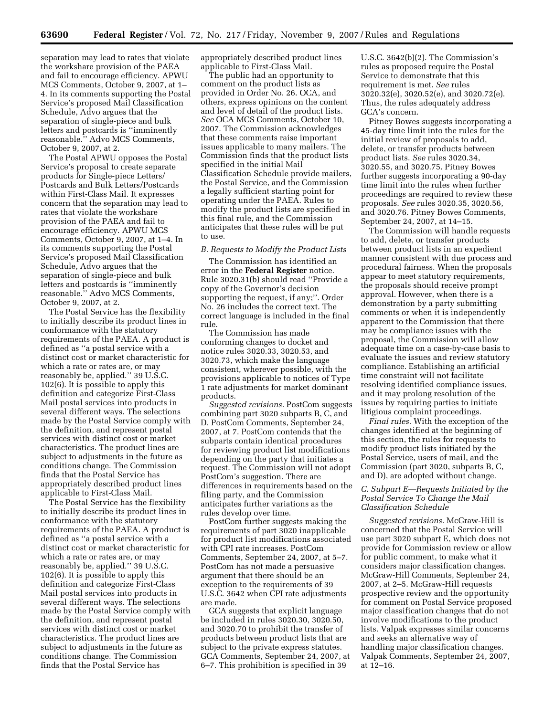separation may lead to rates that violate the workshare provision of the PAEA and fail to encourage efficiency. APWU MCS Comments, October 9, 2007, at 1– 4. In its comments supporting the Postal Service's proposed Mail Classification Schedule, Advo argues that the separation of single-piece and bulk letters and postcards is ''imminently reasonable.'' Advo MCS Comments, October 9, 2007, at 2.

The Postal APWU opposes the Postal Service's proposal to create separate products for Single-piece Letters/ Postcards and Bulk Letters/Postcards within First-Class Mail. It expresses concern that the separation may lead to rates that violate the workshare provision of the PAEA and fail to encourage efficiency. APWU MCS Comments, October 9, 2007, at 1–4. In its comments supporting the Postal Service's proposed Mail Classification Schedule, Advo argues that the separation of single-piece and bulk letters and postcards is ''imminently reasonable.'' Advo MCS Comments, October 9, 2007, at 2.

The Postal Service has the flexibility to initially describe its product lines in conformance with the statutory requirements of the PAEA. A product is defined as ''a postal service with a distinct cost or market characteristic for which a rate or rates are, or may reasonably be, applied.'' 39 U.S.C. 102(6). It is possible to apply this definition and categorize First-Class Mail postal services into products in several different ways. The selections made by the Postal Service comply with the definition, and represent postal services with distinct cost or market characteristics. The product lines are subject to adjustments in the future as conditions change. The Commission finds that the Postal Service has appropriately described product lines applicable to First-Class Mail.

The Postal Service has the flexibility to initially describe its product lines in conformance with the statutory requirements of the PAEA. A product is defined as ''a postal service with a distinct cost or market characteristic for which a rate or rates are, or may reasonably be, applied.'' 39 U.S.C. 102(6). It is possible to apply this definition and categorize First-Class Mail postal services into products in several different ways. The selections made by the Postal Service comply with the definition, and represent postal services with distinct cost or market characteristics. The product lines are subject to adjustments in the future as conditions change. The Commission finds that the Postal Service has

appropriately described product lines applicable to First-Class Mail.

The public had an opportunity to comment on the product lists as provided in Order No. 26. OCA, and others, express opinions on the content and level of detail of the product lists. *See* OCA MCS Comments, October 10, 2007. The Commission acknowledges that these comments raise important issues applicable to many mailers. The Commission finds that the product lists specified in the initial Mail Classification Schedule provide mailers, the Postal Service, and the Commission a legally sufficient starting point for operating under the PAEA. Rules to modify the product lists are specified in this final rule, and the Commission anticipates that these rules will be put to use.

#### *B. Requests to Modify the Product Lists*

The Commission has identified an error in the **Federal Register** notice. Rule 3020.31(b) should read ''Provide a copy of the Governor's decision supporting the request, if any;''. Order No. 26 includes the correct text. The correct language is included in the final rule.

The Commission has made conforming changes to docket and notice rules 3020.33, 3020.53, and 3020.73, which make the language consistent, wherever possible, with the provisions applicable to notices of Type 1 rate adjustments for market dominant products.

*Suggested revisions.* PostCom suggests combining part 3020 subparts B, C, and D. PostCom Comments, September 24, 2007, at 7. PostCom contends that the subparts contain identical procedures for reviewing product list modifications depending on the party that initiates a request. The Commission will not adopt PostCom's suggestion. There are differences in requirements based on the filing party, and the Commission anticipates further variations as the rules develop over time.

PostCom further suggests making the requirements of part 3020 inapplicable for product list modifications associated with CPI rate increases. PostCom Comments, September 24, 2007, at 5–7. PostCom has not made a persuasive argument that there should be an exception to the requirements of 39 U.S.C. 3642 when CPI rate adjustments are made.

GCA suggests that explicit language be included in rules 3020.30, 3020.50, and 3020.70 to prohibit the transfer of products between product lists that are subject to the private express statutes. GCA Comments, September 24, 2007, at 6–7. This prohibition is specified in 39

U.S.C. 3642(b)(2). The Commission's rules as proposed require the Postal Service to demonstrate that this requirement is met. *See* rules 3020.32(e), 3020.52(e), and 3020.72(e). Thus, the rules adequately address GCA's concern.

Pitney Bowes suggests incorporating a 45-day time limit into the rules for the initial review of proposals to add, delete, or transfer products between product lists. *See* rules 3020.34, 3020.55, and 3020.75. Pitney Bowes further suggests incorporating a 90-day time limit into the rules when further proceedings are required to review these proposals. *See* rules 3020.35, 3020.56, and 3020.76. Pitney Bowes Comments, September 24, 2007, at 14–15.

The Commission will handle requests to add, delete, or transfer products between product lists in an expedient manner consistent with due process and procedural fairness. When the proposals appear to meet statutory requirements, the proposals should receive prompt approval. However, when there is a demonstration by a party submitting comments or when it is independently apparent to the Commission that there may be compliance issues with the proposal, the Commission will allow adequate time on a case-by-case basis to evaluate the issues and review statutory compliance. Establishing an artificial time constraint will not facilitate resolving identified compliance issues, and it may prolong resolution of the issues by requiring parties to initiate litigious complaint proceedings.

*Final rules.* With the exception of the changes identified at the beginning of this section, the rules for requests to modify product lists initiated by the Postal Service, users of mail, and the Commission (part 3020, subparts B, C, and D), are adopted without change.

# *C. Subpart E—Requests Initiated by the Postal Service To Change the Mail Classification Schedule*

*Suggested revisions.* McGraw-Hill is concerned that the Postal Service will use part 3020 subpart E, which does not provide for Commission review or allow for public comment, to make what it considers major classification changes. McGraw-Hill Comments, September 24, 2007, at 2–5. McGraw-Hill requests prospective review and the opportunity for comment on Postal Service proposed major classification changes that do not involve modifications to the product lists. Valpak expresses similar concerns and seeks an alternative way of handling major classification changes. Valpak Comments, September 24, 2007, at 12–16.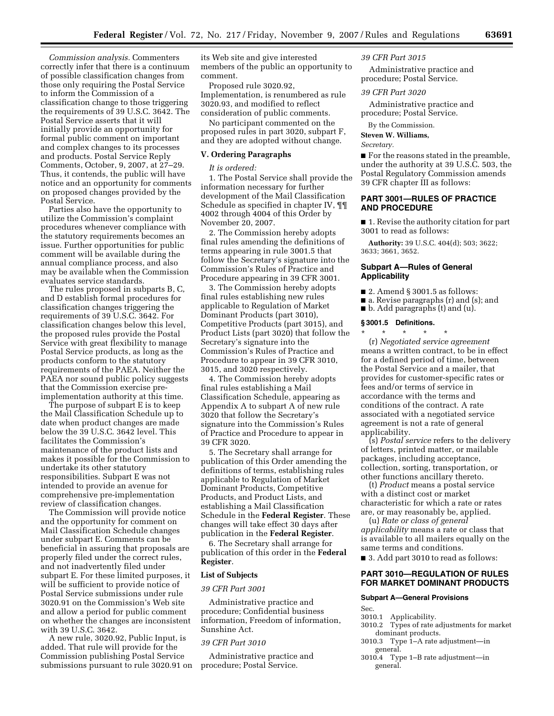*Commission analysis.* Commenters correctly infer that there is a continuum of possible classification changes from those only requiring the Postal Service to inform the Commission of a classification change to those triggering the requirements of 39 U.S.C. 3642. The Postal Service asserts that it will initially provide an opportunity for formal public comment on important and complex changes to its processes and products. Postal Service Reply Comments, October, 9, 2007, at 27–29. Thus, it contends, the public will have notice and an opportunity for comments on proposed changes provided by the Postal Service.

Parties also have the opportunity to utilize the Commission's complaint procedures whenever compliance with the statutory requirements becomes an issue. Further opportunities for public comment will be available during the annual compliance process, and also may be available when the Commission evaluates service standards.

The rules proposed in subparts B, C, and D establish formal procedures for classification changes triggering the requirements of 39 U.S.C. 3642. For classification changes below this level, the proposed rules provide the Postal Service with great flexibility to manage Postal Service products, as long as the products conform to the statutory requirements of the PAEA. Neither the PAEA nor sound public policy suggests that the Commission exercise preimplementation authority at this time.

The purpose of subpart E is to keep the Mail Classification Schedule up to date when product changes are made below the 39 U.S.C. 3642 level. This facilitates the Commission's maintenance of the product lists and makes it possible for the Commission to undertake its other statutory responsibilities. Subpart E was not intended to provide an avenue for comprehensive pre-implementation review of classification changes.

The Commission will provide notice and the opportunity for comment on Mail Classification Schedule changes under subpart E. Comments can be beneficial in assuring that proposals are properly filed under the correct rules, and not inadvertently filed under subpart E. For these limited purposes, it will be sufficient to provide notice of Postal Service submissions under rule 3020.91 on the Commission's Web site and allow a period for public comment on whether the changes are inconsistent with 39 U.S.C. 3642.

A new rule, 3020.92, Public Input, is added. That rule will provide for the Commission publishing Postal Service submissions pursuant to rule 3020.91 on

its Web site and give interested members of the public an opportunity to comment.

Proposed rule 3020.92, Implementation, is renumbered as rule 3020.93, and modified to reflect consideration of public comments.

No participant commented on the proposed rules in part 3020, subpart F, and they are adopted without change.

# **V. Ordering Paragraphs**

*It is ordered:* 

1. The Postal Service shall provide the information necessary for further development of the Mail Classification Schedule as specified in chapter IV, ¶¶ 4002 through 4004 of this Order by November 20, 2007.

2. The Commission hereby adopts final rules amending the definitions of terms appearing in rule 3001.5 that follow the Secretary's signature into the Commission's Rules of Practice and Procedure appearing in 39 CFR 3001.

3. The Commission hereby adopts final rules establishing new rules applicable to Regulation of Market Dominant Products (part 3010), Competitive Products (part 3015), and Product Lists (part 3020) that follow the Secretary's signature into the Commission's Rules of Practice and Procedure to appear in 39 CFR 3010, 3015, and 3020 respectively.

4. The Commission hereby adopts final rules establishing a Mail Classification Schedule, appearing as Appendix A to subpart A of new rule 3020 that follow the Secretary's signature into the Commission's Rules of Practice and Procedure to appear in 39 CFR 3020.

5. The Secretary shall arrange for publication of this Order amending the definitions of terms, establishing rules applicable to Regulation of Market Dominant Products, Competitive Products, and Product Lists, and establishing a Mail Classification Schedule in the **Federal Register**. These changes will take effect 30 days after publication in the **Federal Register**.

6. The Secretary shall arrange for publication of this order in the **Federal Register**.

# **List of Subjects**

# *39 CFR Part 3001*

Administrative practice and procedure; Confidential business information, Freedom of information, Sunshine Act.

### *39 CFR Part 3010*

Administrative practice and procedure; Postal Service.

#### *39 CFR Part 3015*

Administrative practice and procedure; Postal Service.

#### *39 CFR Part 3020*

Administrative practice and procedure; Postal Service.

By the Commission.

# **Steven W. Williams,**

### *Secretary.*

■ For the reasons stated in the preamble, under the authority at 39 U.S.C. 503, the Postal Regulatory Commission amends 39 CFR chapter III as follows:

# **PART 3001—RULES OF PRACTICE AND PROCEDURE**

■ 1. Revise the authority citation for part 3001 to read as follows:

**Authority:** 39 U.S.C. 404(d); 503; 3622; 3633; 3661, 3652.

# **Subpart A—Rules of General Applicability**

- $\blacksquare$  2. Amend § 3001.5 as follows:
- a. Revise paragraphs (r) and (s); and
- b. Add paragraphs (t) and (u).

# **§ 3001.5 Definitions.**

\* \* \* \* \* (r) *Negotiated service agreement*  means a written contract, to be in effect for a defined period of time, between the Postal Service and a mailer, that provides for customer-specific rates or fees and/or terms of service in accordance with the terms and conditions of the contract. A rate associated with a negotiated service agreement is not a rate of general applicability.

(s) *Postal service* refers to the delivery of letters, printed matter, or mailable packages, including acceptance, collection, sorting, transportation, or other functions ancillary thereto.

(t) *Product* means a postal service with a distinct cost or market characteristic for which a rate or rates are, or may reasonably be, applied.

(u) *Rate or class of general applicability* means a rate or class that is available to all mailers equally on the same terms and conditions.

■ 3. Add part 3010 to read as follows:

# **PART 3010—REGULATION OF RULES FOR MARKET DOMINANT PRODUCTS**

# **Subpart A—General Provisions**

- Sec.
- 3010.1 Applicability.
- 3010.2 Types of rate adjustments for market dominant products.
- 3010.3 Type 1–A rate adjustment—in general.
- 3010.4 Type 1–B rate adjustment—in general.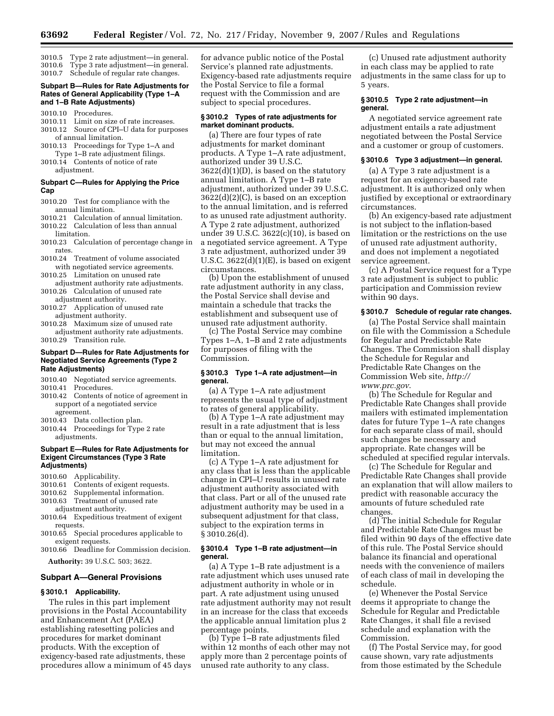- 3010.5 Type 2 rate adjustment—in general.
- 3010.6 Type 3 rate adjustment—in general. 3010.7 Schedule of regular rate changes.

### **Subpart B—Rules for Rate Adjustments for Rates of General Applicability (Type 1–A and 1–B Rate Adjustments)**

- 3010.10 Procedures.
- 3010.11 Limit on size of rate increases.
- 3010.12 Source of CPI–U data for purposes of annual limitation.
- 3010.13 Proceedings for Type 1–A and Type 1–B rate adjustment filings. 3010.14 Contents of notice of rate
- adjustment.

# **Subpart C—Rules for Applying the Price Cap**

- 3010.20 Test for compliance with the annual limitation.
- 3010.21 Calculation of annual limitation. 3010.22 Calculation of less than annual limitation.
- 3010.23 Calculation of percentage change in rates.
- 3010.24 Treatment of volume associated with negotiated service agreements.
- 3010.25 Limitation on unused rate adjustment authority rate adjustments.
- 3010.26 Calculation of unused rate adjustment authority.
- 3010.27 Application of unused rate adjustment authority.
- 3010.28 Maximum size of unused rate adjustment authority rate adjustments.

3010.29 Transition rule.

### **Subpart D—Rules for Rate Adjustments for Negotiated Service Agreements (Type 2 Rate Adjustments)**

- 3010.40 Negotiated service agreements.
- 3010.41 Procedures.
- 3010.42 Contents of notice of agreement in support of a negotiated service agreement.
- 3010.43 Data collection plan.
- 3010.44 Proceedings for Type 2 rate adjustments.

### **Subpart E—Rules for Rate Adjustments for Exigent Circumstances (Type 3 Rate Adjustments)**

- 3010.60 Applicability.
- Contents of exigent requests.
- 3010.62 Supplemental information.
- Treatment of unused rate
- adjustment authority. 3010.64 Expeditious treatment of exigent
- requests.
- 3010.65 Special procedures applicable to exigent requests.
- 3010.66 Deadline for Commission decision. **Authority:** 39 U.S.C. 503; 3622.

# **Subpart A—General Provisions**

# **§ 3010.1 Applicability.**

The rules in this part implement provisions in the Postal Accountability and Enhancement Act (PAEA) establishing ratesetting policies and procedures for market dominant products. With the exception of exigency-based rate adjustments, these procedures allow a minimum of 45 days

for advance public notice of the Postal Service's planned rate adjustments. Exigency-based rate adjustments require the Postal Service to file a formal request with the Commission and are subject to special procedures.

### **§ 3010.2 Types of rate adjustments for market dominant products.**

(a) There are four types of rate adjustments for market dominant products. A Type 1–A rate adjustment, authorized under 39 U.S.C. 3622(d)(1)(D), is based on the statutory annual limitation. A Type 1–B rate adjustment, authorized under 39 U.S.C. 3622(d)(2)(C), is based on an exception to the annual limitation, and is referred to as unused rate adjustment authority. A Type 2 rate adjustment, authorized under 39 U.S.C. 3622(c)(10), is based on a negotiated service agreement. A Type 3 rate adjustment, authorized under 39 U.S.C.  $3622(d)(1)(E)$ , is based on exigent circumstances.

(b) Upon the establishment of unused rate adjustment authority in any class, the Postal Service shall devise and maintain a schedule that tracks the establishment and subsequent use of unused rate adjustment authority.

(c) The Postal Service may combine Types 1–A, 1–B and 2 rate adjustments for purposes of filing with the Commission.

### **§ 3010.3 Type 1–A rate adjustment—in general.**

(a) A Type 1–A rate adjustment represents the usual type of adjustment to rates of general applicability.

(b) A Type 1–A rate adjustment may result in a rate adjustment that is less than or equal to the annual limitation, but may not exceed the annual limitation.

(c) A Type 1–A rate adjustment for any class that is less than the applicable change in CPI–U results in unused rate adjustment authority associated with that class. Part or all of the unused rate adjustment authority may be used in a subsequent adjustment for that class, subject to the expiration terms in § 3010.26(d).

### **§ 3010.4 Type 1–B rate adjustment—in general.**

(a) A Type 1–B rate adjustment is a rate adjustment which uses unused rate adjustment authority in whole or in part. A rate adjustment using unused rate adjustment authority may not result in an increase for the class that exceeds the applicable annual limitation plus 2 percentage points.

(b) Type 1–B rate adjustments filed within 12 months of each other may not apply more than 2 percentage points of unused rate authority to any class.

(c) Unused rate adjustment authority in each class may be applied to rate adjustments in the same class for up to 5 years.

# **§ 3010.5 Type 2 rate adjustment—in general.**

A negotiated service agreement rate adjustment entails a rate adjustment negotiated between the Postal Service and a customer or group of customers.

# **§ 3010.6 Type 3 adjustment—in general.**

(a) A Type 3 rate adjustment is a request for an exigency-based rate adjustment. It is authorized only when justified by exceptional or extraordinary circumstances.

(b) An exigency-based rate adjustment is not subject to the inflation-based limitation or the restrictions on the use of unused rate adjustment authority, and does not implement a negotiated service agreement.

(c) A Postal Service request for a Type 3 rate adjustment is subject to public participation and Commission review within 90 days.

# **§ 3010.7 Schedule of regular rate changes.**

(a) The Postal Service shall maintain on file with the Commission a Schedule for Regular and Predictable Rate Changes. The Commission shall display the Schedule for Regular and Predictable Rate Changes on the Commission Web site, *http:// www.prc.gov*.

(b) The Schedule for Regular and Predictable Rate Changes shall provide mailers with estimated implementation dates for future Type 1–A rate changes for each separate class of mail, should such changes be necessary and appropriate. Rate changes will be scheduled at specified regular intervals.

(c) The Schedule for Regular and Predictable Rate Changes shall provide an explanation that will allow mailers to predict with reasonable accuracy the amounts of future scheduled rate changes.

(d) The initial Schedule for Regular and Predictable Rate Changes must be filed within 90 days of the effective date of this rule. The Postal Service should balance its financial and operational needs with the convenience of mailers of each class of mail in developing the schedule.

(e) Whenever the Postal Service deems it appropriate to change the Schedule for Regular and Predictable Rate Changes, it shall file a revised schedule and explanation with the Commission.

(f) The Postal Service may, for good cause shown, vary rate adjustments from those estimated by the Schedule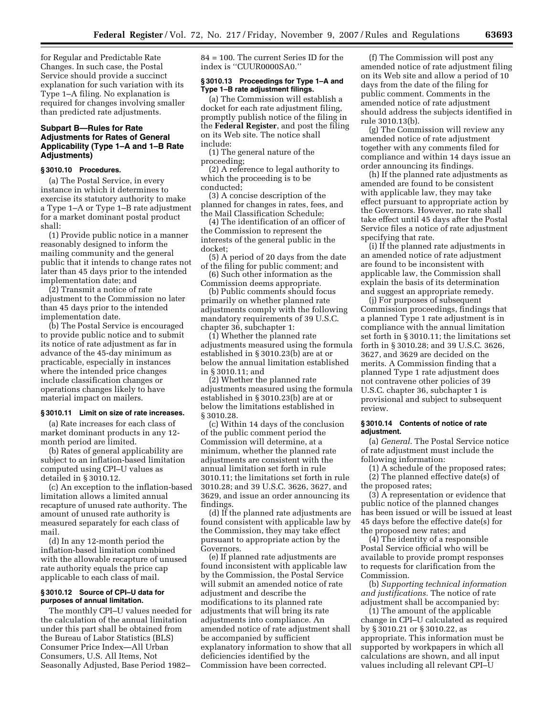for Regular and Predictable Rate Changes. In such case, the Postal Service should provide a succinct explanation for such variation with its Type 1–A filing. No explanation is required for changes involving smaller than predicted rate adjustments.

# **Subpart B—Rules for Rate Adjustments for Rates of General Applicability (Type 1–A and 1–B Rate Adjustments)**

#### **§ 3010.10 Procedures.**

(a) The Postal Service, in every instance in which it determines to exercise its statutory authority to make a Type 1–A or Type 1–B rate adjustment for a market dominant postal product shall:

(1) Provide public notice in a manner reasonably designed to inform the mailing community and the general public that it intends to change rates not later than 45 days prior to the intended implementation date; and

(2) Transmit a notice of rate adjustment to the Commission no later than 45 days prior to the intended implementation date.

(b) The Postal Service is encouraged to provide public notice and to submit its notice of rate adjustment as far in advance of the 45-day minimum as practicable, especially in instances where the intended price changes include classification changes or operations changes likely to have material impact on mailers.

### **§ 3010.11 Limit on size of rate increases.**

(a) Rate increases for each class of market dominant products in any 12 month period are limited.

(b) Rates of general applicability are subject to an inflation-based limitation computed using CPI–U values as detailed in § 3010.12.

(c) An exception to the inflation-based limitation allows a limited annual recapture of unused rate authority. The amount of unused rate authority is measured separately for each class of mail.

(d) In any 12-month period the inflation-based limitation combined with the allowable recapture of unused rate authority equals the price cap applicable to each class of mail.

### **§ 3010.12 Source of CPI–U data for purposes of annual limitation.**

The monthly CPI–U values needed for the calculation of the annual limitation under this part shall be obtained from the Bureau of Labor Statistics (BLS) Consumer Price Index—All Urban Consumers, U.S. All Items, Not Seasonally Adjusted, Base Period 1982–

84 = 100. The current Series ID for the index is ''CUUR0000SA0.''

# **§ 3010.13 Proceedings for Type 1–A and Type 1–B rate adjustment filings.**

(a) The Commission will establish a docket for each rate adjustment filing, promptly publish notice of the filing in the **Federal Register**, and post the filing on its Web site. The notice shall include:

(1) The general nature of the proceeding;

(2) A reference to legal authority to which the proceeding is to be conducted;

(3) A concise description of the planned for changes in rates, fees, and the Mail Classification Schedule;

(4) The identification of an officer of the Commission to represent the interests of the general public in the docket;

(5) A period of 20 days from the date of the filing for public comment; and

(6) Such other information as the Commission deems appropriate.

(b) Public comments should focus primarily on whether planned rate adjustments comply with the following mandatory requirements of 39 U.S.C. chapter 36, subchapter 1:

(1) Whether the planned rate adjustments measured using the formula established in § 3010.23(b) are at or below the annual limitation established in § 3010.11; and

(2) Whether the planned rate adjustments measured using the formula established in § 3010.23(b) are at or below the limitations established in § 3010.28.

(c) Within 14 days of the conclusion of the public comment period the Commission will determine, at a minimum, whether the planned rate adjustments are consistent with the annual limitation set forth in rule 3010.11; the limitations set forth in rule 3010.28; and 39 U.S.C. 3626, 3627, and 3629, and issue an order announcing its findings.

(d) If the planned rate adjustments are found consistent with applicable law by the Commission, they may take effect pursuant to appropriate action by the Governors.

(e) If planned rate adjustments are found inconsistent with applicable law by the Commission, the Postal Service will submit an amended notice of rate adjustment and describe the modifications to its planned rate adjustments that will bring its rate adjustments into compliance. An amended notice of rate adjustment shall be accompanied by sufficient explanatory information to show that all deficiencies identified by the Commission have been corrected.

(f) The Commission will post any amended notice of rate adjustment filing on its Web site and allow a period of 10 days from the date of the filing for public comment. Comments in the amended notice of rate adjustment should address the subjects identified in rule 3010.13(b).

(g) The Commission will review any amended notice of rate adjustment together with any comments filed for compliance and within 14 days issue an order announcing its findings.

(h) If the planned rate adjustments as amended are found to be consistent with applicable law, they may take effect pursuant to appropriate action by the Governors. However, no rate shall take effect until 45 days after the Postal Service files a notice of rate adjustment specifying that rate.

(i) If the planned rate adjustments in an amended notice of rate adjustment are found to be inconsistent with applicable law, the Commission shall explain the basis of its determination and suggest an appropriate remedy.

(j) For purposes of subsequent Commission proceedings, findings that a planned Type 1 rate adjustment is in compliance with the annual limitation set forth in § 3010.11; the limitations set forth in § 3010.28; and 39 U.S.C. 3626, 3627, and 3629 are decided on the merits. A Commission finding that a planned Type 1 rate adjustment does not contravene other policies of 39 U.S.C. chapter 36, subchapter 1 is provisional and subject to subsequent review.

# **§ 3010.14 Contents of notice of rate adjustment.**

(a) *General*. The Postal Service notice of rate adjustment must include the following information:

(1) A schedule of the proposed rates; (2) The planned effective date(s) of the proposed rates;

(3) A representation or evidence that public notice of the planned changes has been issued or will be issued at least 45 days before the effective date(s) for the proposed new rates; and

(4) The identity of a responsible Postal Service official who will be available to provide prompt responses to requests for clarification from the Commission.

(b) *Supporting technical information and justifications.* The notice of rate adjustment shall be accompanied by:

(1) The amount of the applicable change in CPI–U calculated as required by § 3010.21 or § 3010.22, as appropriate. This information must be supported by workpapers in which all calculations are shown, and all input values including all relevant CPI–U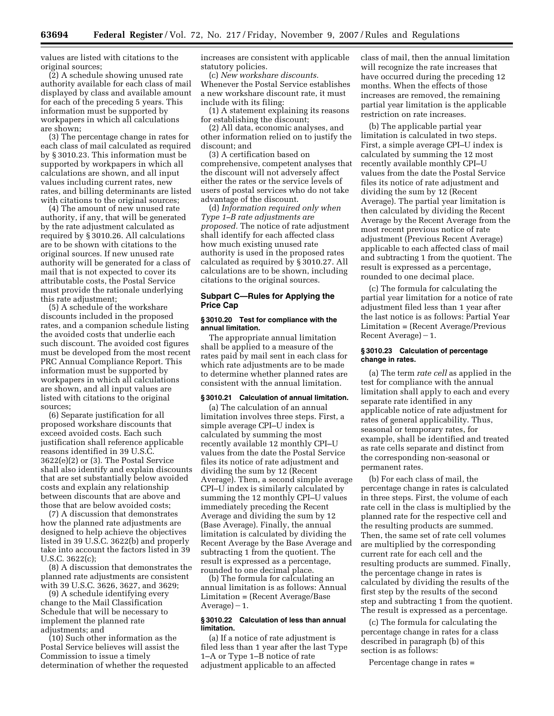values are listed with citations to the original sources;

(2) A schedule showing unused rate authority available for each class of mail displayed by class and available amount for each of the preceding 5 years. This information must be supported by workpapers in which all calculations are shown;

(3) The percentage change in rates for each class of mail calculated as required by § 3010.23. This information must be supported by workpapers in which all calculations are shown, and all input values including current rates, new rates, and billing determinants are listed with citations to the original sources;

(4) The amount of new unused rate authority, if any, that will be generated by the rate adjustment calculated as required by § 3010.26. All calculations are to be shown with citations to the original sources. If new unused rate authority will be generated for a class of mail that is not expected to cover its attributable costs, the Postal Service must provide the rationale underlying this rate adjustment;

(5) A schedule of the workshare discounts included in the proposed rates, and a companion schedule listing the avoided costs that underlie each such discount. The avoided cost figures must be developed from the most recent PRC Annual Compliance Report. This information must be supported by workpapers in which all calculations are shown, and all input values are listed with citations to the original sources;

(6) Separate justification for all proposed workshare discounts that exceed avoided costs. Each such justification shall reference applicable reasons identified in 39 U.S.C. 3622(e)(2) or (3). The Postal Service shall also identify and explain discounts that are set substantially below avoided costs and explain any relationship between discounts that are above and those that are below avoided costs;

(7) A discussion that demonstrates how the planned rate adjustments are designed to help achieve the objectives listed in 39 U.S.C. 3622(b) and properly take into account the factors listed in 39 U.S.C. 3622(c);

(8) A discussion that demonstrates the planned rate adjustments are consistent with 39 U.S.C. 3626, 3627, and 3629;

(9) A schedule identifying every change to the Mail Classification Schedule that will be necessary to implement the planned rate adjustments; and

(10) Such other information as the Postal Service believes will assist the Commission to issue a timely determination of whether the requested increases are consistent with applicable statutory policies.

(c) *New workshare discounts.*  Whenever the Postal Service establishes a new workshare discount rate, it must include with its filing:

(1) A statement explaining its reasons for establishing the discount;

(2) All data, economic analyses, and other information relied on to justify the discount; and

(3) A certification based on comprehensive, competent analyses that the discount will not adversely affect either the rates or the service levels of users of postal services who do not take advantage of the discount.

(d) *Information required only when Type 1–B rate adjustments are proposed.* The notice of rate adjustment shall identify for each affected class how much existing unused rate authority is used in the proposed rates calculated as required by § 3010.27. All calculations are to be shown, including citations to the original sources.

# **Subpart C—Rules for Applying the Price Cap**

# **§ 3010.20 Test for compliance with the annual limitation.**

The appropriate annual limitation shall be applied to a measure of the rates paid by mail sent in each class for which rate adjustments are to be made to determine whether planned rates are consistent with the annual limitation.

# **§ 3010.21 Calculation of annual limitation.**

(a) The calculation of an annual limitation involves three steps. First, a simple average CPI–U index is calculated by summing the most recently available 12 monthly CPI–U values from the date the Postal Service files its notice of rate adjustment and dividing the sum by 12 (Recent Average). Then, a second simple average CPI–U index is similarly calculated by summing the 12 monthly CPI–U values immediately preceding the Recent Average and dividing the sum by 12 (Base Average). Finally, the annual limitation is calculated by dividing the Recent Average by the Base Average and subtracting 1 from the quotient. The result is expressed as a percentage, rounded to one decimal place.

(b) The formula for calculating an annual limitation is as follows: Annual Limitation = (Recent Average/Base  $Average) - 1.$ 

# **§ 3010.22 Calculation of less than annual limitation.**

(a) If a notice of rate adjustment is filed less than 1 year after the last Type 1–A or Type 1–B notice of rate adjustment applicable to an affected

class of mail, then the annual limitation will recognize the rate increases that have occurred during the preceding 12 months. When the effects of those increases are removed, the remaining partial year limitation is the applicable restriction on rate increases.

(b) The applicable partial year limitation is calculated in two steps. First, a simple average CPI–U index is calculated by summing the 12 most recently available monthly CPI–U values from the date the Postal Service files its notice of rate adjustment and dividing the sum by 12 (Recent Average). The partial year limitation is then calculated by dividing the Recent Average by the Recent Average from the most recent previous notice of rate adjustment (Previous Recent Average) applicable to each affected class of mail and subtracting 1 from the quotient. The result is expressed as a percentage, rounded to one decimal place.

(c) The formula for calculating the partial year limitation for a notice of rate adjustment filed less than 1 year after the last notice is as follows: Partial Year Limitation = (Recent Average/Previous Recent Average $)-1$ .

# **§ 3010.23 Calculation of percentage change in rates.**

(a) The term *rate cell* as applied in the test for compliance with the annual limitation shall apply to each and every separate rate identified in any applicable notice of rate adjustment for rates of general applicability. Thus, seasonal or temporary rates, for example, shall be identified and treated as rate cells separate and distinct from the corresponding non-seasonal or permanent rates.

(b) For each class of mail, the percentage change in rates is calculated in three steps. First, the volume of each rate cell in the class is multiplied by the planned rate for the respective cell and the resulting products are summed. Then, the same set of rate cell volumes are multiplied by the corresponding current rate for each cell and the resulting products are summed. Finally, the percentage change in rates is calculated by dividing the results of the first step by the results of the second step and subtracting 1 from the quotient. The result is expressed as a percentage.

(c) The formula for calculating the percentage change in rates for a class described in paragraph (b) of this section is as follows:

Percentage change in rates =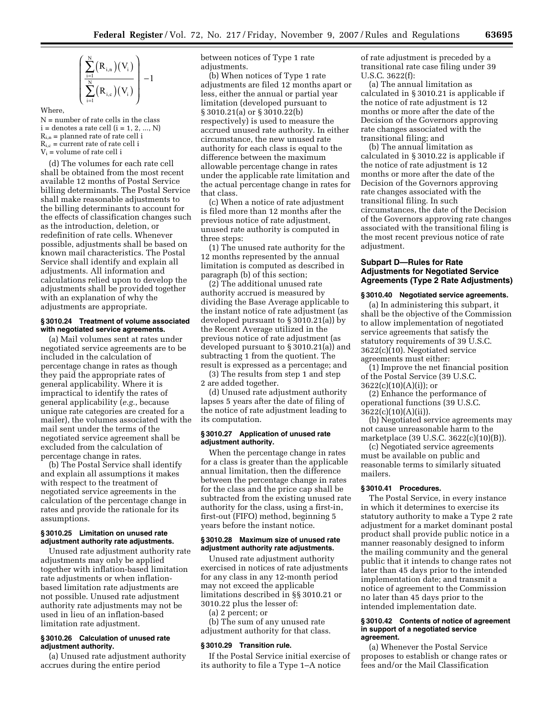$$
\left(\frac{\sum_{i=1}^{N}(R_{i,n})(V_i)}{\sum_{i=1}^{N}(R_{i,c})(V_i)}\right)-1
$$

Where,

 $N =$  number of rate cells in the class  $i =$  denotes a rate cell  $(i = 1, 2, ..., N)$  $R_{i,n}$  = planned rate of rate cell i  $R_{i,c}$  = current rate of rate cell i  $V_i$  = volume of rate cell i

(d) The volumes for each rate cell shall be obtained from the most recent available 12 months of Postal Service billing determinants. The Postal Service shall make reasonable adjustments to the billing determinants to account for the effects of classification changes such as the introduction, deletion, or redefinition of rate cells. Whenever possible, adjustments shall be based on known mail characteristics. The Postal Service shall identify and explain all adjustments. All information and calculations relied upon to develop the adjustments shall be provided together with an explanation of why the adjustments are appropriate.

#### **§ 3010.24 Treatment of volume associated with negotiated service agreements.**

(a) Mail volumes sent at rates under negotiated service agreements are to be included in the calculation of percentage change in rates as though they paid the appropriate rates of general applicability. Where it is impractical to identify the rates of general applicability (*e.g.*, because unique rate categories are created for a mailer), the volumes associated with the mail sent under the terms of the negotiated service agreement shall be excluded from the calculation of percentage change in rates.

(b) The Postal Service shall identify and explain all assumptions it makes with respect to the treatment of negotiated service agreements in the calculation of the percentage change in rates and provide the rationale for its assumptions.

# **§ 3010.25 Limitation on unused rate adjustment authority rate adjustments.**

Unused rate adjustment authority rate adjustments may only be applied together with inflation-based limitation rate adjustments or when inflationbased limitation rate adjustments are not possible. Unused rate adjustment authority rate adjustments may not be used in lieu of an inflation-based limitation rate adjustment.

# **§ 3010.26 Calculation of unused rate adjustment authority.**

(a) Unused rate adjustment authority accrues during the entire period

between notices of Type 1 rate adjustments.

(b) When notices of Type 1 rate adjustments are filed 12 months apart or less, either the annual or partial year limitation (developed pursuant to § 3010.21(a) or § 3010.22(b) respectively) is used to measure the accrued unused rate authority. In either circumstance, the new unused rate authority for each class is equal to the difference between the maximum allowable percentage change in rates under the applicable rate limitation and the actual percentage change in rates for that class.

(c) When a notice of rate adjustment is filed more than 12 months after the previous notice of rate adjustment, unused rate authority is computed in three steps:

(1) The unused rate authority for the 12 months represented by the annual limitation is computed as described in paragraph (b) of this section;

(2) The additional unused rate authority accrued is measured by dividing the Base Average applicable to the instant notice of rate adjustment (as developed pursuant to § 3010.21(a)) by the Recent Average utilized in the previous notice of rate adjustment (as developed pursuant to § 3010.21(a)) and subtracting 1 from the quotient. The result is expressed as a percentage; and

(3) The results from step 1 and step 2 are added together.

(d) Unused rate adjustment authority lapses 5 years after the date of filing of the notice of rate adjustment leading to its computation.

# **§ 3010.27 Application of unused rate adjustment authority.**

When the percentage change in rates for a class is greater than the applicable annual limitation, then the difference between the percentage change in rates for the class and the price cap shall be subtracted from the existing unused rate authority for the class, using a first-in, first-out (FIFO) method, beginning 5 years before the instant notice.

### **§ 3010.28 Maximum size of unused rate adjustment authority rate adjustments.**

Unused rate adjustment authority exercised in notices of rate adjustments for any class in any 12-month period may not exceed the applicable limitations described in §§ 3010.21 or 3010.22 plus the lesser of:

(a) 2 percent; or

(b) The sum of any unused rate adjustment authority for that class.

#### **§ 3010.29 Transition rule.**

If the Postal Service initial exercise of its authority to file a Type 1–A notice

of rate adjustment is preceded by a transitional rate case filing under 39 U.S.C. 3622(f):

(a) The annual limitation as calculated in § 3010.21 is applicable if the notice of rate adjustment is 12 months or more after the date of the Decision of the Governors approving rate changes associated with the transitional filing; and

(b) The annual limitation as calculated in § 3010.22 is applicable if the notice of rate adjustment is 12 months or more after the date of the Decision of the Governors approving rate changes associated with the transitional filing. In such circumstances, the date of the Decision of the Governors approving rate changes associated with the transitional filing is the most recent previous notice of rate adjustment.

# **Subpart D—Rules for Rate Adjustments for Negotiated Service Agreements (Type 2 Rate Adjustments)**

#### **§ 3010.40 Negotiated service agreements.**

(a) In administering this subpart, it shall be the objective of the Commission to allow implementation of negotiated service agreements that satisfy the statutory requirements of 39 U.S.C. 3622(c)(10). Negotiated service agreements must either:

(1) Improve the net financial position of the Postal Service (39 U.S.C. 3622(c)(10)(A)(i)); or

(2) Enhance the performance of operational functions (39 U.S.C. 3622(c)(10)(A)(ii)).

(b) Negotiated service agreements may not cause unreasonable harm to the marketplace (39 U.S.C. 3622(c)(10)(B)).

(c) Negotiated service agreements must be available on public and reasonable terms to similarly situated mailers.

#### **§ 3010.41 Procedures.**

The Postal Service, in every instance in which it determines to exercise its statutory authority to make a Type 2 rate adjustment for a market dominant postal product shall provide public notice in a manner reasonably designed to inform the mailing community and the general public that it intends to change rates not later than 45 days prior to the intended implementation date; and transmit a notice of agreement to the Commission no later than 45 days prior to the intended implementation date.

### **§ 3010.42 Contents of notice of agreement in support of a negotiated service agreement.**

(a) Whenever the Postal Service proposes to establish or change rates or fees and/or the Mail Classification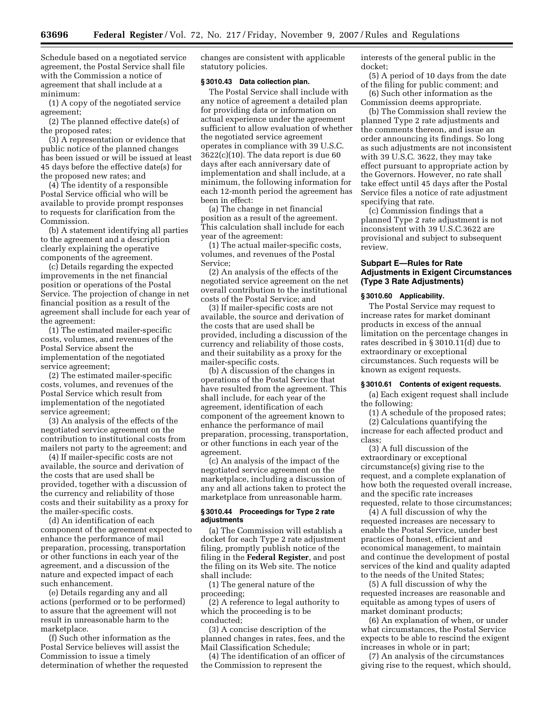Schedule based on a negotiated service agreement, the Postal Service shall file with the Commission a notice of agreement that shall include at a minimum:

(1) A copy of the negotiated service agreement;

(2) The planned effective date(s) of the proposed rates;

(3) A representation or evidence that public notice of the planned changes has been issued or will be issued at least 45 days before the effective date(s) for the proposed new rates; and

(4) The identity of a responsible Postal Service official who will be available to provide prompt responses to requests for clarification from the Commission.

(b) A statement identifying all parties to the agreement and a description clearly explaining the operative components of the agreement.

(c) Details regarding the expected improvements in the net financial position or operations of the Postal Service. The projection of change in net financial position as a result of the agreement shall include for each year of the agreement:

(1) The estimated mailer-specific costs, volumes, and revenues of the Postal Service absent the implementation of the negotiated service agreement;

(2) The estimated mailer-specific costs, volumes, and revenues of the Postal Service which result from implementation of the negotiated service agreement;

(3) An analysis of the effects of the negotiated service agreement on the contribution to institutional costs from mailers not party to the agreement; and

(4) If mailer-specific costs are not available, the source and derivation of the costs that are used shall be provided, together with a discussion of the currency and reliability of those costs and their suitability as a proxy for the mailer-specific costs.

(d) An identification of each component of the agreement expected to enhance the performance of mail preparation, processing, transportation or other functions in each year of the agreement, and a discussion of the nature and expected impact of each such enhancement.

(e) Details regarding any and all actions (performed or to be performed) to assure that the agreement will not result in unreasonable harm to the marketplace.

(f) Such other information as the Postal Service believes will assist the Commission to issue a timely determination of whether the requested changes are consistent with applicable statutory policies.

# **§ 3010.43 Data collection plan.**

The Postal Service shall include with any notice of agreement a detailed plan for providing data or information on actual experience under the agreement sufficient to allow evaluation of whether the negotiated service agreement operates in compliance with 39 U.S.C.  $3622(c)(10)$ . The data report is due 60 days after each anniversary date of implementation and shall include, at a minimum, the following information for each 12-month period the agreement has been in effect:

(a) The change in net financial position as a result of the agreement. This calculation shall include for each year of the agreement:

(1) The actual mailer-specific costs, volumes, and revenues of the Postal Service;

(2) An analysis of the effects of the negotiated service agreement on the net overall contribution to the institutional costs of the Postal Service; and

(3) If mailer-specific costs are not available, the source and derivation of the costs that are used shall be provided, including a discussion of the currency and reliability of those costs, and their suitability as a proxy for the mailer-specific costs.

(b) A discussion of the changes in operations of the Postal Service that have resulted from the agreement. This shall include, for each year of the agreement, identification of each component of the agreement known to enhance the performance of mail preparation, processing, transportation, or other functions in each year of the agreement.

(c) An analysis of the impact of the negotiated service agreement on the marketplace, including a discussion of any and all actions taken to protect the marketplace from unreasonable harm.

# **§ 3010.44 Proceedings for Type 2 rate adjustments**

(a) The Commission will establish a docket for each Type 2 rate adjustment filing, promptly publish notice of the filing in the **Federal Register**, and post the filing on its Web site. The notice shall include:

(1) The general nature of the proceeding;

(2) A reference to legal authority to which the proceeding is to be conducted;

(3) A concise description of the planned changes in rates, fees, and the Mail Classification Schedule;

(4) The identification of an officer of the Commission to represent the

interests of the general public in the docket;

(5) A period of 10 days from the date of the filing for public comment; and

(6) Such other information as the Commission deems appropriate.

(b) The Commission shall review the planned Type 2 rate adjustments and the comments thereon, and issue an order announcing its findings. So long as such adjustments are not inconsistent with 39 U.S.C. 3622, they may take effect pursuant to appropriate action by the Governors. However, no rate shall take effect until 45 days after the Postal Service files a notice of rate adjustment specifying that rate.

(c) Commission findings that a planned Type 2 rate adjustment is not inconsistent with 39 U.S.C.3622 are provisional and subject to subsequent review.

# **Subpart E—Rules for Rate Adjustments in Exigent Circumstances (Type 3 Rate Adjustments)**

#### **§ 3010.60 Applicability.**

The Postal Service may request to increase rates for market dominant products in excess of the annual limitation on the percentage changes in rates described in § 3010.11(d) due to extraordinary or exceptional circumstances. Such requests will be known as exigent requests.

### **§ 3010.61 Contents of exigent requests.**

(a) Each exigent request shall include the following:

(1) A schedule of the proposed rates;

(2) Calculations quantifying the increase for each affected product and class;

(3) A full discussion of the extraordinary or exceptional circumstance(s) giving rise to the request, and a complete explanation of how both the requested overall increase, and the specific rate increases requested, relate to those circumstances;

(4) A full discussion of why the requested increases are necessary to enable the Postal Service, under best practices of honest, efficient and economical management, to maintain and continue the development of postal services of the kind and quality adapted to the needs of the United States;

(5) A full discussion of why the requested increases are reasonable and equitable as among types of users of market dominant products;

(6) An explanation of when, or under what circumstances, the Postal Service expects to be able to rescind the exigent increases in whole or in part;

(7) An analysis of the circumstances giving rise to the request, which should,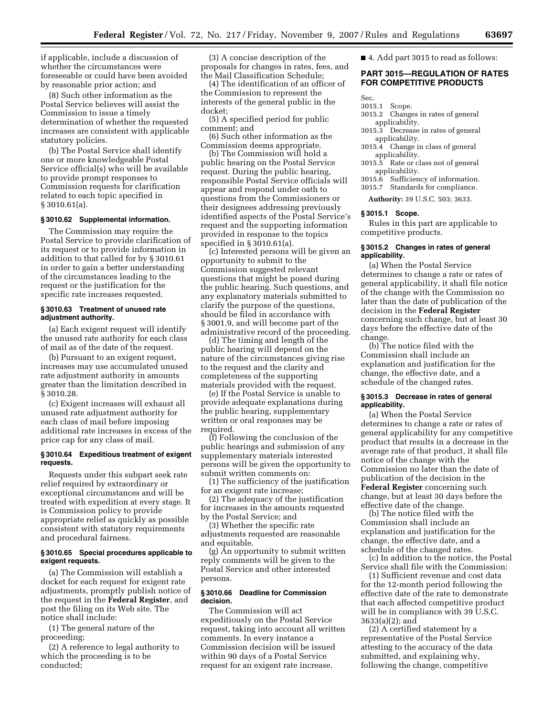if applicable, include a discussion of whether the circumstances were foreseeable or could have been avoided by reasonable prior action; and

(8) Such other information as the Postal Service believes will assist the Commission to issue a timely determination of whether the requested increases are consistent with applicable statutory policies.

(b) The Postal Service shall identify one or more knowledgeable Postal Service official(s) who will be available to provide prompt responses to Commission requests for clarification related to each topic specified in § 3010.61(a).

# **§ 3010.62 Supplemental information.**

The Commission may require the Postal Service to provide clarification of its request or to provide information in addition to that called for by § 3010.61 in order to gain a better understanding of the circumstances leading to the request or the justification for the specific rate increases requested.

### **§ 3010.63 Treatment of unused rate adjustment authority.**

(a) Each exigent request will identify the unused rate authority for each class of mail as of the date of the request.

(b) Pursuant to an exigent request, increases may use accumulated unused rate adjustment authority in amounts greater than the limitation described in § 3010.28.

(c) Exigent increases will exhaust all unused rate adjustment authority for each class of mail before imposing additional rate increases in excess of the price cap for any class of mail.

#### **§ 3010.64 Expeditious treatment of exigent requests.**

Requests under this subpart seek rate relief required by extraordinary or exceptional circumstances and will be treated with expedition at every stage. It is Commission policy to provide appropriate relief as quickly as possible consistent with statutory requirements and procedural fairness.

# **§ 3010.65 Special procedures applicable to exigent requests.**

(a) The Commission will establish a docket for each request for exigent rate adjustments, promptly publish notice of the request in the **Federal Register**, and post the filing on its Web site. The notice shall include:

(1) The general nature of the proceeding;

(2) A reference to legal authority to which the proceeding is to be conducted;

(3) A concise description of the proposals for changes in rates, fees, and the Mail Classification Schedule;

(4) The identification of an officer of the Commission to represent the interests of the general public in the docket;

(5) A specified period for public comment; and

(6) Such other information as the Commission deems appropriate.

(b) The Commission will hold a public hearing on the Postal Service request. During the public hearing, responsible Postal Service officials will appear and respond under oath to questions from the Commissioners or their designees addressing previously identified aspects of the Postal Service's request and the supporting information provided in response to the topics specified in § 3010.61(a).

(c) Interested persons will be given an opportunity to submit to the Commission suggested relevant questions that might be posed during the public hearing. Such questions, and any explanatory materials submitted to clarify the purpose of the questions, should be filed in accordance with § 3001.9, and will become part of the administrative record of the proceeding.

(d) The timing and length of the public hearing will depend on the nature of the circumstances giving rise to the request and the clarity and completeness of the supporting materials provided with the request.

(e) If the Postal Service is unable to provide adequate explanations during the public hearing, supplementary written or oral responses may be required.

(f) Following the conclusion of the public hearings and submission of any supplementary materials interested persons will be given the opportunity to submit written comments on:

(1) The sufficiency of the justification for an exigent rate increase;

(2) The adequacy of the justification for increases in the amounts requested by the Postal Service; and

(3) Whether the specific rate adjustments requested are reasonable and equitable.

(g) An opportunity to submit written reply comments will be given to the Postal Service and other interested persons.

# **§ 3010.66 Deadline for Commission decision.**

The Commission will act expeditiously on the Postal Service request, taking into account all written comments. In every instance a Commission decision will be issued within 90 days of a Postal Service request for an exigent rate increase.

■ 4. Add part 3015 to read as follows:

# **PART 3015—REGULATION OF RATES FOR COMPETITIVE PRODUCTS**

Sec.

- 3015.1 Scope.
- 3015.2 Changes in rates of general applicability.
- 3015.3 Decrease in rates of general applicability.
- 3015.4 Change in class of general applicability.
- 3015.5 Rate or class not of general applicability.
- 3015.6 Sufficiency of information.
- 3015.7 Standards for compliance.

**Authority:** 39 U.S.C. 503; 3633.

# **§ 3015.1 Scope.**

Rules in this part are applicable to competitive products.

# **§ 3015.2 Changes in rates of general applicability.**

(a) When the Postal Service determines to change a rate or rates of general applicability, it shall file notice of the change with the Commission no later than the date of publication of the decision in the **Federal Register**  concerning such change, but at least 30 days before the effective date of the change.

(b) The notice filed with the Commission shall include an explanation and justification for the change, the effective date, and a schedule of the changed rates.

# **§ 3015.3 Decrease in rates of general applicability.**

(a) When the Postal Service determines to change a rate or rates of general applicability for any competitive product that results in a decrease in the average rate of that product, it shall file notice of the change with the Commission no later than the date of publication of the decision in the **Federal Register** concerning such change, but at least 30 days before the effective date of the change.

(b) The notice filed with the Commission shall include an explanation and justification for the change, the effective date, and a schedule of the changed rates.

(c) In addition to the notice, the Postal Service shall file with the Commission:

(1) Sufficient revenue and cost data for the 12-month period following the effective date of the rate to demonstrate that each affected competitive product will be in compliance with 39 U.S.C. 3633(a)(2); and

(2) A certified statement by a representative of the Postal Service attesting to the accuracy of the data submitted, and explaining why, following the change, competitive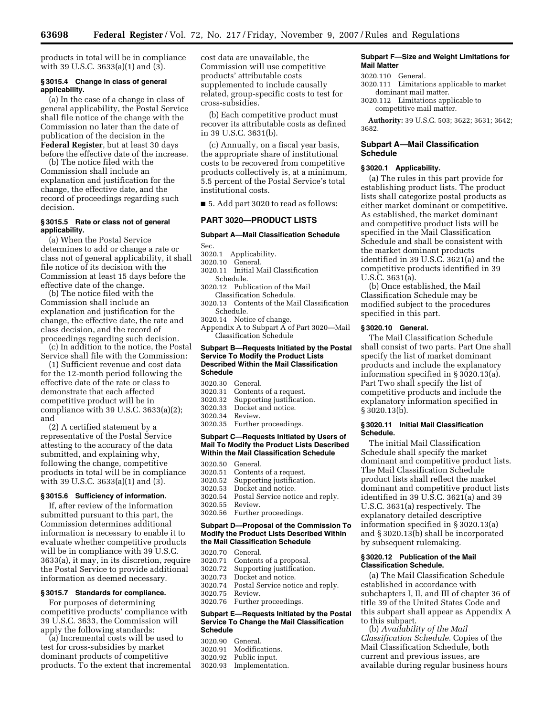products in total will be in compliance with 39 U.S.C. 3633(a)(1) and (3).

### **§ 3015.4 Change in class of general applicability.**

(a) In the case of a change in class of general applicability, the Postal Service shall file notice of the change with the Commission no later than the date of publication of the decision in the **Federal Register**, but at least 30 days before the effective date of the increase.

(b) The notice filed with the Commission shall include an explanation and justification for the change, the effective date, and the record of proceedings regarding such decision.

### **§ 3015.5 Rate or class not of general applicability.**

(a) When the Postal Service determines to add or change a rate or class not of general applicability, it shall file notice of its decision with the Commission at least 15 days before the effective date of the change.

(b) The notice filed with the Commission shall include an explanation and justification for the change, the effective date, the rate and class decision, and the record of proceedings regarding such decision.

(c) In addition to the notice, the Postal Service shall file with the Commission:

(1) Sufficient revenue and cost data for the 12-month period following the effective date of the rate or class to demonstrate that each affected competitive product will be in compliance with 39 U.S.C. 3633(a)(2); and

(2) A certified statement by a representative of the Postal Service attesting to the accuracy of the data submitted, and explaining why, following the change, competitive products in total will be in compliance with 39 U.S.C. 3633(a)(1) and (3).

# **§ 3015.6 Sufficiency of information.**

If, after review of the information submitted pursuant to this part, the Commission determines additional information is necessary to enable it to evaluate whether competitive products will be in compliance with 39 U.S.C. 3633(a), it may, in its discretion, require the Postal Service to provide additional information as deemed necessary.

### **§ 3015.7 Standards for compliance.**

For purposes of determining competitive products' compliance with 39 U.S.C. 3633, the Commission will apply the following standards:

(a) Incremental costs will be used to test for cross-subsidies by market dominant products of competitive products. To the extent that incremental cost data are unavailable, the Commission will use competitive products' attributable costs supplemented to include causally related, group-specific costs to test for cross-subsidies.

(b) Each competitive product must recover its attributable costs as defined in 39 U.S.C. 3631(b).

(c) Annually, on a fiscal year basis, the appropriate share of institutional costs to be recovered from competitive products collectively is, at a minimum, 5.5 percent of the Postal Service's total institutional costs.

■ 5. Add part 3020 to read as follows:

# **PART 3020—PRODUCT LISTS**

# **Subpart A—Mail Classification Schedule**

- Sec.
- 3020.1 Applicability.
- 3020.10 General.
- 3020.11 Initial Mail Classification Schedule.
- 3020.12 Publication of the Mail Classification Schedule.
- 3020.13 Contents of the Mail Classification Schedule.
- 3020.14 Notice of change.
- Appendix A to Subpart A of Part 3020—Mail Classification Schedule

### **Subpart B—Requests Initiated by the Postal Service To Modify the Product Lists Described Within the Mail Classification Schedule**

- 3020.30 General.
- Contents of a request.
- 3020.32 Supporting justification.
- 3020.33 Docket and notice.<br>3020.34 Review
- 3020.34 Review.
- Further proceedings.

### **Subpart C—Requests Initiated by Users of Mail To Modify the Product Lists Described Within the Mail Classification Schedule**

3020.50 General. 3020.51 Contents of a request. 3020.52 Supporting justification. 3020.53 Docket and notice. Postal Service notice and reply. 3020.55 Review. 3020.56 Further proceedings.

#### **Subpart D—Proposal of the Commission To Modify the Product Lists Described Within the Mail Classification Schedule**

3020.70 General. Contents of a proposal. 3020.72 Supporting justification. 3020.73 Docket and notice. 3020.74 Postal Service notice and reply. 3020.75 Review. 3020.76 Further proceedings. **Subpart E—Requests Initiated by the Postal Service To Change the Mail Classification Schedule** 

|         | 3020.90 General. |
|---------|------------------|
| 3020.91 | Modifications.   |
|         |                  |

- 3020.92 Public input.
- 3020.93 Implementation.

# **Subpart F—Size and Weight Limitations for Mail Matter**

- 3020.110 General.
- 3020.111 Limitations applicable to market dominant mail matter.
- 3020.112 Limitations applicable to competitive mail matter.

**Authority:** 39 U.S.C. 503; 3622; 3631; 3642; 3682.

# **Subpart A—Mail Classification Schedule**

#### **§ 3020.1 Applicability.**

(a) The rules in this part provide for establishing product lists. The product lists shall categorize postal products as either market dominant or competitive. As established, the market dominant and competitive product lists will be specified in the Mail Classification Schedule and shall be consistent with the market dominant products identified in 39 U.S.C. 3621(a) and the competitive products identified in 39 U.S.C. 3631(a).

(b) Once established, the Mail Classification Schedule may be modified subject to the procedures specified in this part.

# **§ 3020.10 General.**

The Mail Classification Schedule shall consist of two parts. Part One shall specify the list of market dominant products and include the explanatory information specified in § 3020.13(a). Part Two shall specify the list of competitive products and include the explanatory information specified in § 3020.13(b).

# **§ 3020.11 Initial Mail Classification Schedule.**

The initial Mail Classification Schedule shall specify the market dominant and competitive product lists. The Mail Classification Schedule product lists shall reflect the market dominant and competitive product lists identified in 39 U.S.C. 3621(a) and 39 U.S.C. 3631(a) respectively. The explanatory detailed descriptive information specified in § 3020.13(a) and § 3020.13(b) shall be incorporated by subsequent rulemaking.

### **§ 3020.12 Publication of the Mail Classification Schedule.**

(a) The Mail Classification Schedule established in accordance with subchapters I, II, and III of chapter 36 of title 39 of the United States Code and this subpart shall appear as Appendix A to this subpart.

(b) *Availability of the Mail Classification Schedule.* Copies of the Mail Classification Schedule, both current and previous issues, are available during regular business hours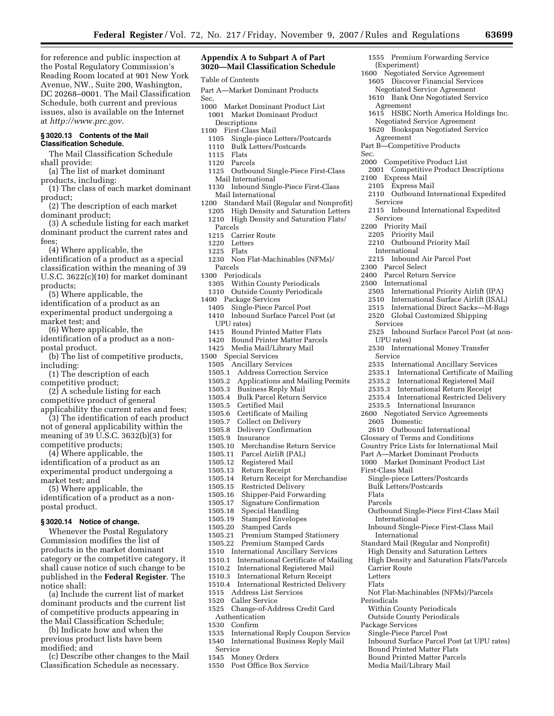for reference and public inspection at the Postal Regulatory Commission's Reading Room located at 901 New York Avenue, NW., Suite 200, Washington, DC 20268–0001. The Mail Classification Schedule, both current and previous issues, also is available on the Internet at *http://www.prc.gov.* 

# **§ 3020.13 Contents of the Mail Classification Schedule.**

The Mail Classification Schedule shall provide:

- (a) The list of market dominant products, including:
- (1) The class of each market dominant product;
- (2) The description of each market dominant product;

(3) A schedule listing for each market dominant product the current rates and fees;

- (4) Where applicable, the
- identification of a product as a special classification within the meaning of 39 U.S.C. 3622(c)(10) for market dominant products;
- (5) Where applicable, the identification of a product as an
- experimental product undergoing a market test; and (6) Where applicable, the

identification of a product as a nonpostal product.

(b) The list of competitive products, including:

(1) The description of each competitive product;

(2) A schedule listing for each competitive product of general applicability the current rates and fees;

(3) The identification of each product not of general applicability within the meaning of 39 U.S.C. 3632(b)(3) for competitive products;

(4) Where applicable, the identification of a product as an experimental product undergoing a market test; and

(5) Where applicable, the identification of a product as a nonpostal product.

### **§ 3020.14 Notice of change.**

Whenever the Postal Regulatory Commission modifies the list of products in the market dominant category or the competitive category, it shall cause notice of such change to be published in the **Federal Register**. The notice shall:

(a) Include the current list of market dominant products and the current list of competitive products appearing in the Mail Classification Schedule;

(b) Indicate how and when the previous product lists have been modified; and

(c) Describe other changes to the Mail Classification Schedule as necessary.

# **Appendix A to Subpart A of Part 3020—Mail Classification Schedule**

Table of Contents

- Part A—Market Dominant Products Sec.
- 1000 Market Dominant Product List 1001 Market Dominant Product
	- Descriptions
	-
- 1100 First-Class Mail<br>1105 Single-piece I Single-piece Letters/Postcards 1110 Bulk Letters/Postcards
	- 1115 Flats
	- 1120 Parcels
	- 1125 Outbound Single-Piece First-Class Mail International
- 1130 Inbound Single-Piece First-Class Mail International
- 1200 Standard Mail (Regular and Nonprofit)
- 1205 High Density and Saturation Letters
- 1210 High Density and Saturation Flats/
- Parcels
- 1215 Carrier Route
- 1220 Letters<br>1225 Flats
- Flats
- 1230 Non Flat-Machinables (NFMs)/
- Parcels
- 1300 Periodicals
	- 1305 Within County Periodicals
	- 1310 Outside County Periodicals
- 1400 Package Services
- Single-Piece Parcel Post 1410 Inbound Surface Parcel Post (at
- UPU rates)<br>1415 Bound Bound Printed Matter Flats
- 
- 1420 Bound Printer Matter Parcels<br>1425 Media Mail/Library Mail Media Mail/Library Mail
- 1500 Special Services
- 1505 Ancillary Services
- 
- 1505.1 Address Correction Service<br>1505.2 Applications and Mailing P
- 1505.2 Applications and Mailing Permits
- 1505.3 Business Reply Mail<br>1505.4 Bulk Parcel Return S
- 1505.4 Bulk Parcel Return Service
- 1505.5 Certified Mail
- 1505.6 Certificate of Mailing<br>1505.7 Collect on Delivery
- 1505.7 Collect on Delivery<br>1505.8 Delivery Confirmati
- 1505.8 Delivery Confirmation
- 1505.9 Insurance
- 1505.10 Merchandise Return Service<br>1505.11 Parcel Airlift (PAL)
- 1505.11 Parcel Airlift (PAL)
- 1505.12 Registered Mail
- 1505.13 Return Receipt
- 1505.14 Return Receipt for Merchandise
- 1505.15 Restricted Delivery<br>1505.16 Shipper-Paid Forw
- 1505.16 Shipper-Paid Forwarding
- 1505.17 Signature Confirmation<br>1505.18 Special Handling
- Special Handling
- 
- 1505.19 Stamped Envelopes<br>1505.20 Stamped Cards 1505.20 Stamped Cards<br>1505.21 Premium Stamp
- 1505.21 Premium Stamped Stationery<br>1505.22 Premium Stamped Cards
- Premium Stamped Cards
- 1510 International Ancillary Services
- 1510.1 International Certificate of Mailing<br>1510.2 International Registered Mail
- 1510.2 International Registered Mail
- 1510.3 International Return Receipt
- 1510.4 International Restricted Delivery
- 1515 Address List Services<br>1520 Caller Service
- 1520 Caller Service<br>1525 Change-of-Ad
- Change-of-Address Credit Card Authentication<br>1530 Confirm
- 1530 Confirm<br>1535 Internati
- 1535 International Reply Coupon Service
- 1540 International Business Reply Mail
- Service
- 1545 Money Orders<br>1550 Post Office Bo:
- Post Office Box Service
- 1555 Premium Forwarding Service (Experiment)
- 1600 Negotiated Service Agreement 1605 Discover Financial Services Negotiated Service Agreement
	- 1610 Bank One Negotiated Service Agreement
	- 1615 HSBC North America Holdings Inc. Negotiated Service Agreement

2110 Outbound International Expedited

2115 Inbound International Expedited

2505 International Priority Airlift (IPA)<br>2510 International Surface Airlift (ISAI) 2510 International Surface Airlift (ISAL)<br>2515 International Direct Sacks—M-Bags International Direct Sacks-M-Bags

2525 Inbound Surface Parcel Post (at non-

2520 Global Customized Shipping

2530 International Money Transfer

2610 Outbound International Glossary of Terms and Conditions Country Price Lists for International Mail Part A—Market Dominant Products 1000 Market Dominant Product List

Single-piece Letters/Postcards Bulk Letters/Postcards

Outbound Single-Piece First-Class Mail

Inbound Single-Piece First-Class Mail

Not Flat-Machinables (NFMs)/Parcels

Inbound Surface Parcel Post (at UPU rates)

Within County Periodicals Outside County Periodicals

Single-Piece Parcel Post

Bound Printed Matter Flats Bound Printed Matter Parcels Media Mail/Library Mail

Standard Mail (Regular and Nonprofit) High Density and Saturation Letters High Density and Saturation Flats/Parcels

2535 International Ancillary Services 2535.1 International Certificate of Mailing 2535.2 International Registered Mail 2535.3 International Return Receipt 2535.4 International Restricted Delivery 2535.5 International Insurance 2600 Negotiated Service Agreements

- 1620 Bookspan Negotiated Service
- Agreement

2100 Express Mail 2105 Express Mail

Services

Services 2200 Priority Mail 2205 Priority Mail

International

2300 Parcel Select 2400 Parcel Return Service 2500 International

Services

Service

UPU rates)

2605 Domestic

First-Class Mail

International

International

Carrier Route Letters Flats

Package Services

Periodicals

Flats Parcels

- Part B—Competitive Products
- Sec.
	- 2000 Competitive Product List 2001 Competitive Product Descriptions

2210 Outbound Priority Mail

2215 Inbound Air Parcel Post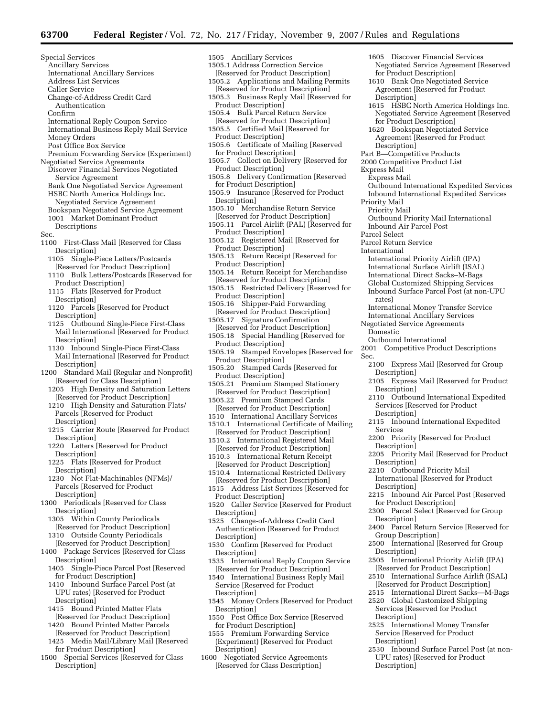- Special Services
	- Ancillary Services
	- International Ancillary Services Address List Services
	- Caller Service
	- Change-of-Address Credit Card
	- Authentication
	- Confirm
- International Reply Coupon Service
- International Business Reply Mail Service
- Money Orders
- Post Office Box Service
- Premium Forwarding Service (Experiment) Negotiated Service Agreements
- Discover Financial Services Negotiated Service Agreement
- Bank One Negotiated Service Agreement HSBC North America Holdings Inc.
- Negotiated Service Agreement Bookspan Negotiated Service Agreement 1001 Market Dominant Product
- Descriptions Sec.

- 1100 First-Class Mail [Reserved for Class Description]
	- 1105 Single-Piece Letters/Postcards [Reserved for Product Description]
	- 1110 Bulk Letters/Postcards [Reserved for Product Description]
	- 1115 Flats [Reserved for Product Description]
	- 1120 Parcels [Reserved for Product Description]
	- 1125 Outbound Single-Piece First-Class Mail International [Reserved for Product Description]
	- 1130 Inbound Single-Piece First-Class Mail International [Reserved for Product Description]
- 1200 Standard Mail (Regular and Nonprofit) [Reserved for Class Description]
	- 1205 High Density and Saturation Letters [Reserved for Product Description]
	- 1210 High Density and Saturation Flats/ Parcels [Reserved for Product Description]
	- 1215 Carrier Route [Reserved for Product Description]
	- 1220 Letters [Reserved for Product **Description**
	- 1225 Flats [Reserved for Product Description]
	- 1230 Not Flat-Machinables (NFMs)/ Parcels [Reserved for Product Description]
- 1300 Periodicals [Reserved for Class Description]
	- 1305 Within County Periodicals [Reserved for Product Description]
	- 1310 Outside County Periodicals
- [Reserved for Product Description] 1400 Package Services [Reserved for Class Description]
	- 1405 Single-Piece Parcel Post [Reserved for Product Description]
	- 1410 Inbound Surface Parcel Post (at UPU rates) [Reserved for Product Description]
	- 1415 Bound Printed Matter Flats [Reserved for Product Description]
	- 1420 Bound Printed Matter Parcels [Reserved for Product Description]
- 1425 Media Mail/Library Mail [Reserved for Product Description]
- 1500 Special Services [Reserved for Class Description]
- 1505 Ancillary Services 1505.1 Address Correction Service
- [Reserved for Product Description] 1505.2 Applications and Mailing Permits
- [Reserved for Product Description] 1505.3 Business Reply Mail [Reserved for
- Product Description] 1505.4 Bulk Parcel Return Service
- [Reserved for Product Description]
- 1505.5 Certified Mail [Reserved for Product Description]
- 1505.6 Certificate of Mailing [Reserved for Product Description]
- 1505.7 Collect on Delivery [Reserved for Product Description]
- 1505.8 Delivery Confirmation [Reserved for Product Description]
- 1505.9 Insurance [Reserved for Product Description]
- 1505.10 Merchandise Return Service [Reserved for Product Description]
- 1505.11 Parcel Airlift (PAL) [Reserved for Product Description]
- 1505.12 Registered Mail [Reserved for Product Description]
- 1505.13 Return Receipt [Reserved for Product Description]
- 1505.14 Return Receipt for Merchandise [Reserved for Product Description]
- 1505.15 Restricted Delivery [Reserved for Product Description]
- 1505.16 Shipper-Paid Forwarding [Reserved for Product Description]
- 1505.17 Signature Confirmation
- [Reserved for Product Description] 1505.18 Special Handling [Reserved for Product Description]
- 1505.19 Stamped Envelopes [Reserved for Product Description]
- 1505.20 Stamped Cards [Reserved for Product Description]
- 1505.21 Premium Stamped Stationery [Reserved for Product Description]
- 1505.22 Premium Stamped Cards [Reserved for Product Description]
- 1510 International Ancillary Services
- 1510.1 International Certificate of Mailing [Reserved for Product Description]
- 1510.2 International Registered Mail [Reserved for Product Description]
- 1510.3 International Return Receipt [Reserved for Product Description]
- 1510.4 International Restricted Delivery [Reserved for Product Description]
- 1515 Address List Services [Reserved for Product Description]
- 1520 Caller Service [Reserved for Product Description]
- 1525 Change-of-Address Credit Card Authentication [Reserved for Product Description]
- 1530 Confirm [Reserved for Product Description]
- 1535 International Reply Coupon Service [Reserved for Product Description]
- 1540 International Business Reply Mail Service [Reserved for Product Description]
- 1545 Money Orders [Reserved for Product **Description**
- 1550 Post Office Box Service [Reserved for Product Description]
- 1555 Premium Forwarding Service (Experiment) [Reserved for Product Description]
- 1600 Negotiated Service Agreements [Reserved for Class Description]
- 1605 Discover Financial Services Negotiated Service Agreement [Reserved for Product Description]
- 1610 Bank One Negotiated Service Agreement [Reserved for Product Description]
- 1615 HSBC North America Holdings Inc. Negotiated Service Agreement [Reserved for Product Description]
- 1620 Bookspan Negotiated Service Agreement [Reserved for Product Description]
- Part B—Competitive Products
- 2000 Competitive Product List
- Express Mail
	- Express Mail
	- Outbound International Expedited Services Inbound International Expedited Services

- Priority Mail
	- Priority Mail
	- Outbound Priority Mail International Inbound Air Parcel Post
- Parcel Select
- Parcel Return Service
- International

rates)

Domestic

Sec.

Outbound International

Description]

Description]

Description]

Description]

Description]

Description]

Description]

**Description** 

**Description** 

**Description** 

Description]

Group Description]

Services

- International Priority Airlift (IPA)
- International Surface Airlift (ISAL)
- International Direct Sacks–M-Bags
- Global Customized Shipping Services

International Money Transfer Service International Ancillary Services Negotiated Service Agreements

Inbound Surface Parcel Post (at non-UPU

Competitive Product Descriptions

2100 Express Mail [Reserved for Group

2105 Express Mail [Reserved for Product

2110 Outbound International Expedited Services [Reserved for Product

2115 Inbound International Expedited

2205 Priority Mail [Reserved for Product

2215 Inbound Air Parcel Post [Reserved

2300 Parcel Select [Reserved for Group

2400 Parcel Return Service [Reserved for

2500 International [Reserved for Group

2505 International Priority Airlift (IPA) [Reserved for Product Description] 2510 International Surface Airlift (ISAL) [Reserved for Product Description] 2515 International Direct Sacks—M-Bags 2520 Global Customized Shipping Services [Reserved for Product

2525 International Money Transfer Service [Reserved for Product

2530 Inbound Surface Parcel Post (at non-UPU rates) [Reserved for Product

2200 Priority [Reserved for Product

2210 Outbound Priority Mail International [Reserved for Product

for Product Description]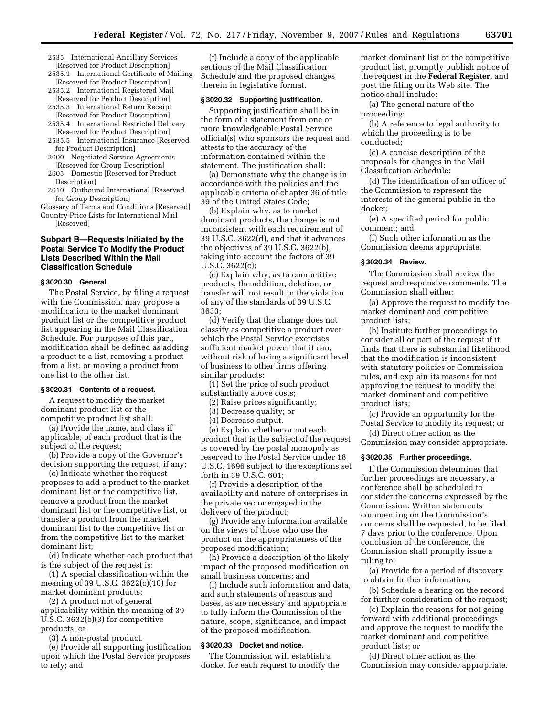2535 International Ancillary Services [Reserved for Product Description]

- 2535.1 International Certificate of Mailing [Reserved for Product Description]
- 2535.2 International Registered Mail [Reserved for Product Description]
- 2535.3 International Return Receipt [Reserved for Product Description]
- 2535.4 International Restricted Delivery [Reserved for Product Description]
- 2535.5 International Insurance [Reserved for Product Description]
- 2600 Negotiated Service Agreements [Reserved for Group Description]
- 2605 Domestic [Reserved for Product Description]
- 2610 Outbound International [Reserved for Group Description]

Glossary of Terms and Conditions [Reserved] Country Price Lists for International Mail

[Reserved]

# **Subpart B—Requests Initiated by the Postal Service To Modify the Product Lists Described Within the Mail Classification Schedule**

# **§ 3020.30 General.**

The Postal Service, by filing a request with the Commission, may propose a modification to the market dominant product list or the competitive product list appearing in the Mail Classification Schedule. For purposes of this part, modification shall be defined as adding a product to a list, removing a product from a list, or moving a product from one list to the other list.

#### **§ 3020.31 Contents of a request.**

A request to modify the market dominant product list or the competitive product list shall:

(a) Provide the name, and class if applicable, of each product that is the subject of the request;

(b) Provide a copy of the Governor's decision supporting the request, if any;

(c) Indicate whether the request proposes to add a product to the market dominant list or the competitive list, remove a product from the market dominant list or the competitive list, or transfer a product from the market dominant list to the competitive list or from the competitive list to the market dominant list;

(d) Indicate whether each product that is the subject of the request is:

(1) A special classification within the meaning of 39 U.S.C. 3622(c)(10) for market dominant products;

(2) A product not of general applicability within the meaning of 39 U.S.C. 3632(b)(3) for competitive products; or

(3) A non-postal product.

(e) Provide all supporting justification upon which the Postal Service proposes to rely; and

(f) Include a copy of the applicable sections of the Mail Classification Schedule and the proposed changes therein in legislative format.

# **§ 3020.32 Supporting justification.**

Supporting justification shall be in the form of a statement from one or more knowledgeable Postal Service official(s) who sponsors the request and attests to the accuracy of the information contained within the statement. The justification shall:

(a) Demonstrate why the change is in accordance with the policies and the applicable criteria of chapter 36 of title 39 of the United States Code;

(b) Explain why, as to market dominant products, the change is not inconsistent with each requirement of 39 U.S.C. 3622(d), and that it advances the objectives of 39 U.S.C. 3622(b), taking into account the factors of 39 U.S.C. 3622(c);

(c) Explain why, as to competitive products, the addition, deletion, or transfer will not result in the violation of any of the standards of 39 U.S.C. 3633;

(d) Verify that the change does not classify as competitive a product over which the Postal Service exercises sufficient market power that it can, without risk of losing a significant level of business to other firms offering similar products:

(1) Set the price of such product substantially above costs;

(2) Raise prices significantly;

- (3) Decrease quality; or
- (4) Decrease output.

(e) Explain whether or not each product that is the subject of the request is covered by the postal monopoly as reserved to the Postal Service under 18 U.S.C. 1696 subject to the exceptions set forth in 39 U.S.C. 601;

(f) Provide a description of the availability and nature of enterprises in the private sector engaged in the delivery of the product;

(g) Provide any information available on the views of those who use the product on the appropriateness of the proposed modification;

(h) Provide a description of the likely impact of the proposed modification on small business concerns; and

(i) Include such information and data, and such statements of reasons and bases, as are necessary and appropriate to fully inform the Commission of the nature, scope, significance, and impact of the proposed modification.

### **§ 3020.33 Docket and notice.**

The Commission will establish a docket for each request to modify the market dominant list or the competitive product list, promptly publish notice of the request in the **Federal Register**, and post the filing on its Web site. The notice shall include:

(a) The general nature of the proceeding;

(b) A reference to legal authority to which the proceeding is to be conducted;

(c) A concise description of the proposals for changes in the Mail Classification Schedule;

(d) The identification of an officer of the Commission to represent the interests of the general public in the docket;

(e) A specified period for public comment; and

(f) Such other information as the Commission deems appropriate.

### **§ 3020.34 Review.**

The Commission shall review the request and responsive comments. The Commission shall either:

(a) Approve the request to modify the market dominant and competitive product lists;

(b) Institute further proceedings to consider all or part of the request if it finds that there is substantial likelihood that the modification is inconsistent with statutory policies or Commission rules, and explain its reasons for not approving the request to modify the market dominant and competitive product lists;

(c) Provide an opportunity for the Postal Service to modify its request; or

(d) Direct other action as the Commission may consider appropriate.

#### **§ 3020.35 Further proceedings.**

If the Commission determines that further proceedings are necessary, a conference shall be scheduled to consider the concerns expressed by the Commission. Written statements commenting on the Commission's concerns shall be requested, to be filed 7 days prior to the conference. Upon conclusion of the conference, the Commission shall promptly issue a ruling to:

(a) Provide for a period of discovery to obtain further information;

(b) Schedule a hearing on the record for further consideration of the request;

(c) Explain the reasons for not going forward with additional proceedings and approve the request to modify the market dominant and competitive product lists; or

(d) Direct other action as the Commission may consider appropriate.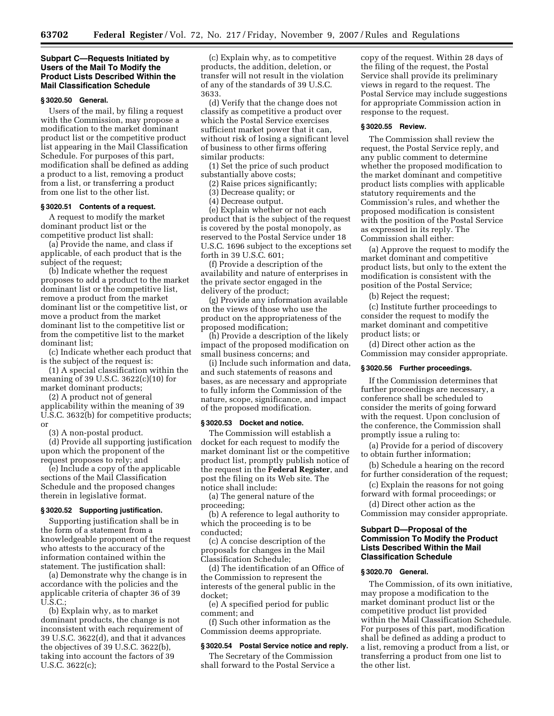# **Subpart C—Requests Initiated by Users of the Mail To Modify the Product Lists Described Within the Mail Classification Schedule**

### **§ 3020.50 General.**

Users of the mail, by filing a request with the Commission, may propose a modification to the market dominant product list or the competitive product list appearing in the Mail Classification Schedule. For purposes of this part, modification shall be defined as adding a product to a list, removing a product from a list, or transferring a product from one list to the other list.

### **§ 3020.51 Contents of a request.**

A request to modify the market dominant product list or the competitive product list shall:

(a) Provide the name, and class if applicable, of each product that is the subject of the request;

(b) Indicate whether the request proposes to add a product to the market dominant list or the competitive list, remove a product from the market dominant list or the competitive list, or move a product from the market dominant list to the competitive list or from the competitive list to the market dominant list;

(c) Indicate whether each product that is the subject of the request is:

(1) A special classification within the meaning of 39 U.S.C. 3622(c)(10) for market dominant products;

(2) A product not of general applicability within the meaning of 39 U.S.C. 3632(b) for competitive products; or

(3) A non-postal product.

(d) Provide all supporting justification upon which the proponent of the request proposes to rely; and

(e) Include a copy of the applicable sections of the Mail Classification Schedule and the proposed changes therein in legislative format.

# **§ 3020.52 Supporting justification.**

Supporting justification shall be in the form of a statement from a knowledgeable proponent of the request who attests to the accuracy of the information contained within the statement. The justification shall:

(a) Demonstrate why the change is in accordance with the policies and the applicable criteria of chapter 36 of 39 U.S.C.;

(b) Explain why, as to market dominant products, the change is not inconsistent with each requirement of 39 U.S.C. 3622(d), and that it advances the objectives of 39 U.S.C. 3622(b), taking into account the factors of 39 U.S.C. 3622(c);

(c) Explain why, as to competitive products, the addition, deletion, or transfer will not result in the violation of any of the standards of 39 U.S.C. 3633.

(d) Verify that the change does not classify as competitive a product over which the Postal Service exercises sufficient market power that it can, without risk of losing a significant level of business to other firms offering similar products:

(1) Set the price of such product substantially above costs;

- (2) Raise prices significantly;
- (3) Decrease quality; or
- (4) Decrease output.

(e) Explain whether or not each product that is the subject of the request is covered by the postal monopoly, as reserved to the Postal Service under 18 U.S.C. 1696 subject to the exceptions set forth in 39 U.S.C. 601;

(f) Provide a description of the availability and nature of enterprises in the private sector engaged in the delivery of the product;

(g) Provide any information available on the views of those who use the product on the appropriateness of the proposed modification;

(h) Provide a description of the likely impact of the proposed modification on small business concerns; and

(i) Include such information and data, and such statements of reasons and bases, as are necessary and appropriate to fully inform the Commission of the nature, scope, significance, and impact of the proposed modification.

#### **§ 3020.53 Docket and notice.**

The Commission will establish a docket for each request to modify the market dominant list or the competitive product list, promptly publish notice of the request in the **Federal Register**, and post the filing on its Web site. The notice shall include:

(a) The general nature of the proceeding;

(b) A reference to legal authority to which the proceeding is to be conducted;

(c) A concise description of the proposals for changes in the Mail Classification Schedule;

(d) The identification of an Office of the Commission to represent the interests of the general public in the docket;

(e) A specified period for public comment; and

(f) Such other information as the Commission deems appropriate.

#### **§ 3020.54 Postal Service notice and reply.**

The Secretary of the Commission shall forward to the Postal Service a copy of the request. Within 28 days of the filing of the request, the Postal Service shall provide its preliminary views in regard to the request. The Postal Service may include suggestions for appropriate Commission action in response to the request.

### **§ 3020.55 Review.**

The Commission shall review the request, the Postal Service reply, and any public comment to determine whether the proposed modification to the market dominant and competitive product lists complies with applicable statutory requirements and the Commission's rules, and whether the proposed modification is consistent with the position of the Postal Service as expressed in its reply. The Commission shall either:

(a) Approve the request to modify the market dominant and competitive product lists, but only to the extent the modification is consistent with the position of the Postal Service;

(b) Reject the request;

(c) Institute further proceedings to consider the request to modify the market dominant and competitive product lists; or

(d) Direct other action as the Commission may consider appropriate.

# **§ 3020.56 Further proceedings.**

If the Commission determines that further proceedings are necessary, a conference shall be scheduled to consider the merits of going forward with the request. Upon conclusion of the conference, the Commission shall promptly issue a ruling to:

(a) Provide for a period of discovery to obtain further information;

(b) Schedule a hearing on the record for further consideration of the request;

(c) Explain the reasons for not going forward with formal proceedings; or

(d) Direct other action as the Commission may consider appropriate.

# **Subpart D—Proposal of the Commission To Modify the Product Lists Described Within the Mail Classification Schedule**

#### **§ 3020.70 General.**

The Commission, of its own initiative, may propose a modification to the market dominant product list or the competitive product list provided within the Mail Classification Schedule. For purposes of this part, modification shall be defined as adding a product to a list, removing a product from a list, or transferring a product from one list to the other list.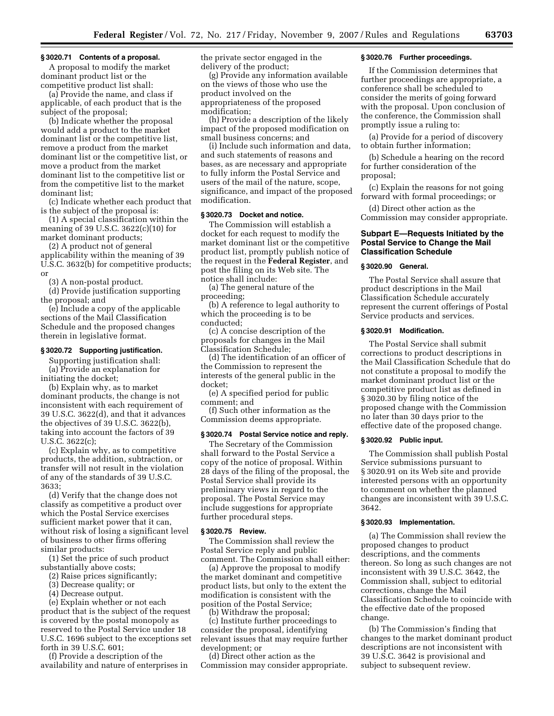#### **§ 3020.71 Contents of a proposal.**

A proposal to modify the market dominant product list or the competitive product list shall:

(a) Provide the name, and class if applicable, of each product that is the subject of the proposal;

(b) Indicate whether the proposal would add a product to the market dominant list or the competitive list, remove a product from the market dominant list or the competitive list, or move a product from the market dominant list to the competitive list or from the competitive list to the market dominant list;

(c) Indicate whether each product that is the subject of the proposal is:

(1) A special classification within the meaning of 39 U.S.C. 3622(c)(10) for market dominant products;

(2) A product not of general applicability within the meaning of 39 U.S.C. 3632(b) for competitive products; or

(3) A non-postal product.

(d) Provide justification supporting the proposal; and

(e) Include a copy of the applicable sections of the Mail Classification Schedule and the proposed changes therein in legislative format.

# **§ 3020.72 Supporting justification.**

Supporting justification shall: (a) Provide an explanation for initiating the docket;

(b) Explain why, as to market dominant products, the change is not inconsistent with each requirement of 39 U.S.C. 3622(d), and that it advances the objectives of 39 U.S.C. 3622(b), taking into account the factors of 39 U.S.C. 3622(c);

(c) Explain why, as to competitive products, the addition, subtraction, or transfer will not result in the violation of any of the standards of 39 U.S.C. 3633;

(d) Verify that the change does not classify as competitive a product over which the Postal Service exercises sufficient market power that it can, without risk of losing a significant level of business to other firms offering similar products:

(1) Set the price of such product substantially above costs;

(2) Raise prices significantly;

(3) Decrease quality; or

(4) Decrease output.

(e) Explain whether or not each product that is the subject of the request is covered by the postal monopoly as reserved to the Postal Service under 18 U.S.C. 1696 subject to the exceptions set forth in 39 U.S.C. 601;

(f) Provide a description of the availability and nature of enterprises in the private sector engaged in the delivery of the product;

(g) Provide any information available on the views of those who use the product involved on the appropriateness of the proposed modification;

(h) Provide a description of the likely impact of the proposed modification on small business concerns; and

(i) Include such information and data, and such statements of reasons and bases, as are necessary and appropriate to fully inform the Postal Service and users of the mail of the nature, scope, significance, and impact of the proposed modification.

# **§ 3020.73 Docket and notice.**

The Commission will establish a docket for each request to modify the market dominant list or the competitive product list, promptly publish notice of the request in the **Federal Register**, and post the filing on its Web site. The notice shall include:

(a) The general nature of the proceeding;

(b) A reference to legal authority to which the proceeding is to be conducted;

(c) A concise description of the proposals for changes in the Mail Classification Schedule;

(d) The identification of an officer of the Commission to represent the interests of the general public in the docket;

(e) A specified period for public comment; and

(f) Such other information as the Commission deems appropriate.

### **§ 3020.74 Postal Service notice and reply.**

The Secretary of the Commission shall forward to the Postal Service a copy of the notice of proposal. Within 28 days of the filing of the proposal, the Postal Service shall provide its preliminary views in regard to the proposal. The Postal Service may include suggestions for appropriate further procedural steps.

#### **§ 3020.75 Review.**

The Commission shall review the Postal Service reply and public comment. The Commission shall either:

(a) Approve the proposal to modify the market dominant and competitive product lists, but only to the extent the modification is consistent with the position of the Postal Service;

(b) Withdraw the proposal;

(c) Institute further proceedings to consider the proposal, identifying relevant issues that may require further development; or

(d) Direct other action as the Commission may consider appropriate.

# **§ 3020.76 Further proceedings.**

If the Commission determines that further proceedings are appropriate, a conference shall be scheduled to consider the merits of going forward with the proposal. Upon conclusion of the conference, the Commission shall promptly issue a ruling to:

(a) Provide for a period of discovery to obtain further information;

(b) Schedule a hearing on the record for further consideration of the proposal;

(c) Explain the reasons for not going forward with formal proceedings; or

(d) Direct other action as the Commission may consider appropriate.

# **Subpart E—Requests Initiated by the Postal Service to Change the Mail Classification Schedule**

# **§ 3020.90 General.**

The Postal Service shall assure that product descriptions in the Mail Classification Schedule accurately represent the current offerings of Postal Service products and services.

#### **§ 3020.91 Modification.**

The Postal Service shall submit corrections to product descriptions in the Mail Classification Schedule that do not constitute a proposal to modify the market dominant product list or the competitive product list as defined in § 3020.30 by filing notice of the proposed change with the Commission no later than 30 days prior to the effective date of the proposed change.

### **§ 3020.92 Public input.**

The Commission shall publish Postal Service submissions pursuant to § 3020.91 on its Web site and provide interested persons with an opportunity to comment on whether the planned changes are inconsistent with 39 U.S.C. 3642.

# **§ 3020.93 Implementation.**

(a) The Commission shall review the proposed changes to product descriptions, and the comments thereon. So long as such changes are not inconsistent with 39 U.S.C. 3642, the Commission shall, subject to editorial corrections, change the Mail Classification Schedule to coincide with the effective date of the proposed change.

(b) The Commission's finding that changes to the market dominant product descriptions are not inconsistent with 39 U.S.C. 3642 is provisional and subject to subsequent review.